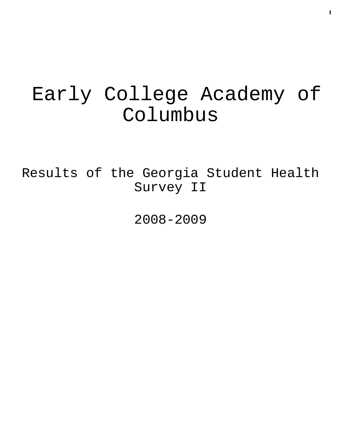# Early College Academy of Columbus

Results of the Georgia Student Health Survey II

2008-2009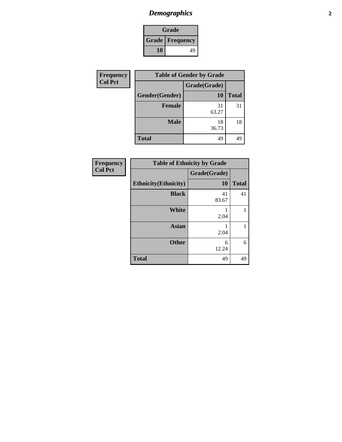### *Demographics* **2**

|                          | Grade |    |
|--------------------------|-------|----|
| <b>Grade   Frequency</b> |       |    |
|                          | 10    | 49 |

| Frequency      | <b>Table of Gender by Grade</b> |              |              |
|----------------|---------------------------------|--------------|--------------|
| <b>Col Pct</b> |                                 | Grade(Grade) |              |
|                | Gender(Gender)                  | <b>10</b>    | <b>Total</b> |
|                | <b>Female</b>                   | 31<br>63.27  | 31           |
|                | <b>Male</b>                     | 18<br>36.73  | 18           |
|                | <b>Total</b>                    | 49           | 49           |

| Frequency      | <b>Table of Ethnicity by Grade</b> |              |              |
|----------------|------------------------------------|--------------|--------------|
| <b>Col Pct</b> |                                    | Grade(Grade) |              |
|                | <b>Ethnicity</b> (Ethnicity)       | <b>10</b>    | <b>Total</b> |
|                | <b>Black</b>                       | 41<br>83.67  | 41           |
|                | <b>White</b>                       | 2.04         | 1            |
|                | <b>Asian</b>                       | 2.04         | 1            |
|                | <b>Other</b>                       | 6<br>12.24   | 6            |
|                | <b>Total</b>                       | 49           | 49           |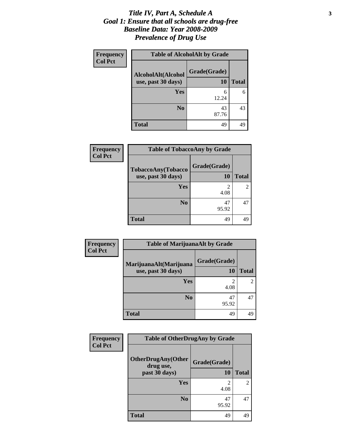### *Title IV, Part A, Schedule A* **3** *Goal 1: Ensure that all schools are drug-free Baseline Data: Year 2008-2009 Prevalence of Drug Use*

| <b>Frequency</b> |                                          | <b>Table of AlcoholAlt by Grade</b> |              |
|------------------|------------------------------------------|-------------------------------------|--------------|
| <b>Col Pct</b>   | AlcoholAlt(Alcohol<br>use, past 30 days) | Grade(Grade)<br>10                  | <b>Total</b> |
|                  | Yes                                      | 6<br>12.24                          | 6            |
|                  | N <sub>0</sub>                           | 43<br>87.76                         | 43           |
|                  | <b>Total</b>                             | 49                                  | 49           |

| Frequency<br><b>Col Pct</b> | <b>Table of TobaccoAny by Grade</b>      |                    |              |
|-----------------------------|------------------------------------------|--------------------|--------------|
|                             | TobaccoAny(Tobacco<br>use, past 30 days) | Grade(Grade)<br>10 | <b>Total</b> |
|                             | Yes                                      | 2<br>4.08          | 2            |
|                             | N <sub>0</sub>                           | 47<br>95.92        | 47           |
|                             | <b>Total</b>                             | 49                 | 49           |

| Frequency      | <b>Table of MarijuanaAlt by Grade</b> |                        |              |
|----------------|---------------------------------------|------------------------|--------------|
| <b>Col Pct</b> | MarijuanaAlt(Marijuana                | Grade(Grade)           |              |
|                | use, past 30 days)                    | 10                     | <b>Total</b> |
|                | Yes                                   | $\overline{2}$<br>4.08 |              |
|                | N <sub>0</sub>                        | 47<br>95.92            | 47           |
|                | <b>Total</b>                          | 49                     | 49           |

| Frequency      | <b>Table of OtherDrugAny by Grade</b>  |                        |                |
|----------------|----------------------------------------|------------------------|----------------|
| <b>Col Pct</b> | <b>OtherDrugAny(Other</b><br>drug use, | Grade(Grade)           |                |
|                | past 30 days)                          | <b>10</b>              | <b>Total</b>   |
|                | Yes                                    | $\mathfrak{D}$<br>4.08 | $\overline{2}$ |
|                | N <sub>0</sub>                         | 47<br>95.92            | 47             |
|                | <b>Total</b>                           | 49                     | 49             |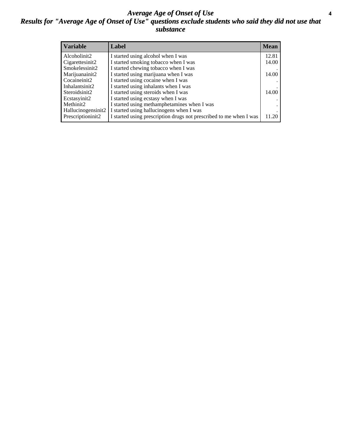### *Average Age of Onset of Use* **4** *Results for "Average Age of Onset of Use" questions exclude students who said they did not use that substance*

| <b>Variable</b>     | Label                                                              | <b>Mean</b> |
|---------------------|--------------------------------------------------------------------|-------------|
| Alcoholinit2        | I started using alcohol when I was                                 | 12.81       |
| Cigarettesinit2     | I started smoking tobacco when I was                               | 14.00       |
| Smokelessinit2      | I started chewing tobacco when I was                               |             |
| Marijuanainit2      | I started using marijuana when I was                               | 14.00       |
| Cocaineinit2        | I started using cocaine when I was                                 |             |
| Inhalantsinit2      | I started using inhalants when I was                               |             |
| Steroidsinit2       | I started using steroids when I was                                | 14.00       |
| Ecstasyinit2        | I started using ecstasy when I was                                 |             |
| Methinit2           | I started using methamphetamines when I was                        |             |
| Hallucinogensinit2  | I started using hallucinogens when I was                           |             |
| Prescription in it2 | I started using prescription drugs not prescribed to me when I was | 11.20       |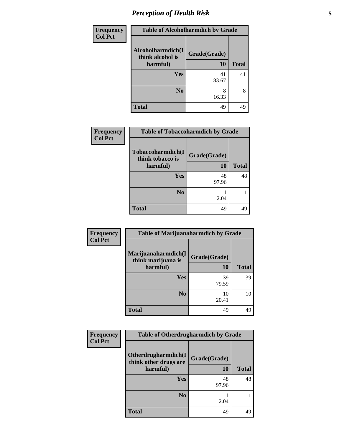# *Perception of Health Risk* **5**

| Frequency      | <b>Table of Alcoholharmdich by Grade</b> |              |              |
|----------------|------------------------------------------|--------------|--------------|
| <b>Col Pct</b> | Alcoholharmdich(I<br>think alcohol is    | Grade(Grade) |              |
|                | harmful)                                 | 10           | <b>Total</b> |
|                | Yes                                      | 41           | 41           |
|                |                                          | 83.67        |              |
|                | N <sub>0</sub>                           | 8<br>16.33   | 8            |
|                | <b>Total</b>                             | 49           | 49           |

| <b>Frequency</b> | <b>Table of Tobaccoharmdich by Grade</b>          |                    |              |
|------------------|---------------------------------------------------|--------------------|--------------|
| <b>Col Pct</b>   | Tobaccoharmdich(I<br>think tobacco is<br>harmful) | Grade(Grade)<br>10 | <b>Total</b> |
|                  | <b>Yes</b>                                        | 48<br>97.96        | 48           |
|                  | N <sub>0</sub>                                    | 2.04               |              |
|                  | <b>Total</b>                                      | 49                 | 49           |

| Frequency      | <b>Table of Marijuanaharmdich by Grade</b> |              |              |
|----------------|--------------------------------------------|--------------|--------------|
| <b>Col Pct</b> | Marijuanaharmdich(I<br>think marijuana is  | Grade(Grade) |              |
|                | harmful)                                   | 10           | <b>Total</b> |
|                | Yes                                        | 39<br>79.59  | 39           |
|                | N <sub>0</sub>                             | 10<br>20.41  | 10           |
|                | <b>Total</b>                               | 49           | 49           |

| <b>Frequency</b> | <b>Table of Otherdrugharmdich by Grade</b>   |              |              |
|------------------|----------------------------------------------|--------------|--------------|
| <b>Col Pct</b>   | Otherdrugharmdich(I<br>think other drugs are | Grade(Grade) |              |
|                  | harmful)                                     | 10           | <b>Total</b> |
|                  | <b>Yes</b>                                   | 48           | 48           |
|                  |                                              | 97.96        |              |
|                  | N <sub>0</sub>                               | 2.04         |              |
|                  | <b>Total</b>                                 | 49           | 49           |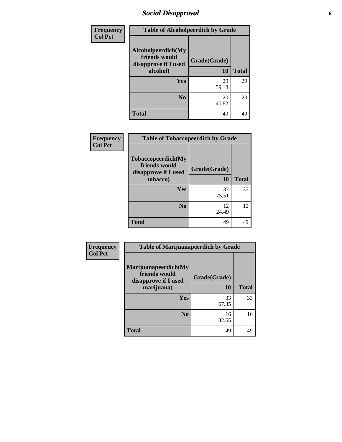## *Social Disapproval* **6**

| <b>Frequency</b> | <b>Table of Alcoholpeerdich by Grade</b>                    |              |              |  |
|------------------|-------------------------------------------------------------|--------------|--------------|--|
| <b>Col Pct</b>   | Alcoholpeerdich(My<br>friends would<br>disapprove if I used | Grade(Grade) |              |  |
|                  | alcohol)                                                    | 10           | <b>Total</b> |  |
|                  | Yes                                                         | 29<br>59.18  | 29           |  |
|                  | N <sub>0</sub>                                              | 20<br>40.82  | 20           |  |
|                  | <b>Total</b>                                                | 49           | 49           |  |

| Frequency      | <b>Table of Tobaccopeerdich by Grade</b>                                        |                    |              |
|----------------|---------------------------------------------------------------------------------|--------------------|--------------|
| <b>Col Pct</b> | <b>Tobaccopeerdich</b> (My<br>friends would<br>disapprove if I used<br>tobacco) | Grade(Grade)<br>10 | <b>Total</b> |
|                |                                                                                 |                    |              |
|                | Yes                                                                             | 37<br>75.51        | 37           |
|                | N <sub>0</sub>                                                                  | 12<br>24.49        | 12           |
|                | <b>Total</b>                                                                    | 49                 | 49           |

| Frequency      | <b>Table of Marijuanapeerdich by Grade</b>                    |             |              |
|----------------|---------------------------------------------------------------|-------------|--------------|
| <b>Col Pct</b> | Marijuanapeerdich(My<br>friends would<br>disapprove if I used |             |              |
|                | marijuana)                                                    | <b>10</b>   | <b>Total</b> |
|                | <b>Yes</b>                                                    | 33<br>67.35 | 33           |
|                | N <sub>0</sub>                                                | 16<br>32.65 | 16           |
|                | <b>Total</b>                                                  | 49          | 49           |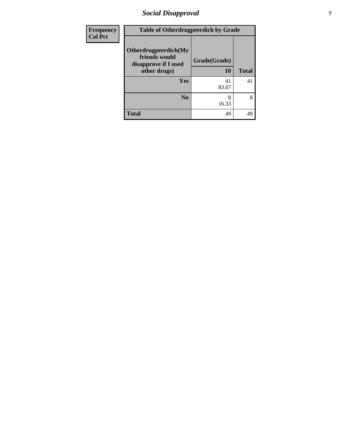## *Social Disapproval* **7**

| <b>Frequency</b> | <b>Table of Otherdrugpeerdich by Grade</b>                                    |                    |              |  |
|------------------|-------------------------------------------------------------------------------|--------------------|--------------|--|
| <b>Col Pct</b>   | Otherdrugpeerdich(My<br>friends would<br>disapprove if I used<br>other drugs) | Grade(Grade)<br>10 | <b>Total</b> |  |
|                  | <b>Yes</b>                                                                    | 41<br>83.67        | 41           |  |
|                  | N <sub>o</sub>                                                                | 8<br>16.33         | 8            |  |
|                  | <b>Total</b>                                                                  | 49                 | 49           |  |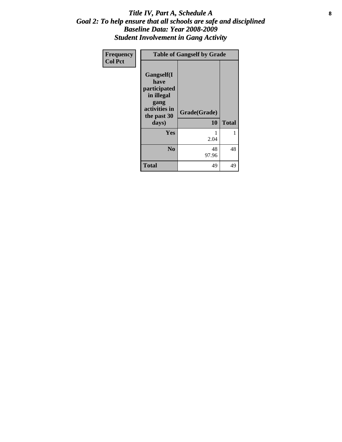### Title IV, Part A, Schedule A **8** *Goal 2: To help ensure that all schools are safe and disciplined Baseline Data: Year 2008-2009 Student Involvement in Gang Activity*

| Frequency      | <b>Table of Gangself by Grade</b>                                                                 |                    |              |
|----------------|---------------------------------------------------------------------------------------------------|--------------------|--------------|
| <b>Col Pct</b> | Gangself(I<br>have<br>participated<br>in illegal<br>gang<br>activities in<br>the past 30<br>days) | Grade(Grade)<br>10 | <b>Total</b> |
|                | Yes                                                                                               | 1<br>2.04          | 1            |
|                | N <sub>0</sub>                                                                                    | 48<br>97.96        | 48           |
|                | <b>Total</b>                                                                                      | 49                 | 49           |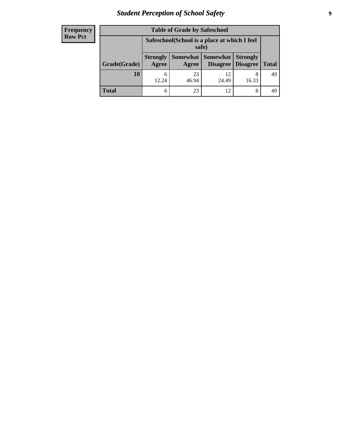# *Student Perception of School Safety* **9**

| <b>Frequency</b><br>Row Pct |
|-----------------------------|
|                             |

| <b>Table of Grade by Safeschool</b> |                                                        |             |                                   |                                    |              |
|-------------------------------------|--------------------------------------------------------|-------------|-----------------------------------|------------------------------------|--------------|
|                                     | Safeschool (School is a place at which I feel<br>safe) |             |                                   |                                    |              |
| Grade(Grade)                        | <b>Strongly</b><br>Agree                               | Agree       | Somewhat   Somewhat  <br>Disagree | <b>Strongly</b><br><b>Disagree</b> | <b>Total</b> |
| 10                                  | 12.24                                                  | 23<br>46.94 | 12<br>24.49                       | 8<br>16.33                         | 49           |
| <b>Total</b>                        | 6                                                      | 23          | 12                                | 8                                  | 49           |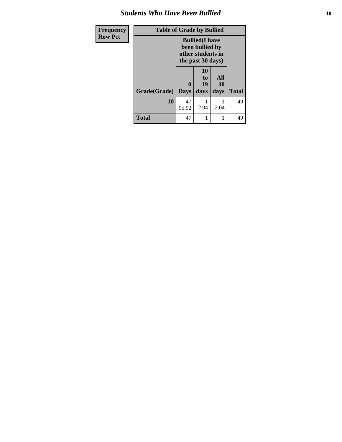### *Students Who Have Been Bullied* **10**

| <b>Frequency</b> | <b>Table of Grade by Bullied</b> |                                                                                     |                               |                   |              |
|------------------|----------------------------------|-------------------------------------------------------------------------------------|-------------------------------|-------------------|--------------|
| <b>Row Pct</b>   |                                  | <b>Bullied</b> (I have<br>been bullied by<br>other students in<br>the past 30 days) |                               |                   |              |
|                  | Grade(Grade)                     | $\bf{0}$<br><b>Days</b>                                                             | <b>10</b><br>to<br>19<br>days | All<br>30<br>days | <b>Total</b> |
|                  | 10                               | 47<br>95.92                                                                         | 2.04                          | 2.04              | 49           |
|                  | <b>Total</b>                     | 47                                                                                  | 1                             | 1                 | 49           |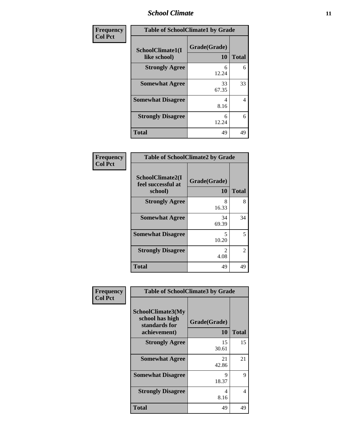### *School Climate* **11**

| Frequency      | <b>Table of SchoolClimate1 by Grade</b> |                    |              |  |
|----------------|-----------------------------------------|--------------------|--------------|--|
| <b>Col Pct</b> | SchoolClimate1(I<br>like school)        | Grade(Grade)<br>10 | <b>Total</b> |  |
|                | <b>Strongly Agree</b>                   | 6<br>12.24         | 6            |  |
|                | <b>Somewhat Agree</b>                   | 33<br>67.35        | 33           |  |
|                | <b>Somewhat Disagree</b>                | 4<br>8.16          | 4            |  |
|                | <b>Strongly Disagree</b>                | 6<br>12.24         | 6            |  |
|                | <b>Total</b>                            | 49                 | 49           |  |

| <b>Table of SchoolClimate2 by Grade</b>           |                    |               |  |
|---------------------------------------------------|--------------------|---------------|--|
| SchoolClimate2(I<br>feel successful at<br>school) | Grade(Grade)<br>10 | <b>Total</b>  |  |
| <b>Strongly Agree</b>                             | 8<br>16.33         | 8             |  |
| <b>Somewhat Agree</b>                             | 34<br>69.39        | 34            |  |
| <b>Somewhat Disagree</b>                          | 5<br>10.20         | 5             |  |
| <b>Strongly Disagree</b>                          | 2<br>4.08          | $\mathcal{L}$ |  |
| <b>Total</b>                                      | 49                 | 49            |  |

| Frequency      | <b>Table of SchoolClimate3 by Grade</b>                               |                    |              |
|----------------|-----------------------------------------------------------------------|--------------------|--------------|
| <b>Col Pct</b> | SchoolClimate3(My<br>school has high<br>standards for<br>achievement) | Grade(Grade)<br>10 | <b>Total</b> |
|                | <b>Strongly Agree</b>                                                 | 15<br>30.61        | 15           |
|                | <b>Somewhat Agree</b>                                                 | 21<br>42.86        | 21           |
|                | <b>Somewhat Disagree</b>                                              | 9<br>18.37         | 9            |
|                | <b>Strongly Disagree</b>                                              | 4<br>8.16          | 4            |
|                | Total                                                                 | 49                 | 49           |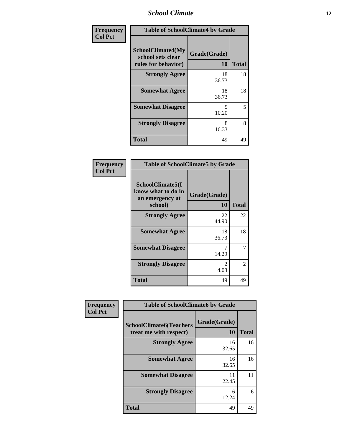### *School Climate* **12**

| Frequency      | <b>Table of SchoolClimate4 by Grade</b>                              |                    |              |  |
|----------------|----------------------------------------------------------------------|--------------------|--------------|--|
| <b>Col Pct</b> | <b>SchoolClimate4(My</b><br>school sets clear<br>rules for behavior) | Grade(Grade)<br>10 | <b>Total</b> |  |
|                | <b>Strongly Agree</b>                                                | 18<br>36.73        | 18           |  |
|                | <b>Somewhat Agree</b>                                                | 18<br>36.73        | 18           |  |
|                | <b>Somewhat Disagree</b>                                             | 5<br>10.20         | 5            |  |
|                | <b>Strongly Disagree</b>                                             | 8<br>16.33         | 8            |  |
|                | <b>Total</b>                                                         | 49                 | 49           |  |

| <b>Table of SchoolClimate5 by Grade</b>                              |                    |              |
|----------------------------------------------------------------------|--------------------|--------------|
| SchoolClimate5(I<br>know what to do in<br>an emergency at<br>school) | Grade(Grade)<br>10 | <b>Total</b> |
| <b>Strongly Agree</b>                                                | 22<br>44.90        | 22           |
| <b>Somewhat Agree</b>                                                | 18<br>36.73        | 18           |
| <b>Somewhat Disagree</b>                                             | 14.29              | 7            |
| <b>Strongly Disagree</b>                                             | 2<br>4.08          | 2            |
| <b>Total</b>                                                         | 49                 | 49           |

| Frequency      | <b>Table of SchoolClimate6 by Grade</b>                  |                    |              |
|----------------|----------------------------------------------------------|--------------------|--------------|
| <b>Col Pct</b> | <b>SchoolClimate6(Teachers</b><br>treat me with respect) | Grade(Grade)<br>10 | <b>Total</b> |
|                | <b>Strongly Agree</b>                                    | 16<br>32.65        | 16           |
|                | <b>Somewhat Agree</b>                                    | 16<br>32.65        | 16           |
|                | <b>Somewhat Disagree</b>                                 | 11<br>22.45        | 11           |
|                | <b>Strongly Disagree</b>                                 | 6<br>12.24         | 6            |
|                | <b>Total</b>                                             | 49                 | 49           |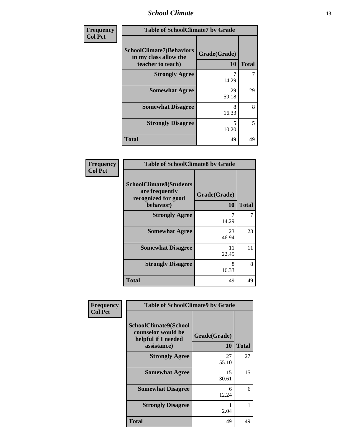*School Climate* **13**

| <b>Frequency</b> | <b>Table of SchoolClimate7 by Grade</b>                                       |                           |              |
|------------------|-------------------------------------------------------------------------------|---------------------------|--------------|
| <b>Col Pct</b>   | <b>SchoolClimate7(Behaviors</b><br>in my class allow the<br>teacher to teach) | Grade(Grade)<br><b>10</b> | <b>Total</b> |
|                  | <b>Strongly Agree</b>                                                         | 7<br>14.29                |              |
|                  | <b>Somewhat Agree</b>                                                         | 29<br>59.18               | 29           |
|                  | <b>Somewhat Disagree</b>                                                      | 8<br>16.33                | 8            |
|                  | <b>Strongly Disagree</b>                                                      | 5<br>10.20                | 5            |
|                  | <b>Total</b>                                                                  | 49                        | 49           |

| Frequency      | <b>Table of SchoolClimate8 by Grade</b>                                              |                    |              |
|----------------|--------------------------------------------------------------------------------------|--------------------|--------------|
| <b>Col Pct</b> | <b>SchoolClimate8(Students</b><br>are frequently<br>recognized for good<br>behavior) | Grade(Grade)<br>10 | <b>Total</b> |
|                | <b>Strongly Agree</b>                                                                | 7<br>14.29         | 7            |
|                | <b>Somewhat Agree</b>                                                                | 23<br>46.94        | 23           |
|                | <b>Somewhat Disagree</b>                                                             | 11<br>22.45        | 11           |
|                | <b>Strongly Disagree</b>                                                             | 8<br>16.33         | 8            |
|                | Total                                                                                | 49                 | 49           |

| Frequency<br><b>Col Pct</b> | <b>Table of SchoolClimate9 by Grade</b>                                           |                    |              |
|-----------------------------|-----------------------------------------------------------------------------------|--------------------|--------------|
|                             | SchoolClimate9(School<br>counselor would be<br>helpful if I needed<br>assistance) | Grade(Grade)<br>10 | <b>Total</b> |
|                             | <b>Strongly Agree</b>                                                             | 27<br>55.10        | 27           |
|                             | <b>Somewhat Agree</b>                                                             | 15<br>30.61        | 15           |
|                             | <b>Somewhat Disagree</b>                                                          | 6<br>12.24         | 6            |
|                             | <b>Strongly Disagree</b>                                                          | 2.04               |              |
|                             | Total                                                                             | 49                 | 49           |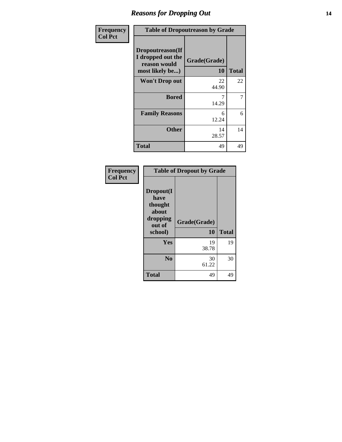## *Reasons for Dropping Out* **14**

| Frequency      | <b>Table of Dropoutreason by Grade</b>                                   |                    |              |
|----------------|--------------------------------------------------------------------------|--------------------|--------------|
| <b>Col Pct</b> | Dropoutreason(If<br>I dropped out the<br>reason would<br>most likely be) | Grade(Grade)<br>10 | <b>Total</b> |
|                | <b>Won't Drop out</b>                                                    | 22<br>44.90        | 22           |
|                | <b>Bored</b>                                                             | 7<br>14.29         | 7            |
|                | <b>Family Reasons</b>                                                    | 6<br>12.24         | 6            |
|                | Other                                                                    | 14<br>28.57        | 14           |
|                | Total                                                                    | 49                 | 49           |

| Frequency      | <b>Table of Dropout by Grade</b>                                       |                    |              |
|----------------|------------------------------------------------------------------------|--------------------|--------------|
| <b>Col Pct</b> | Dropout(I<br>have<br>thought<br>about<br>dropping<br>out of<br>school) | Grade(Grade)<br>10 | <b>Total</b> |
|                | <b>Yes</b>                                                             | 19<br>38.78        | 19           |
|                | N <sub>0</sub>                                                         | 30<br>61.22        | 30           |
|                | <b>Total</b>                                                           | 49                 | 49           |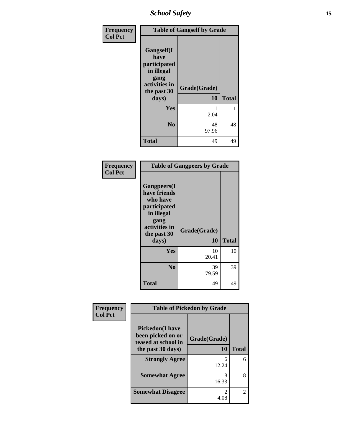## *School Safety* **15**

| Frequency      |                                                                                          | <b>Table of Gangself by Grade</b> |              |
|----------------|------------------------------------------------------------------------------------------|-----------------------------------|--------------|
| <b>Col Pct</b> | Gangself(I<br>have<br>participated<br>in illegal<br>gang<br>activities in<br>the past 30 | Grade(Grade)                      |              |
|                | days)                                                                                    | 10                                | <b>Total</b> |
|                | Yes                                                                                      | 2.04                              |              |
|                | N <sub>0</sub>                                                                           | 48<br>97.96                       | 48           |
|                | <b>Total</b>                                                                             | 49                                | 49           |

| Frequency<br><b>Col Pct</b> |                                                                                                                                | <b>Table of Gangpeers by Grade</b> |              |
|-----------------------------|--------------------------------------------------------------------------------------------------------------------------------|------------------------------------|--------------|
|                             | <b>Gangpeers</b> (I<br>have friends<br>who have<br>participated<br>in illegal<br>gang<br>activities in<br>the past 30<br>days) | Grade(Grade)<br>10                 | <b>Total</b> |
|                             |                                                                                                                                |                                    |              |
|                             | Yes                                                                                                                            | 10<br>20.41                        | 10           |
|                             | N <sub>0</sub>                                                                                                                 | 39<br>79.59                        | 39           |
|                             | Total                                                                                                                          | 49                                 | 49           |

| Frequency      | <b>Table of Pickedon by Grade</b>                                   |              |              |
|----------------|---------------------------------------------------------------------|--------------|--------------|
| <b>Col Pct</b> | <b>Pickedon</b> (I have<br>been picked on or<br>teased at school in | Grade(Grade) |              |
|                | the past 30 days)                                                   | 10           | <b>Total</b> |
|                | <b>Strongly Agree</b>                                               | 6<br>12.24   |              |
|                | <b>Somewhat Agree</b>                                               | 8<br>16.33   |              |
|                | <b>Somewhat Disagree</b>                                            | 4.08         |              |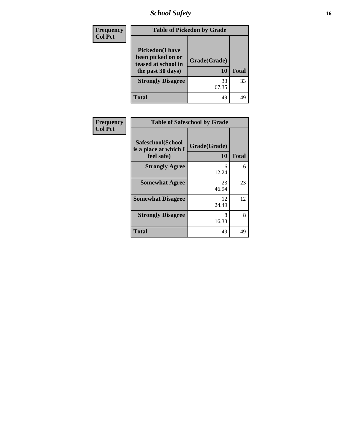*School Safety* **16**

| <b>Frequency</b> | <b>Table of Pickedon by Grade</b>                                                       |                    |              |
|------------------|-----------------------------------------------------------------------------------------|--------------------|--------------|
| <b>Col Pct</b>   | <b>Pickedon(I have</b><br>been picked on or<br>teased at school in<br>the past 30 days) | Grade(Grade)<br>10 | <b>Total</b> |
|                  | <b>Strongly Disagree</b>                                                                | 33<br>67.35        | 33           |
|                  | <b>Total</b>                                                                            | 49                 | 49           |

| Frequency      | <b>Table of Safeschool by Grade</b>                      |                           |              |
|----------------|----------------------------------------------------------|---------------------------|--------------|
| <b>Col Pct</b> | Safeschool(School<br>is a place at which I<br>feel safe) | Grade(Grade)<br><b>10</b> | <b>Total</b> |
|                | <b>Strongly Agree</b>                                    | 6<br>12.24                | 6            |
|                | <b>Somewhat Agree</b>                                    | 23<br>46.94               | 23           |
|                | <b>Somewhat Disagree</b>                                 | 12<br>24.49               | 12           |
|                | <b>Strongly Disagree</b>                                 | 8<br>16.33                | 8            |
|                | <b>Total</b>                                             | 49                        | 49           |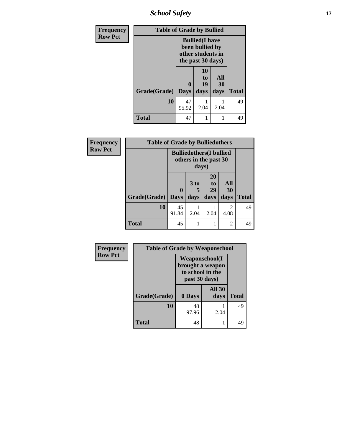*School Safety* **17**

| <b>Frequency</b> | <b>Table of Grade by Bullied</b> |                                                                                     |                               |                   |              |
|------------------|----------------------------------|-------------------------------------------------------------------------------------|-------------------------------|-------------------|--------------|
| <b>Row Pct</b>   |                                  | <b>Bullied</b> (I have<br>been bullied by<br>other students in<br>the past 30 days) |                               |                   |              |
|                  | Grade(Grade)                     | 0<br><b>Days</b>                                                                    | <b>10</b><br>to<br>19<br>days | All<br>30<br>days | <b>Total</b> |
|                  | 10                               | 47<br>95.92                                                                         | 2.04                          | 2.04              | 49           |
|                  | <b>Total</b>                     | 47                                                                                  |                               |                   | 49           |

| Frequency<br><b>Row Pct</b> | <b>Table of Grade by Bulliedothers</b> |                         |                                       | <b>Bulliedothers</b> (I bullied<br>others in the past 30 |                        |              |
|-----------------------------|----------------------------------------|-------------------------|---------------------------------------|----------------------------------------------------------|------------------------|--------------|
|                             | Grade(Grade)                           | $\bf{0}$<br><b>Days</b> | days)<br>3 <sub>to</sub><br>5<br>days | 20<br>to<br>29<br>days                                   | All<br>30<br>days      | <b>Total</b> |
|                             | 10                                     | 45<br>91.84             | 2.04                                  | 2.04                                                     | $\mathfrak{D}$<br>4.08 | 49           |
|                             | <b>Total</b>                           | 45                      |                                       |                                                          | 2                      | 49           |

| Frequency      | <b>Table of Grade by Weaponschool</b> |                                                             |                       |              |
|----------------|---------------------------------------|-------------------------------------------------------------|-----------------------|--------------|
| <b>Row Pct</b> |                                       | <b>Weaponschool</b> (I<br>to school in the<br>past 30 days) | brought a weapon      |              |
|                | Grade(Grade)                          | 0 Days                                                      | <b>All 30</b><br>days | <b>Total</b> |
|                | 10                                    | 48<br>97.96                                                 | 2.04                  | 49           |
|                | <b>Total</b>                          | 48                                                          |                       | 49           |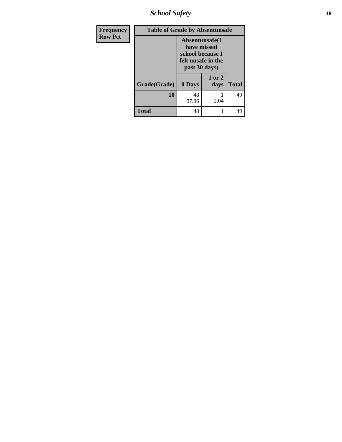*School Safety* **18**

| <b>Frequency</b> | <b>Table of Grade by Absentunsafe</b> |                                                                                           |                |              |
|------------------|---------------------------------------|-------------------------------------------------------------------------------------------|----------------|--------------|
| <b>Row Pct</b>   |                                       | Absentunsafe(I)<br>have missed<br>school because I<br>felt unsafe in the<br>past 30 days) |                |              |
|                  | Grade(Grade)                          | 0 Days                                                                                    | 1 or 2<br>days | <b>Total</b> |
|                  | 10                                    | 48<br>97.96                                                                               | 2.04           | 49           |
|                  | <b>Total</b>                          | 48                                                                                        |                | 49           |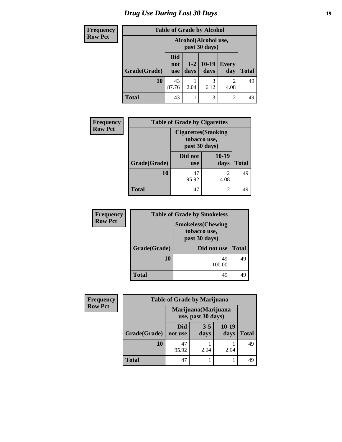# *Drug Use During Last 30 Days* **19**

| <b>Frequency</b> | <b>Table of Grade by Alcohol</b> |                                       |               |                  |                        |              |
|------------------|----------------------------------|---------------------------------------|---------------|------------------|------------------------|--------------|
| <b>Row Pct</b>   |                                  | Alcohol(Alcohol use,<br>past 30 days) |               |                  |                        |              |
|                  | Grade(Grade)                     | Did<br>not<br>use                     | $1-2$<br>days | $ 10-19$<br>days | <b>Every</b><br>day    | <b>Total</b> |
|                  | 10                               | 43<br>87.76                           | 2.04          | 3<br>6.12        | $\mathfrak{D}$<br>4.08 | 49           |
|                  | Total                            | 43                                    |               | 3                | $\overline{2}$         | 49           |

| <b>Frequency</b> | <b>Table of Grade by Cigarettes</b> |                                                             |               |              |  |
|------------------|-------------------------------------|-------------------------------------------------------------|---------------|--------------|--|
| <b>Row Pct</b>   |                                     | <b>Cigarettes</b> (Smoking<br>tobacco use,<br>past 30 days) |               |              |  |
|                  | Grade(Grade)                        | Did not<br><b>use</b>                                       | 10-19<br>days | <b>Total</b> |  |
|                  | 10                                  | 47<br>95.92                                                 | 2<br>4.08     | 49           |  |
|                  | Total                               | 47                                                          | 2             |              |  |

| <b>Frequency</b> | <b>Table of Grade by Smokeless</b> |                                                            |              |  |
|------------------|------------------------------------|------------------------------------------------------------|--------------|--|
| <b>Row Pct</b>   |                                    | <b>Smokeless</b> (Chewing<br>tobacco use,<br>past 30 days) |              |  |
|                  | Grade(Grade)                       | Did not use                                                | <b>Total</b> |  |
|                  | 10                                 | 49<br>100.00                                               | 49           |  |
|                  | <b>Total</b>                       | 49                                                         | 49           |  |

| Frequency      | <b>Table of Grade by Marijuana</b> |                                            |                 |                 |              |
|----------------|------------------------------------|--------------------------------------------|-----------------|-----------------|--------------|
| <b>Row Pct</b> |                                    | Marijuana (Marijuana<br>use, past 30 days) |                 |                 |              |
|                | Grade(Grade)                       | Did<br>not use                             | $3 - 5$<br>days | $10-19$<br>days | <b>Total</b> |
|                | 10                                 | 47<br>95.92                                | 2.04            | 2.04            | 49           |
|                | <b>Total</b>                       | 47                                         |                 |                 | 49           |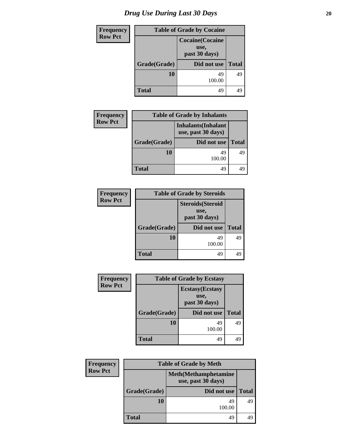| <b>Frequency</b> | <b>Table of Grade by Cocaine</b> |                                                  |              |  |
|------------------|----------------------------------|--------------------------------------------------|--------------|--|
| <b>Row Pct</b>   |                                  | <b>Cocaine</b> (Cocaine<br>use,<br>past 30 days) |              |  |
|                  | Grade(Grade)                     | Did not use                                      | <b>Total</b> |  |
|                  | 10                               | 49<br>100.00                                     | 49           |  |
|                  | <b>Total</b>                     | 49                                               | 49           |  |

| <b>Frequency</b> | <b>Table of Grade by Inhalants</b> |                                                  |              |  |
|------------------|------------------------------------|--------------------------------------------------|--------------|--|
| <b>Row Pct</b>   |                                    | <b>Inhalants</b> (Inhalant<br>use, past 30 days) |              |  |
|                  | Grade(Grade)                       | Did not use                                      | <b>Total</b> |  |
|                  | 10                                 | 49<br>100.00                                     | 49           |  |
|                  | <b>Total</b>                       | 49                                               | 4G           |  |

| <b>Frequency</b> | <b>Table of Grade by Steroids</b> |                                                   |              |  |
|------------------|-----------------------------------|---------------------------------------------------|--------------|--|
| <b>Row Pct</b>   |                                   | <b>Steroids</b> (Steroid<br>use,<br>past 30 days) |              |  |
|                  | Grade(Grade)                      | Did not use                                       | <b>Total</b> |  |
|                  | 10                                | 49<br>100.00                                      | 49           |  |
|                  | Total                             | 49                                                | 49           |  |

| <b>Frequency</b> | <b>Table of Grade by Ecstasy</b> |                                                  |              |  |
|------------------|----------------------------------|--------------------------------------------------|--------------|--|
| <b>Row Pct</b>   |                                  | <b>Ecstasy</b> (Ecstasy<br>use,<br>past 30 days) |              |  |
|                  | Grade(Grade)                     | Did not use                                      | <b>Total</b> |  |
|                  | 10                               | 49<br>100.00                                     | 49           |  |
|                  | <b>Total</b>                     | 49                                               | 49           |  |

| <b>Frequency</b> |              | <b>Table of Grade by Meth</b>                      |              |
|------------------|--------------|----------------------------------------------------|--------------|
| <b>Row Pct</b>   |              | <b>Meth</b> (Methamphetamine<br>use, past 30 days) |              |
|                  | Grade(Grade) | Did not use                                        | <b>Total</b> |
|                  | 10           | 49<br>100.00                                       | 49           |
|                  | <b>Total</b> | 49                                                 |              |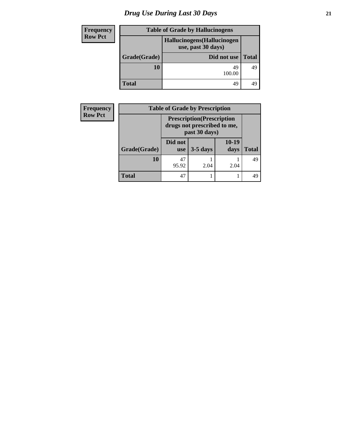# *Drug Use During Last 30 Days* **21**

| Frequency      |                                                   | <b>Table of Grade by Hallucinogens</b> |              |
|----------------|---------------------------------------------------|----------------------------------------|--------------|
| <b>Row Pct</b> | Hallucinogens (Hallucinogen<br>use, past 30 days) |                                        |              |
|                | Grade(Grade)                                      | Did not use                            | <b>Total</b> |
|                | 10                                                | 49<br>100.00                           | 49           |
|                | <b>Total</b>                                      | 49                                     |              |

| <b>Frequency</b> | <b>Table of Grade by Prescription</b> |                                                                                   |            |               |       |
|------------------|---------------------------------------|-----------------------------------------------------------------------------------|------------|---------------|-------|
| <b>Row Pct</b>   |                                       | <b>Prescription</b> (Prescription<br>drugs not prescribed to me,<br>past 30 days) |            |               |       |
|                  | Grade(Grade)                          | Did not<br><b>use</b>                                                             | $3-5$ days | 10-19<br>days | Total |
|                  | 10                                    | 47<br>95.92                                                                       | 2.04       | 2.04          | 49    |
|                  | <b>Total</b>                          | 47                                                                                |            |               | 49    |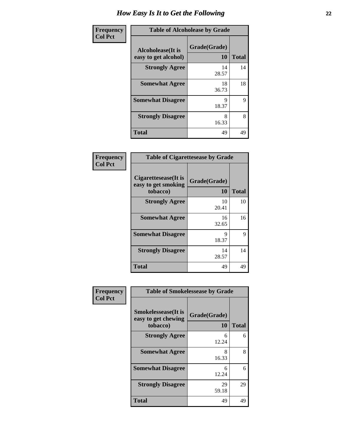| Frequency      | <b>Table of Alcoholease by Grade</b>              |                    |              |
|----------------|---------------------------------------------------|--------------------|--------------|
| <b>Col Pct</b> | <b>Alcoholease</b> (It is<br>easy to get alcohol) | Grade(Grade)<br>10 | <b>Total</b> |
|                | <b>Strongly Agree</b>                             | 14<br>28.57        | 14           |
|                | <b>Somewhat Agree</b>                             | 18<br>36.73        | 18           |
|                | <b>Somewhat Disagree</b>                          | 9<br>18.37         | 9            |
|                | <b>Strongly Disagree</b>                          | 8<br>16.33         | 8            |
|                | <b>Total</b>                                      | 49                 | 49           |

| <b>Table of Cigarettesease by Grade</b>                 |                    |              |  |
|---------------------------------------------------------|--------------------|--------------|--|
| Cigarettesease(It is<br>easy to get smoking<br>tobacco) | Grade(Grade)<br>10 | <b>Total</b> |  |
| <b>Strongly Agree</b>                                   | 10<br>20.41        | 10           |  |
| <b>Somewhat Agree</b>                                   | 16<br>32.65        | 16           |  |
| <b>Somewhat Disagree</b>                                | 9<br>18.37         | 9            |  |
| <b>Strongly Disagree</b>                                | 14<br>28.57        | 14           |  |
| <b>Total</b>                                            | 49                 | 49           |  |

| Frequency      | <b>Table of Smokelessease by Grade</b>                         |                    |              |
|----------------|----------------------------------------------------------------|--------------------|--------------|
| <b>Col Pct</b> | <b>Smokelessease</b> (It is<br>easy to get chewing<br>tobacco) | Grade(Grade)<br>10 | <b>Total</b> |
|                | <b>Strongly Agree</b>                                          | 6<br>12.24         | 6            |
|                | <b>Somewhat Agree</b>                                          | 8<br>16.33         | 8            |
|                | <b>Somewhat Disagree</b>                                       | 6<br>12.24         | 6            |
|                | <b>Strongly Disagree</b>                                       | 29<br>59.18        | 29           |
|                | <b>Total</b>                                                   | 49                 | 49           |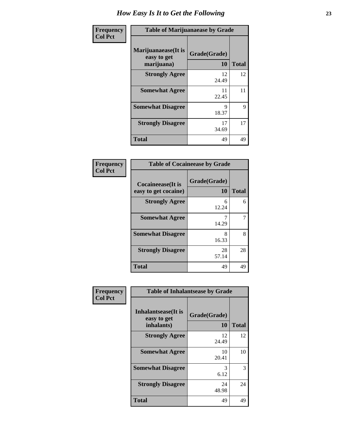| Frequency      | <b>Table of Marijuanaease by Grade</b>            |                           |              |
|----------------|---------------------------------------------------|---------------------------|--------------|
| <b>Col Pct</b> | Marijuanaease (It is<br>easy to get<br>marijuana) | Grade(Grade)<br><b>10</b> | <b>Total</b> |
|                | <b>Strongly Agree</b>                             | 12<br>24.49               | 12           |
|                | <b>Somewhat Agree</b>                             | 11<br>22.45               | 11           |
|                | <b>Somewhat Disagree</b>                          | 9<br>18.37                | 9            |
|                | <b>Strongly Disagree</b>                          | 17<br>34.69               | 17           |
|                | <b>Total</b>                                      | 49                        | 49           |

| <b>Table of Cocaineease by Grade</b> |              |              |  |
|--------------------------------------|--------------|--------------|--|
| <b>Cocaineease</b> (It is            | Grade(Grade) |              |  |
| easy to get cocaine)                 | 10           | <b>Total</b> |  |
| <b>Strongly Agree</b>                | 6<br>12.24   | 6            |  |
| <b>Somewhat Agree</b>                | 14.29        |              |  |
| <b>Somewhat Disagree</b>             | 8<br>16.33   | 8            |  |
| <b>Strongly Disagree</b>             | 28<br>57.14  | 28           |  |
| <b>Total</b>                         | 49           | 49           |  |

| <b>Frequency</b><br><b>Col Pct</b> | <b>Table of Inhalantsease by Grade</b>           |                    |              |
|------------------------------------|--------------------------------------------------|--------------------|--------------|
|                                    | Inhalantsease(It is<br>easy to get<br>inhalants) | Grade(Grade)<br>10 | <b>Total</b> |
|                                    | <b>Strongly Agree</b>                            | 12<br>24.49        | 12           |
|                                    | <b>Somewhat Agree</b>                            | 10<br>20.41        | 10           |
|                                    | <b>Somewhat Disagree</b>                         | 3<br>6.12          | 3            |
|                                    | <b>Strongly Disagree</b>                         | 24<br>48.98        | 24           |
|                                    | <b>Total</b>                                     | 49                 | 49           |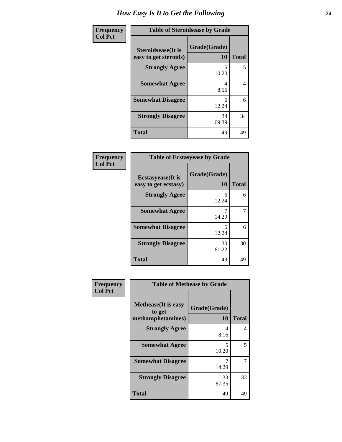| Frequency      | <b>Table of Steroidsease by Grade</b>               |                    |              |
|----------------|-----------------------------------------------------|--------------------|--------------|
| <b>Col Pct</b> | <b>Steroidsease</b> (It is<br>easy to get steroids) | Grade(Grade)<br>10 | <b>Total</b> |
|                | <b>Strongly Agree</b>                               | 5<br>10.20         | 5            |
|                | <b>Somewhat Agree</b>                               | 4<br>8.16          | 4            |
|                | <b>Somewhat Disagree</b>                            | 6<br>12.24         | 6            |
|                | <b>Strongly Disagree</b>                            | 34<br>69.39        | 34           |
|                | <b>Total</b>                                        | 49                 | 49           |

| Frequency<br>Col Pct |
|----------------------|
|                      |

| <b>Table of Ecstasyease by Grade</b> |              |              |
|--------------------------------------|--------------|--------------|
| <b>Ecstasyease</b> (It is            | Grade(Grade) |              |
| easy to get ecstasy)                 | 10           | <b>Total</b> |
| <b>Strongly Agree</b>                | 6<br>12.24   | 6            |
| <b>Somewhat Agree</b>                | 14.29        |              |
| <b>Somewhat Disagree</b>             | 6<br>12.24   | 6            |
| <b>Strongly Disagree</b>             | 30<br>61.22  | 30           |
| <b>Total</b>                         | 49           | 49           |

| <b>Frequency</b> |  |
|------------------|--|
| <b>Col Pct</b>   |  |

| <b>Table of Methease by Grade</b>                          |                    |              |  |  |  |
|------------------------------------------------------------|--------------------|--------------|--|--|--|
| <b>Methease</b> (It is easy<br>to get<br>methamphetamines) | Grade(Grade)<br>10 | <b>Total</b> |  |  |  |
| <b>Strongly Agree</b>                                      | 4<br>8.16          |              |  |  |  |
| <b>Somewhat Agree</b>                                      | 10.20              | 5            |  |  |  |
| <b>Somewhat Disagree</b>                                   | 14.29              |              |  |  |  |
| <b>Strongly Disagree</b>                                   | 33<br>67.35        | 33           |  |  |  |
| <b>Total</b>                                               | 49                 | 49           |  |  |  |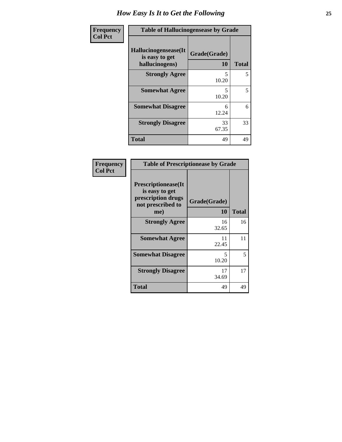| Frequency      | <b>Table of Hallucinogensease by Grade</b>               |                    |              |  |
|----------------|----------------------------------------------------------|--------------------|--------------|--|
| <b>Col Pct</b> | Hallucinogensease(It<br>is easy to get<br>hallucinogens) | Grade(Grade)<br>10 | <b>Total</b> |  |
|                | <b>Strongly Agree</b>                                    | 5<br>10.20         | 5            |  |
|                | <b>Somewhat Agree</b>                                    | 5<br>10.20         | 5            |  |
|                | <b>Somewhat Disagree</b>                                 | 6<br>12.24         | 6            |  |
|                | <b>Strongly Disagree</b>                                 | 33<br>67.35        | 33           |  |
|                | <b>Total</b>                                             | 49                 | 49           |  |

| <b>Table of Prescriptionease by Grade</b>                                                |              |              |  |  |  |
|------------------------------------------------------------------------------------------|--------------|--------------|--|--|--|
| <b>Prescriptionease</b> (It<br>is easy to get<br>prescription drugs<br>not prescribed to | Grade(Grade) |              |  |  |  |
| me)                                                                                      | 10           | <b>Total</b> |  |  |  |
| <b>Strongly Agree</b>                                                                    | 16<br>32.65  | 16           |  |  |  |
| <b>Somewhat Agree</b>                                                                    | 11<br>22.45  | 11           |  |  |  |
| <b>Somewhat Disagree</b>                                                                 | 5<br>10.20   | 5            |  |  |  |
| <b>Strongly Disagree</b>                                                                 | 17<br>34.69  | 17           |  |  |  |
| <b>Total</b>                                                                             | 49           | 49           |  |  |  |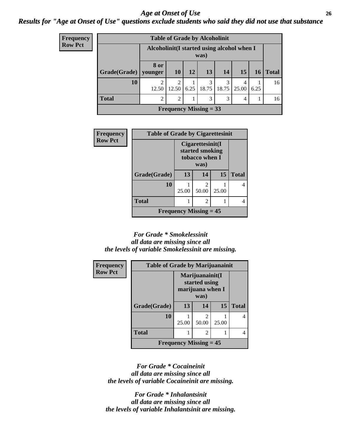### *Age at Onset of Use* **26** *Results for "Age at Onset of Use" questions exclude students who said they did not use that substance*

| <b>Frequency</b><br>Row Pct |
|-----------------------------|
|                             |

| <b>Table of Grade by Alcoholinit</b> |                                                     |                         |      |            |            |            |      |              |
|--------------------------------------|-----------------------------------------------------|-------------------------|------|------------|------------|------------|------|--------------|
|                                      | Alcoholinit (I started using alcohol when I<br>was) |                         |      |            |            |            |      |              |
| Grade(Grade)                         | 8 or<br>vounger                                     | 10                      | 12   | 13         | 14         | 15         | 16   | <b>Total</b> |
| 10                                   | $\mathfrak{D}$<br>12.50                             | $\overline{2}$<br>12.50 | 6.25 | 3<br>18.75 | 3<br>18.75 | 4<br>25.00 | 6.25 | 16           |
| <b>Total</b>                         | $\overline{2}$                                      | $\overline{2}$          |      | 3          | 3          | 4          |      | 16           |
| Frequency Missing $=$ 33             |                                                     |                         |      |            |            |            |      |              |

| Frequency      | <b>Table of Grade by Cigarettesinit</b>    |                                                               |                         |       |              |  |
|----------------|--------------------------------------------|---------------------------------------------------------------|-------------------------|-------|--------------|--|
| <b>Row Pct</b> |                                            | Cigarettesinit(I<br>started smoking<br>tobacco when I<br>was) |                         |       |              |  |
|                | Grade(Grade)                               | 13                                                            | 14                      | 15    | <b>Total</b> |  |
|                | 10                                         | 25.00                                                         | $\mathfrak{D}$<br>50.00 | 25.00 |              |  |
|                | <b>Total</b>                               |                                                               | 2                       |       |              |  |
|                | <b>Frequency Missing <math>= 45</math></b> |                                                               |                         |       |              |  |

#### *For Grade \* Smokelessinit all data are missing since all the levels of variable Smokelessinit are missing.*

| <b>Frequency</b> | <b>Table of Grade by Marijuanainit</b> |                                                              |                         |       |              |
|------------------|----------------------------------------|--------------------------------------------------------------|-------------------------|-------|--------------|
| <b>Row Pct</b>   |                                        | Marijuanainit(I<br>started using<br>marijuana when I<br>was) |                         |       |              |
|                  | Grade(Grade)                           | 13                                                           | 14                      | 15    | <b>Total</b> |
|                  | 10                                     | 25.00                                                        | $\mathfrak{D}$<br>50.00 | 25.00 |              |
|                  | <b>Total</b>                           |                                                              | 2                       |       |              |
|                  |                                        | <b>Frequency Missing = 45</b>                                |                         |       |              |

*For Grade \* Cocaineinit all data are missing since all the levels of variable Cocaineinit are missing.*

*For Grade \* Inhalantsinit all data are missing since all the levels of variable Inhalantsinit are missing.*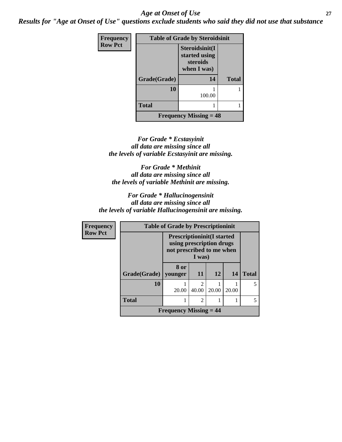### *Age at Onset of Use* **27**

*Results for "Age at Onset of Use" questions exclude students who said they did not use that substance*

| <b>Frequency</b> | <b>Table of Grade by Steroidsinit</b> |                                                            |              |  |  |
|------------------|---------------------------------------|------------------------------------------------------------|--------------|--|--|
| <b>Row Pct</b>   |                                       | Steroidsinit(I<br>started using<br>steroids<br>when I was) |              |  |  |
|                  | Grade(Grade)                          | 14                                                         | <b>Total</b> |  |  |
|                  | 10                                    | 100.00                                                     |              |  |  |
|                  | <b>Total</b>                          |                                                            |              |  |  |
|                  |                                       | <b>Frequency Missing = 48</b>                              |              |  |  |

*For Grade \* Ecstasyinit all data are missing since all the levels of variable Ecstasyinit are missing.*

*For Grade \* Methinit all data are missing since all the levels of variable Methinit are missing.*

*For Grade \* Hallucinogensinit all data are missing since all the levels of variable Hallucinogensinit are missing.*

| <b>Frequency</b> | <b>Table of Grade by Prescriptioninit</b>                                                            |                 |                         |           |       |                          |
|------------------|------------------------------------------------------------------------------------------------------|-----------------|-------------------------|-----------|-------|--------------------------|
| <b>Row Pct</b>   | <b>Prescriptioninit(I started</b><br>using prescription drugs<br>not prescribed to me when<br>I was) |                 |                         |           |       |                          |
|                  | Grade(Grade)                                                                                         | 8 or<br>vounger | 11                      | <b>12</b> | 14    | <b>Total</b>             |
|                  | 10                                                                                                   | 20.00           | $\mathfrak{D}$<br>40.00 | 20.00     | 20.00 |                          |
|                  | <b>Total</b>                                                                                         |                 | $\overline{c}$          |           |       | $\overline{\phantom{0}}$ |
|                  | Frequency Missing $= 44$                                                                             |                 |                         |           |       |                          |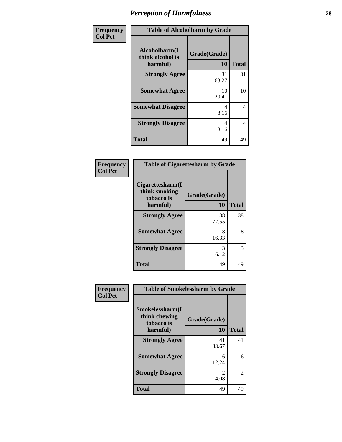| Frequency      | <b>Table of Alcoholharm by Grade</b>          |                    |              |  |  |
|----------------|-----------------------------------------------|--------------------|--------------|--|--|
| <b>Col Pct</b> | Alcoholharm(I<br>think alcohol is<br>harmful) | Grade(Grade)<br>10 | <b>Total</b> |  |  |
|                | <b>Strongly Agree</b>                         | 31<br>63.27        | 31           |  |  |
|                | <b>Somewhat Agree</b>                         | 10<br>20.41        | 10           |  |  |
|                | <b>Somewhat Disagree</b>                      | 4<br>8.16          | 4            |  |  |
|                | <b>Strongly Disagree</b>                      | 4<br>8.16          | 4            |  |  |
|                | <b>Total</b>                                  | 49                 | 49           |  |  |

| <b>Table of Cigarettesharm by Grade</b>                     |                    |              |  |  |  |
|-------------------------------------------------------------|--------------------|--------------|--|--|--|
| Cigarettesharm(I<br>think smoking<br>tobacco is<br>harmful) | Grade(Grade)<br>10 | <b>Total</b> |  |  |  |
| <b>Strongly Agree</b>                                       | 38<br>77.55        | 38           |  |  |  |
| <b>Somewhat Agree</b>                                       | 8<br>16.33         | 8            |  |  |  |
| <b>Strongly Disagree</b>                                    | 3<br>6.12          | 3            |  |  |  |
| <b>Total</b>                                                | 49                 | 49           |  |  |  |

| <b>Table of Smokelessharm by Grade</b> |
|----------------------------------------|
|                                        |
| <b>Total</b>                           |
| 41                                     |
| 6                                      |
| 2                                      |
| 49                                     |
|                                        |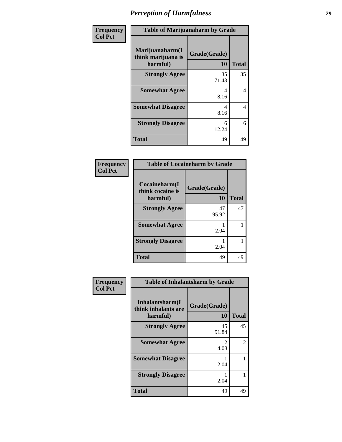| Frequency      | <b>Table of Marijuanaharm by Grade</b>            |                           |              |
|----------------|---------------------------------------------------|---------------------------|--------------|
| <b>Col Pct</b> | Marijuanaharm(I<br>think marijuana is<br>harmful) | Grade(Grade)<br><b>10</b> | <b>Total</b> |
|                | <b>Strongly Agree</b>                             | 35<br>71.43               | 35           |
|                | <b>Somewhat Agree</b>                             | 4<br>8.16                 | 4            |
|                | <b>Somewhat Disagree</b>                          | 4<br>8.16                 | 4            |
|                | <b>Strongly Disagree</b>                          | 6<br>12.24                | 6            |
|                | <b>Total</b>                                      | 49                        | 49           |

| <b>Table of Cocaineharm by Grade</b>          |                    |              |  |
|-----------------------------------------------|--------------------|--------------|--|
| Cocaineharm(I<br>think cocaine is<br>harmful) | Grade(Grade)<br>10 | <b>Total</b> |  |
| <b>Strongly Agree</b>                         | 47<br>95.92        | 47           |  |
| <b>Somewhat Agree</b>                         | 2.04               |              |  |
| <b>Strongly Disagree</b>                      | 2.04               |              |  |
| <b>Total</b>                                  | 49                 | 49           |  |

| Frequency      | <b>Table of Inhalantsharm by Grade</b>              |                    |              |
|----------------|-----------------------------------------------------|--------------------|--------------|
| <b>Col Pct</b> | Inhalantsharm(I)<br>think inhalants are<br>harmful) | Grade(Grade)<br>10 | <b>Total</b> |
|                | <b>Strongly Agree</b>                               | 45<br>91.84        | 45           |
|                | <b>Somewhat Agree</b>                               | 2<br>4.08          | 2            |
|                | <b>Somewhat Disagree</b>                            | 2.04               | 1            |
|                | <b>Strongly Disagree</b>                            | 2.04               | 1            |
|                | <b>Total</b>                                        | 49                 | 49           |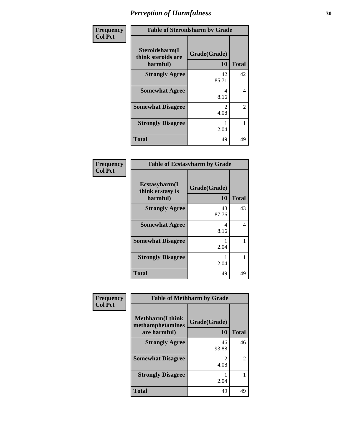| Frequency      | <b>Table of Steroidsharm by Grade</b>            |                        |              |
|----------------|--------------------------------------------------|------------------------|--------------|
| <b>Col Pct</b> | Steroidsharm(I<br>think steroids are<br>harmful) | Grade(Grade)<br>10     | <b>Total</b> |
|                | <b>Strongly Agree</b>                            | 42<br>85.71            | 42           |
|                | <b>Somewhat Agree</b>                            | 4<br>8.16              | 4            |
|                | <b>Somewhat Disagree</b>                         | $\mathfrak{D}$<br>4.08 | 2            |
|                | <b>Strongly Disagree</b>                         | 2.04                   | 1            |
|                | <b>Total</b>                                     | 49                     | 49           |

| <b>Table of Ecstasyharm by Grade</b>          |                    |              |  |
|-----------------------------------------------|--------------------|--------------|--|
| Ecstasyharm(I<br>think ecstasy is<br>harmful) | Grade(Grade)<br>10 | <b>Total</b> |  |
| <b>Strongly Agree</b>                         | 43<br>87.76        | 43           |  |
| <b>Somewhat Agree</b>                         | 4<br>8.16          | 4            |  |
| <b>Somewhat Disagree</b>                      | 1<br>2.04          | 1            |  |
| <b>Strongly Disagree</b>                      | 2.04               |              |  |
| Total                                         | 49                 | 49           |  |

| Frequency      | <b>Table of Methharm by Grade</b>                            |                    |              |
|----------------|--------------------------------------------------------------|--------------------|--------------|
| <b>Col Pct</b> | <b>Methharm</b> (I think<br>methamphetamines<br>are harmful) | Grade(Grade)<br>10 | <b>Total</b> |
|                | <b>Strongly Agree</b>                                        | 46<br>93.88        | 46           |
|                | <b>Somewhat Disagree</b>                                     | 2<br>4.08          | 2            |
|                | <b>Strongly Disagree</b>                                     | 2.04               |              |
|                | <b>Total</b>                                                 | 49                 | 49           |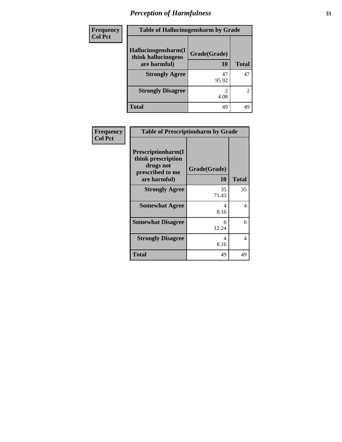| Frequency      | <b>Table of Hallucinogensharm by Grade</b> |              |              |
|----------------|--------------------------------------------|--------------|--------------|
| <b>Col Pct</b> | Hallucinogensharm(I<br>think hallucinogens | Grade(Grade) |              |
|                | are harmful)                               | 10           | <b>Total</b> |
|                | <b>Strongly Agree</b>                      | 47<br>95.92  | 47           |
|                | <b>Strongly Disagree</b>                   | 4.08         | 2            |
|                | <b>Total</b>                               | 49           | 49           |

| Frequency      | <b>Table of Prescriptionharm by Grade</b>                                                 |                    |                |
|----------------|-------------------------------------------------------------------------------------------|--------------------|----------------|
| <b>Col Pct</b> | Prescriptionharm(I<br>think prescription<br>drugs not<br>prescribed to me<br>are harmful) | Grade(Grade)<br>10 | <b>Total</b>   |
|                | <b>Strongly Agree</b>                                                                     | 35<br>71.43        | 35             |
|                | <b>Somewhat Agree</b>                                                                     | 4<br>8.16          | $\overline{4}$ |
|                | <b>Somewhat Disagree</b>                                                                  | 6<br>12.24         | 6              |
|                | <b>Strongly Disagree</b>                                                                  | 4<br>8.16          | $\overline{4}$ |
|                | <b>Total</b>                                                                              | 49                 | 49             |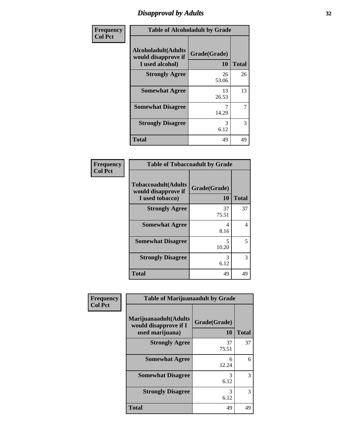## *Disapproval by Adults* **32**

| Frequency      |                                                                       | <b>Table of Alcoholadult by Grade</b> |              |
|----------------|-----------------------------------------------------------------------|---------------------------------------|--------------|
| <b>Col Pct</b> | <b>Alcoholadult</b> (Adults<br>would disapprove if<br>I used alcohol) | Grade(Grade)<br>10                    | <b>Total</b> |
|                | <b>Strongly Agree</b>                                                 | 26<br>53.06                           | 26           |
|                | <b>Somewhat Agree</b>                                                 | 13<br>26.53                           | 13           |
|                | <b>Somewhat Disagree</b>                                              | 14.29                                 | 7            |
|                | <b>Strongly Disagree</b>                                              | 3<br>6.12                             | 3            |
|                | <b>Total</b>                                                          | 49                                    | 49           |

| Frequency      |
|----------------|
| <b>Col Pct</b> |

| <b>Table of Tobaccoadult by Grade</b>                                 |                    |              |  |
|-----------------------------------------------------------------------|--------------------|--------------|--|
| <b>Tobaccoadult</b> (Adults<br>would disapprove if<br>I used tobacco) | Grade(Grade)<br>10 | <b>Total</b> |  |
| <b>Strongly Agree</b>                                                 | 37<br>75.51        | 37           |  |
| <b>Somewhat Agree</b>                                                 | 4<br>8.16          | 4            |  |
| <b>Somewhat Disagree</b>                                              | 5<br>10.20         | 5            |  |
| <b>Strongly Disagree</b>                                              | 3<br>6.12          | 3            |  |
| Total                                                                 | 49                 | 49           |  |

| Frequency      | <b>Table of Marijuanaadult by Grade</b>                           |                    |              |
|----------------|-------------------------------------------------------------------|--------------------|--------------|
| <b>Col Pct</b> | Marijuanaadult(Adults<br>would disapprove if I<br>used marijuana) | Grade(Grade)<br>10 | <b>Total</b> |
|                | <b>Strongly Agree</b>                                             | 37<br>75.51        | 37           |
|                | <b>Somewhat Agree</b>                                             | 6<br>12.24         | 6            |
|                | <b>Somewhat Disagree</b>                                          | 3<br>6.12          | 3            |
|                | <b>Strongly Disagree</b>                                          | 3<br>6.12          | 3            |
|                | <b>Total</b>                                                      | 49                 | 49           |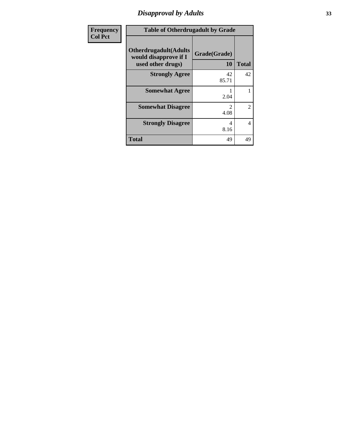# *Disapproval by Adults* **33**

| Frequency      | <b>Table of Otherdrugadult by Grade</b>                                     |                    |              |
|----------------|-----------------------------------------------------------------------------|--------------------|--------------|
| <b>Col Pct</b> | <b>Otherdrugadult</b> (Adults<br>would disapprove if I<br>used other drugs) | Grade(Grade)<br>10 | <b>Total</b> |
|                | <b>Strongly Agree</b>                                                       | 42<br>85.71        | 42           |
|                | <b>Somewhat Agree</b>                                                       | 2.04               |              |
|                | <b>Somewhat Disagree</b>                                                    | 2<br>4.08          | 2            |
|                | <b>Strongly Disagree</b>                                                    | 4<br>8.16          | 4            |
|                | <b>Total</b>                                                                | 49                 | 49           |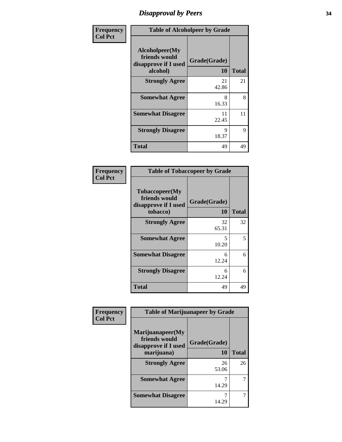## *Disapproval by Peers* **34**

| Frequency      | <b>Table of Alcoholpeer by Grade</b>                                |                    |              |
|----------------|---------------------------------------------------------------------|--------------------|--------------|
| <b>Col Pct</b> | Alcoholpeer(My<br>friends would<br>disapprove if I used<br>alcohol) | Grade(Grade)<br>10 | <b>Total</b> |
|                | <b>Strongly Agree</b>                                               | 21<br>42.86        | 21           |
|                | <b>Somewhat Agree</b>                                               | 8<br>16.33         | 8            |
|                | <b>Somewhat Disagree</b>                                            | 11<br>22.45        | 11           |
|                | <b>Strongly Disagree</b>                                            | Q<br>18.37         | 9            |
|                | <b>Total</b>                                                        | 49                 | 49           |

|         | <b>Frequency</b> |
|---------|------------------|
| Col Pct |                  |

| <b>Table of Tobaccopeer by Grade</b>                                |                    |              |
|---------------------------------------------------------------------|--------------------|--------------|
| Tobaccopeer(My<br>friends would<br>disapprove if I used<br>tobacco) | Grade(Grade)<br>10 | <b>Total</b> |
| <b>Strongly Agree</b>                                               | 32<br>65.31        | 32           |
| <b>Somewhat Agree</b>                                               | 5.<br>10.20        | 5            |
| <b>Somewhat Disagree</b>                                            | 6<br>12.24         | 6            |
| <b>Strongly Disagree</b>                                            | 6<br>12.24         | 6            |
| Total                                                               | 49                 | 49           |

| Frequency      | <b>Table of Marijuanapeer by Grade</b>                    |              |              |
|----------------|-----------------------------------------------------------|--------------|--------------|
| <b>Col Pct</b> | Marijuanapeer(My<br>friends would<br>disapprove if I used | Grade(Grade) |              |
|                | marijuana)                                                | 10           | <b>Total</b> |
|                | <b>Strongly Agree</b>                                     | 26<br>53.06  | 26           |
|                | <b>Somewhat Agree</b>                                     | 14.29        |              |
|                | <b>Somewhat Disagree</b>                                  | 14.29        |              |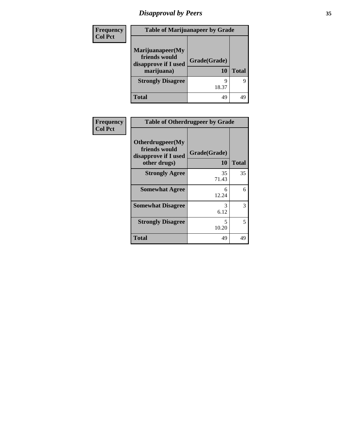# *Disapproval by Peers* **35**

| Frequency<br><b>Col Pct</b> | <b>Table of Marijuanapeer by Grade</b>                                  |                    |              |
|-----------------------------|-------------------------------------------------------------------------|--------------------|--------------|
|                             | Marijuanapeer(My<br>friends would<br>disapprove if I used<br>marijuana) | Grade(Grade)<br>10 | <b>Total</b> |
|                             | <b>Strongly Disagree</b>                                                | 18.37              | q            |
|                             | <b>Total</b>                                                            | 49                 | 49           |

| Frequency<br><b>Col Pct</b> | <b>Table of Otherdrugpeer by Grade</b>                                    |                    |              |
|-----------------------------|---------------------------------------------------------------------------|--------------------|--------------|
|                             | Otherdrugpeer(My<br>friends would<br>disapprove if I used<br>other drugs) | Grade(Grade)<br>10 | <b>Total</b> |
|                             | <b>Strongly Agree</b>                                                     | 35<br>71.43        | 35           |
|                             | <b>Somewhat Agree</b>                                                     | 6<br>12.24         | 6            |
|                             | <b>Somewhat Disagree</b>                                                  | 3<br>6.12          | 3            |
|                             | <b>Strongly Disagree</b>                                                  | 5<br>10.20         | 5            |
|                             | Total                                                                     | 49                 | 49           |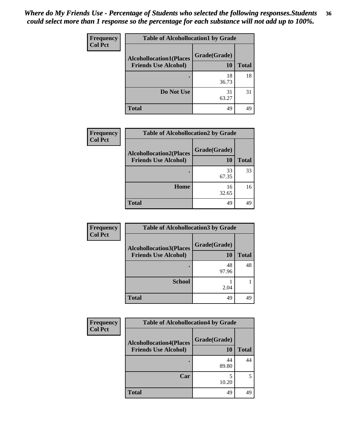#### *Where do My Friends Use - Percentage of Students who selected the following responses.Students could select more than 1 response so the percentage for each substance will not add up to 100%.* **36**

| <b>Frequency</b> | <b>Table of Alcohollocation1 by Grade</b> |              |              |
|------------------|-------------------------------------------|--------------|--------------|
| <b>Col Pct</b>   | <b>Alcohollocation1(Places</b>            | Grade(Grade) |              |
|                  | <b>Friends Use Alcohol)</b>               | 10           | <b>Total</b> |
|                  |                                           | 18<br>36.73  | 18           |
|                  | Do Not Use                                | 31<br>63.27  | 31           |
|                  | <b>Total</b>                              | 49           | 49           |

| Frequency      | <b>Table of Alcohollocation2 by Grade</b>                     |                           |              |
|----------------|---------------------------------------------------------------|---------------------------|--------------|
| <b>Col Pct</b> | <b>Alcohollocation2(Places</b><br><b>Friends Use Alcohol)</b> | Grade(Grade)<br><b>10</b> | <b>Total</b> |
|                |                                                               | 33<br>67.35               | 33           |
|                | Home                                                          | 16<br>32.65               | 16           |
|                | <b>Total</b>                                                  | 49                        | 49           |

| Frequency      | <b>Table of Alcohollocation 3 by Grade</b>                    |                    |              |
|----------------|---------------------------------------------------------------|--------------------|--------------|
| <b>Col Pct</b> | <b>Alcohollocation3(Places</b><br><b>Friends Use Alcohol)</b> | Grade(Grade)<br>10 | <b>Total</b> |
|                |                                                               | 48<br>97.96        | 48           |
|                | <b>School</b>                                                 | 2.04               |              |
|                | <b>Total</b>                                                  | 49                 | 49           |

| Frequency      | <b>Table of Alcohollocation4 by Grade</b>                     |                    |              |
|----------------|---------------------------------------------------------------|--------------------|--------------|
| <b>Col Pct</b> | <b>Alcohollocation4(Places</b><br><b>Friends Use Alcohol)</b> | Grade(Grade)<br>10 | <b>Total</b> |
|                |                                                               | 44<br>89.80        | 44           |
|                | Car                                                           | 10.20              | 5            |
|                | <b>Total</b>                                                  | 49                 | 49           |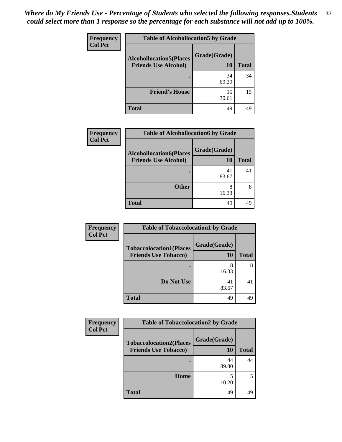| Frequency      | <b>Table of Alcohollocation5 by Grade</b> |              |              |
|----------------|-------------------------------------------|--------------|--------------|
| <b>Col Pct</b> | <b>Alcohollocation5(Places</b>            | Grade(Grade) |              |
|                | <b>Friends Use Alcohol)</b>               | 10           | <b>Total</b> |
|                |                                           | 34<br>69.39  | 34           |
|                | <b>Friend's House</b>                     | 15<br>30.61  | 15           |
|                | <b>Total</b>                              | 49           | 49           |

| <b>Frequency</b> | <b>Table of Alcohollocation6 by Grade</b>                     |                    |              |
|------------------|---------------------------------------------------------------|--------------------|--------------|
| <b>Col Pct</b>   | <b>Alcohollocation6(Places</b><br><b>Friends Use Alcohol)</b> | Grade(Grade)<br>10 | <b>Total</b> |
|                  |                                                               | 41<br>83.67        | 41           |
|                  | <b>Other</b>                                                  | 16.33              | 8            |
|                  | <b>Total</b>                                                  | 49                 | 49           |

| <b>Frequency</b> | <b>Table of Tobaccolocation1 by Grade</b>                     |                    |              |
|------------------|---------------------------------------------------------------|--------------------|--------------|
| <b>Col Pct</b>   | <b>Tobaccolocation1(Places</b><br><b>Friends Use Tobacco)</b> | Grade(Grade)<br>10 | <b>Total</b> |
|                  |                                                               | 8<br>16.33         |              |
|                  | Do Not Use                                                    | 41<br>83.67        |              |
|                  | <b>Total</b>                                                  | 49                 |              |

| <b>Frequency</b> | <b>Table of Tobaccolocation2 by Grade</b>                     |                    |              |
|------------------|---------------------------------------------------------------|--------------------|--------------|
| <b>Col Pct</b>   | <b>Tobaccolocation2(Places</b><br><b>Friends Use Tobacco)</b> | Grade(Grade)<br>10 | <b>Total</b> |
|                  |                                                               | 44<br>89.80        | 44           |
|                  | <b>Home</b>                                                   | 10.20              |              |
|                  | <b>Total</b>                                                  | 49                 | 49           |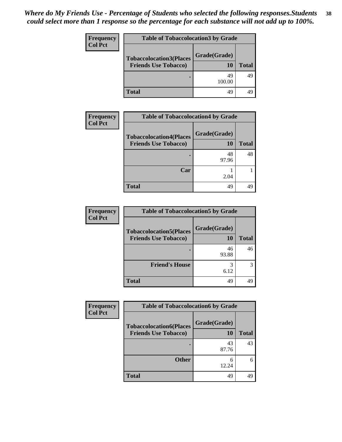| <b>Frequency</b> | <b>Table of Tobaccolocation3 by Grade</b> |              |              |
|------------------|-------------------------------------------|--------------|--------------|
| <b>Col Pct</b>   | <b>Tobaccolocation3(Places</b>            | Grade(Grade) |              |
|                  | <b>Friends Use Tobacco)</b>               | 10           | <b>Total</b> |
|                  |                                           | 49<br>100.00 | 49           |
|                  | <b>Total</b>                              | 49           | 49           |

| Frequency      | <b>Table of Tobaccolocation4 by Grade</b>                     |                    |              |
|----------------|---------------------------------------------------------------|--------------------|--------------|
| <b>Col Pct</b> | <b>Tobaccolocation4(Places</b><br><b>Friends Use Tobacco)</b> | Grade(Grade)<br>10 | <b>Total</b> |
|                |                                                               | 48<br>97.96        | 48           |
|                | Car                                                           | 2.04               |              |
|                | <b>Total</b>                                                  | 49                 | 49           |

| <b>Frequency</b> | <b>Table of Tobaccolocation5 by Grade</b> |              |              |
|------------------|-------------------------------------------|--------------|--------------|
| <b>Col Pct</b>   | <b>Tobaccolocation5(Places</b>            | Grade(Grade) |              |
|                  | <b>Friends Use Tobacco)</b>               | 10           | <b>Total</b> |
|                  |                                           | 46<br>93.88  | 46           |
|                  | <b>Friend's House</b>                     | 3<br>6.12    |              |
|                  | Total                                     | 49           | 49           |

| <b>Frequency</b> | <b>Table of Tobaccolocation6 by Grade</b>                     |                    |              |
|------------------|---------------------------------------------------------------|--------------------|--------------|
| <b>Col Pct</b>   | <b>Tobaccolocation6(Places</b><br><b>Friends Use Tobacco)</b> | Grade(Grade)<br>10 | <b>Total</b> |
|                  |                                                               | 43<br>87.76        | 43           |
|                  | <b>Other</b>                                                  | 6<br>12.24         |              |
|                  | <b>Total</b>                                                  | 49                 | 49           |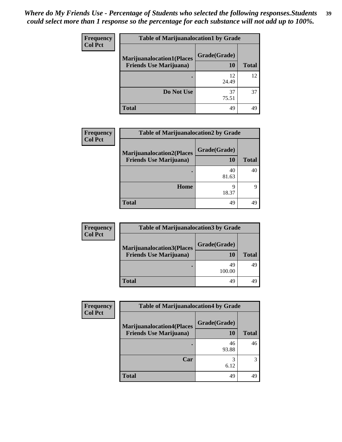| <b>Frequency</b> | <b>Table of Marijuanalocation1 by Grade</b> |              |              |
|------------------|---------------------------------------------|--------------|--------------|
| <b>Col Pct</b>   | <b>Marijuanalocation1(Places</b>            | Grade(Grade) |              |
|                  | <b>Friends Use Marijuana</b> )              | 10           | <b>Total</b> |
|                  |                                             | 12<br>24.49  | 12           |
|                  | Do Not Use                                  | 37<br>75.51  | 37           |
|                  | <b>Total</b>                                | 49           | 49           |

| Frequency      | <b>Table of Marijuanalocation2 by Grade</b>                        |                    |              |
|----------------|--------------------------------------------------------------------|--------------------|--------------|
| <b>Col Pct</b> | <b>Marijuanalocation2(Places</b><br><b>Friends Use Marijuana</b> ) | Grade(Grade)<br>10 | <b>Total</b> |
|                |                                                                    | 40<br>81.63        | 40           |
|                | Home                                                               | q<br>18.37         | Q            |
|                | <b>Total</b>                                                       | 49                 | 49           |

 $\overline{\phantom{a}}$ 

| <b>Frequency</b> | <b>Table of Marijuanalocation3 by Grade</b> |              |              |
|------------------|---------------------------------------------|--------------|--------------|
| <b>Col Pct</b>   | <b>Marijuanalocation3(Places</b>            | Grade(Grade) |              |
|                  | <b>Friends Use Marijuana</b> )              | 10           | <b>Total</b> |
|                  |                                             | 49<br>100.00 | 49           |
|                  | <b>Total</b>                                | 49           |              |

| Frequency      | <b>Table of Marijuanalocation4 by Grade</b>                        |                    |              |
|----------------|--------------------------------------------------------------------|--------------------|--------------|
| <b>Col Pct</b> | <b>Marijuanalocation4(Places</b><br><b>Friends Use Marijuana</b> ) | Grade(Grade)<br>10 | <b>Total</b> |
|                |                                                                    | 46<br>93.88        | 46           |
|                | Car                                                                | 3<br>6.12          |              |
|                | <b>Total</b>                                                       | 49                 | 49           |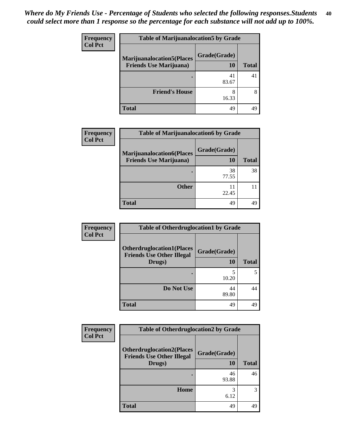| <b>Frequency</b> | <b>Table of Marijuanalocation5 by Grade</b> |              |              |
|------------------|---------------------------------------------|--------------|--------------|
| <b>Col Pct</b>   | <b>Marijuanalocation5(Places</b>            | Grade(Grade) |              |
|                  | <b>Friends Use Marijuana</b> )              | 10           | <b>Total</b> |
|                  |                                             | 41<br>83.67  | 41           |
|                  | <b>Friend's House</b>                       | 16.33        | 8            |
|                  | <b>Total</b>                                | 49           | 49           |

| <b>Frequency</b> | <b>Table of Marijuanalocation6 by Grade</b>                        |                    |              |
|------------------|--------------------------------------------------------------------|--------------------|--------------|
| <b>Col Pct</b>   | <b>Marijuanalocation6(Places</b><br><b>Friends Use Marijuana</b> ) | Grade(Grade)<br>10 | <b>Total</b> |
|                  |                                                                    | 38<br>77.55        | 38           |
|                  | <b>Other</b>                                                       | 22.45              |              |
|                  | <b>Total</b>                                                       | 49                 | 49           |

| Frequency      | <b>Table of Otherdruglocation1 by Grade</b>                                    |                    |              |
|----------------|--------------------------------------------------------------------------------|--------------------|--------------|
| <b>Col Pct</b> | <b>Otherdruglocation1(Places</b><br><b>Friends Use Other Illegal</b><br>Drugs) | Grade(Grade)<br>10 | <b>Total</b> |
|                |                                                                                | 10.20              | 5            |
|                | Do Not Use                                                                     | 44<br>89.80        | 44           |
|                | <b>Total</b>                                                                   | 49                 | 49           |

| <b>Frequency</b> | <b>Table of Otherdruglocation2 by Grade</b>                                    |                    |              |
|------------------|--------------------------------------------------------------------------------|--------------------|--------------|
| <b>Col Pct</b>   | <b>Otherdruglocation2(Places</b><br><b>Friends Use Other Illegal</b><br>Drugs) | Grade(Grade)<br>10 | <b>Total</b> |
|                  |                                                                                | 46<br>93.88        | 46           |
|                  | Home                                                                           | 6.12               | 3            |
|                  | <b>Total</b>                                                                   | 49                 | 49           |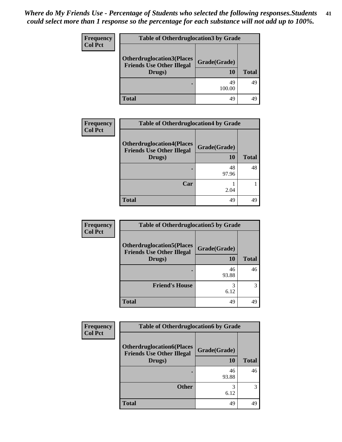| <b>Frequency</b> | <b>Table of Otherdruglocation 3 by Grade</b> |              |              |
|------------------|----------------------------------------------|--------------|--------------|
| <b>Col Pct</b>   | <b>Otherdruglocation3(Places</b>             | Grade(Grade) |              |
|                  | <b>Friends Use Other Illegal</b><br>Drugs)   | 10           | <b>Total</b> |
|                  |                                              | 49<br>100.00 | 49           |
|                  | Total                                        | 49           | 49           |

| <b>Frequency</b> | <b>Table of Otherdruglocation4 by Grade</b>                                    |                    |              |
|------------------|--------------------------------------------------------------------------------|--------------------|--------------|
| <b>Col Pct</b>   | <b>Otherdruglocation4(Places</b><br><b>Friends Use Other Illegal</b><br>Drugs) | Grade(Grade)<br>10 | <b>Total</b> |
|                  |                                                                                | 48<br>97.96        | 48           |
|                  | Car                                                                            | 2.04               |              |
|                  | <b>Total</b>                                                                   | 49                 | 49           |

| Frequency<br><b>Col Pct</b> | <b>Table of Otherdruglocation5 by Grade</b>                          |              |              |
|-----------------------------|----------------------------------------------------------------------|--------------|--------------|
|                             | <b>Otherdruglocation5(Places</b><br><b>Friends Use Other Illegal</b> | Grade(Grade) |              |
|                             | Drugs)                                                               | 10           | <b>Total</b> |
|                             |                                                                      | 46<br>93.88  | 46           |
|                             | <b>Friend's House</b>                                                | 6.12         | 3            |
|                             | <b>Total</b>                                                         | 49           | 49           |

| <b>Frequency</b> | <b>Table of Otherdruglocation6 by Grade</b>                                    |                           |              |
|------------------|--------------------------------------------------------------------------------|---------------------------|--------------|
| <b>Col Pct</b>   | <b>Otherdruglocation6(Places</b><br><b>Friends Use Other Illegal</b><br>Drugs) | Grade(Grade)<br><b>10</b> | <b>Total</b> |
|                  |                                                                                | 46<br>93.88               | 46           |
|                  | <b>Other</b>                                                                   | 3<br>6.12                 | 3            |
|                  | <b>Total</b>                                                                   | 49                        | 49           |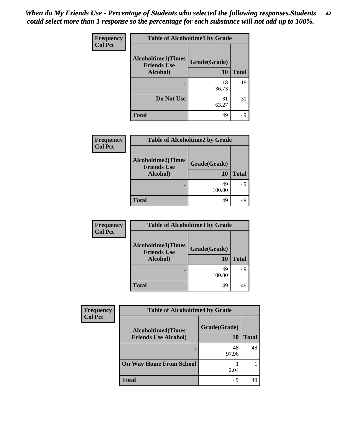| <b>Frequency</b> | <b>Table of Alcoholtime1 by Grade</b>           |              |              |
|------------------|-------------------------------------------------|--------------|--------------|
| <b>Col Pct</b>   | <b>Alcoholtime1(Times</b><br><b>Friends Use</b> | Grade(Grade) |              |
|                  | Alcohol)                                        | 10           | <b>Total</b> |
|                  |                                                 | 18           | 18           |
|                  |                                                 | 36.73        |              |
|                  | Do Not Use                                      | 31           | 31           |
|                  |                                                 | 63.27        |              |
|                  | <b>Total</b>                                    | 49           | 49           |

| <b>Frequency</b> | <b>Table of Alcoholtime2 by Grade</b>                       |                    |              |
|------------------|-------------------------------------------------------------|--------------------|--------------|
| <b>Col Pct</b>   | <b>Alcoholtime2(Times</b><br><b>Friends Use</b><br>Alcohol) | Grade(Grade)<br>10 | <b>Total</b> |
|                  |                                                             | 49<br>100.00       | 49           |
|                  | <b>Total</b>                                                | 49                 | 49           |

| <b>Frequency</b> | <b>Table of Alcoholtime3 by Grade</b>                       |                    |              |
|------------------|-------------------------------------------------------------|--------------------|--------------|
| <b>Col Pct</b>   | <b>Alcoholtime3(Times</b><br><b>Friends Use</b><br>Alcohol) | Grade(Grade)<br>10 | <b>Total</b> |
|                  |                                                             | 49<br>100.00       | 49           |
|                  | <b>Total</b>                                                | 49                 | 49           |

| Frequency      | <b>Table of Alcoholtime4 by Grade</b>                    |                    |              |
|----------------|----------------------------------------------------------|--------------------|--------------|
| <b>Col Pct</b> | <b>Alcoholtime4(Times</b><br><b>Friends Use Alcohol)</b> | Grade(Grade)<br>10 | <b>Total</b> |
|                |                                                          | 48<br>97.96        | 48           |
|                | <b>On Way Home From School</b>                           | 2.04               |              |
|                | <b>Total</b>                                             | 49                 | 49           |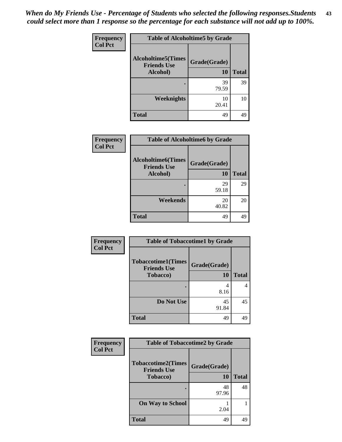| Frequency      | <b>Table of Alcoholtime5 by Grade</b>           |              |              |
|----------------|-------------------------------------------------|--------------|--------------|
| <b>Col Pct</b> | <b>Alcoholtime5(Times</b><br><b>Friends Use</b> | Grade(Grade) |              |
|                | Alcohol)                                        | 10           | <b>Total</b> |
|                |                                                 | 39<br>79.59  | 39           |
|                | <b>Weeknights</b>                               | 10<br>20.41  | 10           |
|                | <b>Total</b>                                    | 49           | 49           |

| Frequency      | <b>Table of Alcoholtime6 by Grade</b>           |              |              |
|----------------|-------------------------------------------------|--------------|--------------|
| <b>Col Pct</b> | <b>Alcoholtime6(Times</b><br><b>Friends Use</b> | Grade(Grade) |              |
|                | Alcohol)                                        | <b>10</b>    | <b>Total</b> |
|                |                                                 | 29<br>59.18  | 29           |
|                | Weekends                                        | 20<br>40.82  | 20           |
|                | <b>Total</b>                                    | 49           | 49           |

| Frequency      | <b>Table of Tobaccotime1 by Grade</b>           |              |              |
|----------------|-------------------------------------------------|--------------|--------------|
| <b>Col Pct</b> | <b>Tobaccotime1(Times</b><br><b>Friends Use</b> | Grade(Grade) |              |
|                | <b>Tobacco</b> )                                | <b>10</b>    | <b>Total</b> |
|                |                                                 | 4            | 4            |
|                |                                                 | 8.16         |              |
|                | Do Not Use                                      | 45<br>91.84  | 45           |
|                | <b>Total</b>                                    | 49           | 49           |

| Frequency      | <b>Table of Tobaccotime2 by Grade</b>           |              |              |
|----------------|-------------------------------------------------|--------------|--------------|
| <b>Col Pct</b> | <b>Tobaccotime2(Times</b><br><b>Friends Use</b> | Grade(Grade) |              |
|                | <b>Tobacco</b> )                                | 10           | <b>Total</b> |
|                |                                                 | 48<br>97.96  | 48           |
|                | <b>On Way to School</b>                         | 2.04         |              |
|                | <b>Total</b>                                    | 49           | 49           |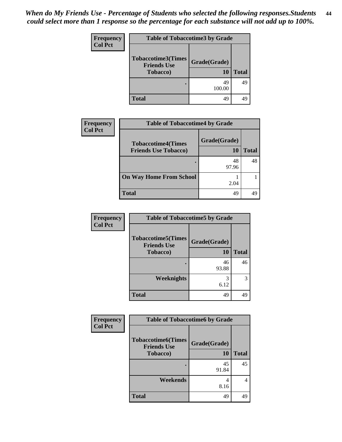| <b>Frequency</b> | <b>Table of Tobaccotime3 by Grade</b> |              |              |
|------------------|---------------------------------------|--------------|--------------|
| <b>Col Pct</b>   | <b>Tobaccotime3(Times</b>             |              |              |
|                  | <b>Friends Use</b>                    | Grade(Grade) |              |
|                  | <b>Tobacco</b> )                      | 10           | <b>Total</b> |
|                  | ٠                                     | 49           | 49           |
|                  |                                       | 100.00       |              |
|                  | Total                                 | 49           | 49           |

| Frequency      | <b>Table of Tobaccotime4 by Grade</b>                    |                    |       |  |
|----------------|----------------------------------------------------------|--------------------|-------|--|
| <b>Col Pct</b> | <b>Tobaccotime4(Times</b><br><b>Friends Use Tobacco)</b> | Grade(Grade)<br>10 | Total |  |
|                |                                                          | 48<br>97.96        | 48    |  |
|                | <b>On Way Home From School</b>                           | 2.04               |       |  |
|                | <b>Total</b>                                             | 49                 | 49    |  |

| <b>Frequency</b> | <b>Table of Tobaccotime5 by Grade</b>                               |                    |              |
|------------------|---------------------------------------------------------------------|--------------------|--------------|
| <b>Col Pct</b>   | <b>Tobaccotime5(Times</b><br><b>Friends Use</b><br><b>Tobacco</b> ) | Grade(Grade)<br>10 | <b>Total</b> |
|                  | ٠                                                                   | 46<br>93.88        | 46           |
|                  | Weeknights                                                          | 3<br>6.12          | 3            |
|                  | <b>Total</b>                                                        | 49                 | 49           |

| Frequency      | <b>Table of Tobaccotime6 by Grade</b>           |              |              |
|----------------|-------------------------------------------------|--------------|--------------|
| <b>Col Pct</b> | <b>Tobaccotime6(Times</b><br><b>Friends Use</b> | Grade(Grade) |              |
|                | <b>Tobacco</b> )                                | 10           | <b>Total</b> |
|                |                                                 | 45<br>91.84  | 45           |
|                | Weekends                                        | 4<br>8.16    | 4            |
|                | <b>Total</b>                                    | 49           | 49           |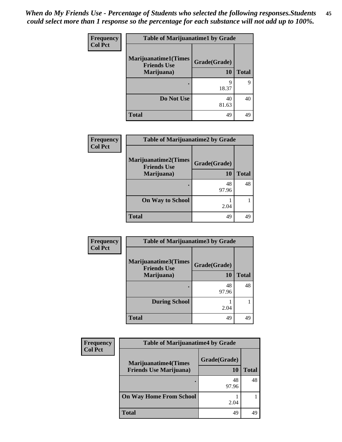| Frequency      | <b>Table of Marijuanatime1 by Grade</b>           |              |              |
|----------------|---------------------------------------------------|--------------|--------------|
| <b>Col Pct</b> | <b>Marijuanatime1(Times</b><br><b>Friends Use</b> | Grade(Grade) |              |
|                | Marijuana)                                        | <b>10</b>    | <b>Total</b> |
|                |                                                   | 9<br>18.37   | 9            |
|                | Do Not Use                                        | 40<br>81.63  | 40           |
|                | <b>Total</b>                                      | 49           | 49           |

| Frequency      | <b>Table of Marijuanatime2 by Grade</b>            |              |              |
|----------------|----------------------------------------------------|--------------|--------------|
| <b>Col Pct</b> | <b>Marijuanatime2</b> (Times<br><b>Friends Use</b> | Grade(Grade) |              |
|                | Marijuana)                                         | 10           | <b>Total</b> |
|                |                                                    | 48<br>97.96  | 48           |
|                | <b>On Way to School</b>                            | 2.04         |              |
|                | <b>Total</b>                                       | 49           |              |

| Frequency      | <b>Table of Marijuanatime3 by Grade</b>    |              |              |
|----------------|--------------------------------------------|--------------|--------------|
| <b>Col Pct</b> | Marijuanatime3(Times<br><b>Friends Use</b> | Grade(Grade) |              |
|                | Marijuana)                                 | 10           | <b>Total</b> |
|                |                                            | 48<br>97.96  | 48           |
|                | <b>During School</b>                       | 2.04         |              |
|                | <b>Total</b>                               | 49           | 49           |

| <b>Frequency</b> | <b>Table of Marijuanatime4 by Grade</b>                        |                    |       |
|------------------|----------------------------------------------------------------|--------------------|-------|
| <b>Col Pct</b>   | <b>Marijuanatime4</b> (Times<br><b>Friends Use Marijuana</b> ) | Grade(Grade)<br>10 | Total |
|                  |                                                                | 48<br>97.96        | 48    |
|                  | <b>On Way Home From School</b>                                 | 2.04               |       |
|                  | <b>Total</b>                                                   | 49                 | 49    |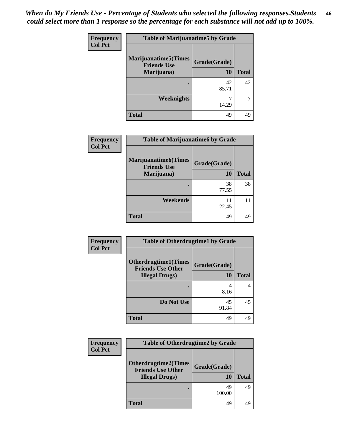| <b>Frequency</b> | <b>Table of Marijuanatime5 by Grade</b>                          |                    |              |
|------------------|------------------------------------------------------------------|--------------------|--------------|
| <b>Col Pct</b>   | <b>Marijuanatime5</b> (Times<br><b>Friends Use</b><br>Marijuana) | Grade(Grade)<br>10 | <b>Total</b> |
|                  |                                                                  | 42<br>85.71        | 42           |
|                  | Weeknights                                                       | 14.29              |              |
|                  | Total                                                            | 49                 | 49           |

| <b>Frequency</b> | <b>Table of Marijuanatime6 by Grade</b>                          |                           |              |
|------------------|------------------------------------------------------------------|---------------------------|--------------|
| <b>Col Pct</b>   | <b>Marijuanatime6</b> (Times<br><b>Friends Use</b><br>Marijuana) | Grade(Grade)<br><b>10</b> | <b>Total</b> |
|                  |                                                                  | 38<br>77.55               | 38           |
|                  | Weekends                                                         | 11<br>22.45               | 11           |
|                  | <b>Total</b>                                                     | 49                        | 49           |

| Frequency      | <b>Table of Otherdrugtime1 by Grade</b>                 |              |              |
|----------------|---------------------------------------------------------|--------------|--------------|
| <b>Col Pct</b> | <b>Otherdrugtime1(Times</b><br><b>Friends Use Other</b> | Grade(Grade) |              |
|                | <b>Illegal Drugs</b> )                                  | 10           | <b>Total</b> |
|                |                                                         | 4<br>8.16    | 4            |
|                | Do Not Use                                              | 45<br>91.84  | 45           |
|                | <b>Total</b>                                            | 49           | 49           |

| <b>Frequency</b> | <b>Table of Otherdrugtime2 by Grade</b>                 |              |              |
|------------------|---------------------------------------------------------|--------------|--------------|
| <b>Col Pct</b>   | <b>Otherdrugtime2(Times</b><br><b>Friends Use Other</b> | Grade(Grade) |              |
|                  | <b>Illegal Drugs</b> )                                  | 10           | <b>Total</b> |
|                  |                                                         | 49<br>100.00 | 49           |
|                  | <b>Total</b>                                            | 49           | 49           |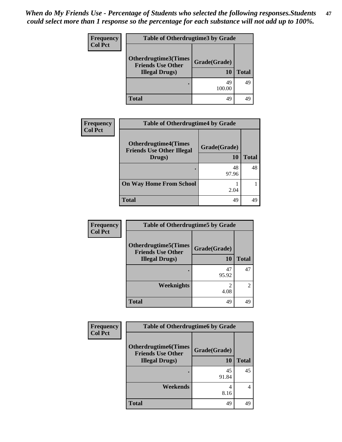| Frequency      |                                                                                   | <b>Table of Otherdrugtime3 by Grade</b> |              |
|----------------|-----------------------------------------------------------------------------------|-----------------------------------------|--------------|
| <b>Col Pct</b> | <b>Otherdrugtime3(Times</b><br><b>Friends Use Other</b><br><b>Illegal Drugs</b> ) | Grade(Grade)<br>10                      | <b>Total</b> |
|                |                                                                                   | 49<br>100.00                            | 49           |
|                | <b>Total</b>                                                                      | 49                                      | 49           |

| <b>Frequency</b> | <b>Table of Otherdrugtime4 by Grade</b>                                   |                    |              |
|------------------|---------------------------------------------------------------------------|--------------------|--------------|
| <b>Col Pct</b>   | <b>Otherdrugtime4(Times</b><br><b>Friends Use Other Illegal</b><br>Drugs) | Grade(Grade)<br>10 | <b>Total</b> |
|                  |                                                                           | 48<br>97.96        | 48           |
|                  | <b>On Way Home From School</b>                                            | 2.04               |              |
|                  | <b>Total</b>                                                              | 49                 | 49           |

| Frequency      | <b>Table of Otherdrugtime5 by Grade</b>                  |                        |                             |
|----------------|----------------------------------------------------------|------------------------|-----------------------------|
| <b>Col Pct</b> | <b>Otherdrugtime5</b> (Times<br><b>Friends Use Other</b> | Grade(Grade)           |                             |
|                | <b>Illegal Drugs</b> )                                   | 10                     | <b>Total</b>                |
|                |                                                          | 47<br>95.92            | 47                          |
|                | <b>Weeknights</b>                                        | $\mathfrak{D}$<br>4.08 | $\mathcal{D}_{\mathcal{L}}$ |
|                | <b>Total</b>                                             | 49                     | 49                          |

| <b>Frequency</b> | <b>Table of Otherdrugtime6 by Grade</b>                                            |                           |              |
|------------------|------------------------------------------------------------------------------------|---------------------------|--------------|
| <b>Col Pct</b>   | <b>Otherdrugtime6</b> (Times<br><b>Friends Use Other</b><br><b>Illegal Drugs</b> ) | Grade(Grade)<br><b>10</b> | <b>Total</b> |
|                  |                                                                                    | 45<br>91.84               | 45           |
|                  | Weekends                                                                           | 4<br>8.16                 | 4            |
|                  | <b>Total</b>                                                                       | 49                        | 49           |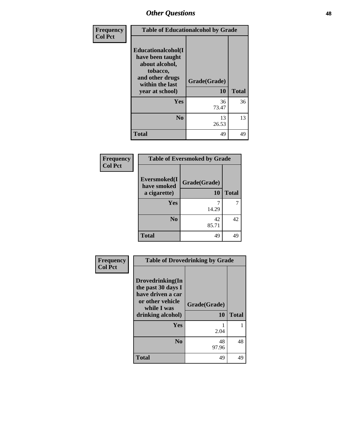| Frequency      | <b>Table of Educationalcohol by Grade</b>                                                                                     |                    |              |
|----------------|-------------------------------------------------------------------------------------------------------------------------------|--------------------|--------------|
| <b>Col Pct</b> | Educationalcohol(I<br>have been taught<br>about alcohol,<br>tobacco,<br>and other drugs<br>within the last<br>year at school) | Grade(Grade)<br>10 | <b>Total</b> |
|                | <b>Yes</b>                                                                                                                    | 36<br>73.47        | 36           |
|                | N <sub>0</sub>                                                                                                                | 13<br>26.53        | 13           |
|                | <b>Total</b>                                                                                                                  | 49                 | 49           |

| Frequency      | <b>Table of Eversmoked by Grade</b> |              |              |
|----------------|-------------------------------------|--------------|--------------|
| <b>Col Pct</b> | Eversmoked(I<br>have smoked         | Grade(Grade) |              |
|                | a cigarette)                        | 10           | <b>Total</b> |
|                | Yes                                 |              |              |
|                |                                     | 14.29        |              |
|                | N <sub>0</sub>                      | 42           | 42           |
|                |                                     | 85.71        |              |
|                | <b>Total</b>                        | 49           | 49           |

| Frequency      | <b>Table of Drovedrinking by Grade</b>                                                                              |                    |              |
|----------------|---------------------------------------------------------------------------------------------------------------------|--------------------|--------------|
| <b>Col Pct</b> | Drovedrinking(In<br>the past 30 days I<br>have driven a car<br>or other vehicle<br>while I was<br>drinking alcohol) | Grade(Grade)<br>10 | <b>Total</b> |
|                | <b>Yes</b>                                                                                                          | 2.04               |              |
|                | N <sub>0</sub>                                                                                                      | 48<br>97.96        | 48           |
|                | <b>Total</b>                                                                                                        | 49                 | 49           |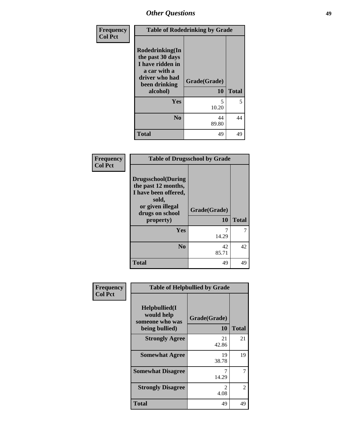| Frequency      | <b>Table of Rodedrinking by Grade</b>                                                                                  |                    |              |
|----------------|------------------------------------------------------------------------------------------------------------------------|--------------------|--------------|
| <b>Col Pct</b> | Rodedrinking(In<br>the past 30 days<br>I have ridden in<br>a car with a<br>driver who had<br>been drinking<br>alcohol) | Grade(Grade)<br>10 | <b>Total</b> |
|                | <b>Yes</b>                                                                                                             | 5<br>10.20         | 5            |
|                | N <sub>0</sub>                                                                                                         | 44<br>89.80        | 44           |
|                | <b>Total</b>                                                                                                           | 49                 | 49           |

### **Frequency Col Pct**

| <b>Table of Drugsschool by Grade</b>                                                                                      |              |              |  |  |  |
|---------------------------------------------------------------------------------------------------------------------------|--------------|--------------|--|--|--|
| <b>Drugsschool</b> (During<br>the past 12 months,<br>I have been offered,<br>sold,<br>or given illegal<br>drugs on school | Grade(Grade) |              |  |  |  |
|                                                                                                                           |              |              |  |  |  |
| property)                                                                                                                 | 10           | <b>Total</b> |  |  |  |
| Yes                                                                                                                       |              |              |  |  |  |
|                                                                                                                           | 14.29        |              |  |  |  |
| N <sub>0</sub>                                                                                                            | 42           | 42           |  |  |  |
|                                                                                                                           | 85.71        |              |  |  |  |

| Frequency      | <b>Table of Helpbullied by Grade</b>                                   |                        |               |  |  |  |
|----------------|------------------------------------------------------------------------|------------------------|---------------|--|--|--|
| <b>Col Pct</b> | $Helpb$ ullied $(I$<br>would help<br>someone who was<br>being bullied) | Grade(Grade)<br>10     | <b>Total</b>  |  |  |  |
|                | <b>Strongly Agree</b>                                                  | 21<br>42.86            | 21            |  |  |  |
|                | <b>Somewhat Agree</b>                                                  | 19<br>38.78            | 19            |  |  |  |
|                | <b>Somewhat Disagree</b>                                               | 7<br>14.29             | 7             |  |  |  |
|                | <b>Strongly Disagree</b>                                               | $\mathfrak{D}$<br>4.08 | $\mathcal{L}$ |  |  |  |
|                | <b>Total</b>                                                           | 49                     | 49            |  |  |  |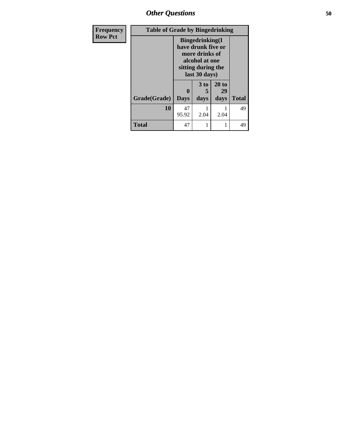*Other Questions* **50**

| <b>Frequency</b> | <b>Table of Grade by Bingedrinking</b> |                                                                                                                          |                      |             |              |
|------------------|----------------------------------------|--------------------------------------------------------------------------------------------------------------------------|----------------------|-------------|--------------|
| <b>Row Pct</b>   |                                        | <b>Bingedrinking</b> (I<br>have drunk five or<br>more drinks of<br>alcohol at one<br>sitting during the<br>last 30 days) |                      |             |              |
|                  |                                        |                                                                                                                          | 3 <sub>to</sub><br>5 | 20 to<br>29 |              |
|                  | Grade(Grade)                           | <b>Days</b>                                                                                                              | days                 | days        | <b>Total</b> |
|                  | 10                                     | 47<br>95.92                                                                                                              | 2.04                 | 2.04        | 49           |
|                  | <b>Total</b>                           | 47                                                                                                                       |                      |             | 49           |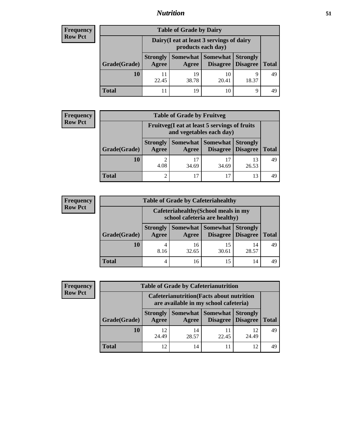## *Nutrition* **51**

## **Frequency Row Pct**

| <b>Table of Grade by Dairy</b> |                                                                 |             |                                        |                                    |              |  |
|--------------------------------|-----------------------------------------------------------------|-------------|----------------------------------------|------------------------------------|--------------|--|
|                                | Dairy (I eat at least 3 servings of dairy<br>products each day) |             |                                        |                                    |              |  |
| Grade(Grade)                   | <b>Strongly</b><br>Agree                                        | Agree       | <b>Somewhat   Somewhat</b><br>Disagree | <b>Strongly</b><br><b>Disagree</b> | <b>Total</b> |  |
| 10                             | 11<br>22.45                                                     | 19<br>38.78 | 10<br>20.41                            | Q<br>18.37                         | 49           |  |
| Total                          | 11                                                              | 19          | 10                                     | Q                                  |              |  |

## **Frequency Row Pct**

| $\mathbf{y}$ | <b>Table of Grade by Fruitveg</b>                                        |                          |             |                   |                                             |              |
|--------------|--------------------------------------------------------------------------|--------------------------|-------------|-------------------|---------------------------------------------|--------------|
|              | Fruitveg(I eat at least 5 servings of fruits<br>and vegetables each day) |                          |             |                   |                                             |              |
|              | Grade(Grade)                                                             | <b>Strongly</b><br>Agree | Agree       | Somewhat Somewhat | <b>Strongly</b><br><b>Disagree</b> Disagree | <b>Total</b> |
|              | 10                                                                       | 2<br>4.08                | 17<br>34.69 | 34.69             | 13<br>26.53                                 | 49           |
|              | Total                                                                    | 2                        | 17          |                   | 13                                          |              |

### **Frequency Row Pct**

| <b>y</b> | <b>Table of Grade by Cafeteriahealthy</b> |                          |                                                                       |             |                                        |              |
|----------|-------------------------------------------|--------------------------|-----------------------------------------------------------------------|-------------|----------------------------------------|--------------|
|          |                                           |                          | Cafeteriahealthy (School meals in my<br>school cafeteria are healthy) |             |                                        |              |
|          | Grade(Grade)                              | <b>Strongly</b><br>Agree | Somewhat  <br>Agree                                                   | Somewhat    | <b>Strongly</b><br>Disagree   Disagree | <b>Total</b> |
|          | 10                                        | 4<br>8.16                | 16<br>32.65                                                           | 15<br>30.61 | 14<br>28.57                            | 49           |
|          | Total                                     | 4                        | 16                                                                    | 15          | 14                                     | 49           |

### **Frequency Row Pct**

| <b>Table of Grade by Cafeterianutrition</b>                                               |                          |                     |                 |                                        |              |
|-------------------------------------------------------------------------------------------|--------------------------|---------------------|-----------------|----------------------------------------|--------------|
| <b>Cafeterianutrition</b> (Facts about nutrition<br>are available in my school cafeteria) |                          |                     |                 |                                        |              |
| Grade(Grade)                                                                              | <b>Strongly</b><br>Agree | Somewhat  <br>Agree | <b>Somewhat</b> | <b>Strongly</b><br>Disagree   Disagree | <b>Total</b> |
| 10                                                                                        | 12<br>24.49              | 14<br>28.57         | 11<br>22.45     | 12<br>24.49                            | 49           |
| <b>Total</b>                                                                              | 12                       | 14                  | 11              | 12.                                    | 49           |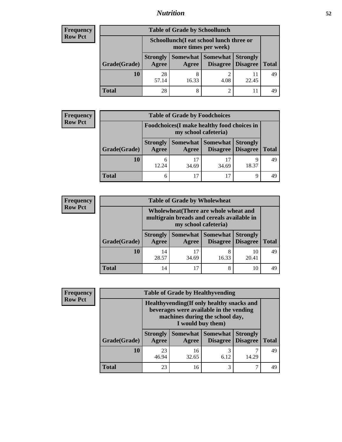## *Nutrition* **52**

## **Frequency Row Pct**

| <b>Table of Grade by Schoollunch</b> |                          |                                                                 |                     |                                        |              |
|--------------------------------------|--------------------------|-----------------------------------------------------------------|---------------------|----------------------------------------|--------------|
|                                      |                          | Schoollunch(I eat school lunch three or<br>more times per week) |                     |                                        |              |
| Grade(Grade)                         | <b>Strongly</b><br>Agree | Agree                                                           | Somewhat   Somewhat | <b>Strongly</b><br>Disagree   Disagree | <b>Total</b> |
| 10                                   | 28<br>57.14              | 16.33                                                           | ി<br>4.08           | 22.45                                  | 49           |
| <b>Total</b>                         | 28                       |                                                                 | $\overline{c}$      |                                        |              |

## **Frequency Row Pct**

٠. п

| $c_{\mathbf{V}}$ | <b>Table of Grade by Foodchoices</b>                                |                          |             |                     |                                        |              |
|------------------|---------------------------------------------------------------------|--------------------------|-------------|---------------------|----------------------------------------|--------------|
|                  | Foodchoices (I make healthy food choices in<br>my school cafeteria) |                          |             |                     |                                        |              |
|                  | Grade(Grade)                                                        | <b>Strongly</b><br>Agree | Agree       | Somewhat   Somewhat | <b>Strongly</b><br>Disagree   Disagree | <b>Total</b> |
|                  | 10                                                                  | 6<br>12.24               | 17<br>34.69 | 34.69               | Q<br>18.37                             | 49           |
|                  | Total                                                               | 6                        | 17          |                     | 9                                      |              |

### **Frequency Row Pct**

| ıcy | <b>Table of Grade by Wholewheat</b> |                                                                                                             |             |                               |                                    |              |
|-----|-------------------------------------|-------------------------------------------------------------------------------------------------------------|-------------|-------------------------------|------------------------------------|--------------|
| t   |                                     | Wholewheat (There are whole wheat and<br>multigrain breads and cereals available in<br>my school cafeteria) |             |                               |                                    |              |
|     | Grade(Grade)                        | <b>Strongly</b><br>Agree                                                                                    | Agree       | Somewhat Somewhat<br>Disagree | <b>Strongly</b><br><b>Disagree</b> | <b>Total</b> |
|     | 10                                  | 14<br>28.57                                                                                                 | 17<br>34.69 | 16.33                         | 10<br>20.41                        | 49           |
|     | <b>Total</b>                        | 14                                                                                                          | 17          | 8                             | 10                                 | 49           |

## **Frequency Row Pct**

|              |                          | <b>Table of Grade by Healthyvending</b>                                                                                                       |                             |                                    |              |  |
|--------------|--------------------------|-----------------------------------------------------------------------------------------------------------------------------------------------|-----------------------------|------------------------------------|--------------|--|
|              |                          | Healthyvending (If only healthy snacks and<br>beverages were available in the vending<br>machines during the school day,<br>I would buy them) |                             |                                    |              |  |
| Grade(Grade) | <b>Strongly</b><br>Agree | Somewhat  <br>Agree                                                                                                                           | <b>Somewhat</b><br>Disagree | <b>Strongly</b><br><b>Disagree</b> | <b>Total</b> |  |
| 10           | 23<br>46.94              | 16<br>32.65                                                                                                                                   | 3<br>6.12                   | 14.29                              | 49           |  |
| <b>Total</b> | 23                       | 16                                                                                                                                            | 3                           |                                    | 49           |  |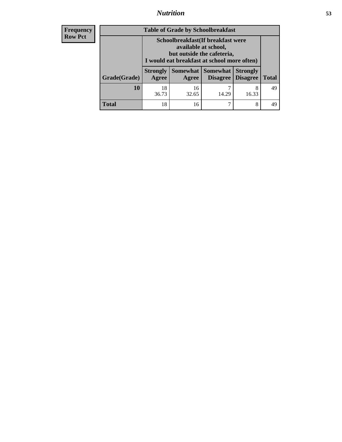# *Nutrition* **53**

| <b>Frequency</b> |
|------------------|
| - Row Pct        |

| <b>Table of Grade by Schoolbreakfast</b> |                                                                                                                                         |             |                                   |                                    |              |
|------------------------------------------|-----------------------------------------------------------------------------------------------------------------------------------------|-------------|-----------------------------------|------------------------------------|--------------|
|                                          | Schoolbreakfast (If breakfast were<br>available at school,<br>but outside the cafeteria,<br>I would eat breakfast at school more often) |             |                                   |                                    |              |
| Grade(Grade)                             | <b>Strongly</b><br>Agree                                                                                                                | Agree       | Somewhat   Somewhat  <br>Disagree | <b>Strongly</b><br><b>Disagree</b> | <b>Total</b> |
| 10                                       | 18<br>36.73                                                                                                                             | 16<br>32.65 | 14.29                             | 8<br>16.33                         | 49           |
| <b>Total</b>                             | 18                                                                                                                                      | 16          |                                   | 8                                  | 49           |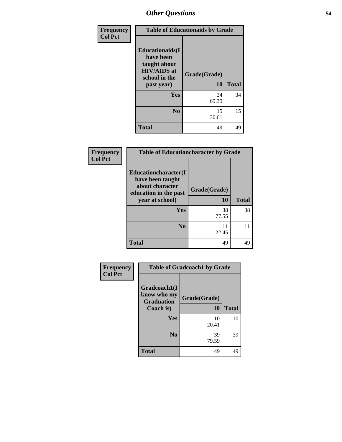| Frequency      | <b>Table of Educationaids by Grade</b>                                                                    |                    |              |
|----------------|-----------------------------------------------------------------------------------------------------------|--------------------|--------------|
| <b>Col Pct</b> | <b>Educationaids</b> (I<br>have been<br>taught about<br><b>HIV/AIDS</b> at<br>school in the<br>past year) | Grade(Grade)<br>10 | <b>Total</b> |
|                | Yes                                                                                                       | 34<br>69.39        | 34           |
|                | N <sub>0</sub>                                                                                            | 15<br>30.61        | 15           |
|                | <b>Total</b>                                                                                              | 49                 | 49           |

| Frequency<br><b>Col Pct</b> | <b>Table of Educationcharacter by Grade</b>                                                             |                           |              |
|-----------------------------|---------------------------------------------------------------------------------------------------------|---------------------------|--------------|
|                             | Educationcharacter(I<br>have been taught<br>about character<br>education in the past<br>year at school) | Grade(Grade)<br><b>10</b> | <b>Total</b> |
|                             | <b>Yes</b>                                                                                              | 38<br>77.55               | 38           |
|                             | N <sub>0</sub>                                                                                          | 11<br>22.45               | 11           |
|                             | <b>Total</b>                                                                                            | 49                        | 49           |

| Frequency      | <b>Table of Gradcoach1 by Grade</b> |              |              |  |
|----------------|-------------------------------------|--------------|--------------|--|
| <b>Col Pct</b> | Gradcoach1(I                        |              |              |  |
|                | know who my<br><b>Graduation</b>    | Grade(Grade) |              |  |
|                | Coach is)                           | 10           | <b>Total</b> |  |
|                | Yes                                 | 10<br>20.41  | 10           |  |
|                | N <sub>0</sub>                      | 39<br>79.59  | 39           |  |
|                | <b>Total</b>                        | 49           | 49           |  |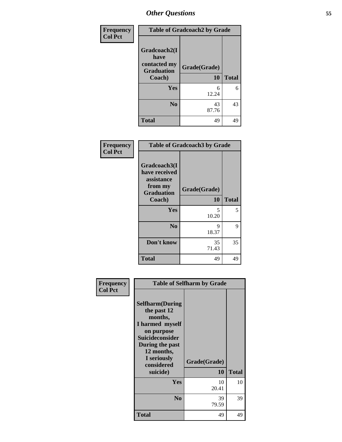| <b>Frequency</b> | <b>Table of Gradcoach2 by Grade</b>                       |              |              |  |
|------------------|-----------------------------------------------------------|--------------|--------------|--|
| <b>Col Pct</b>   | Gradcoach2(I<br>have<br>contacted my<br><b>Graduation</b> | Grade(Grade) |              |  |
|                  | Coach)                                                    | 10           | <b>Total</b> |  |
|                  | Yes                                                       | 6<br>12.24   | 6            |  |
|                  | N <sub>0</sub>                                            | 43<br>87.76  | 43           |  |
|                  | <b>Total</b>                                              | 49           | 49           |  |

| Frequency<br><b>Col Pct</b> | <b>Table of Gradcoach3 by Grade</b>                                                   |                    |              |  |
|-----------------------------|---------------------------------------------------------------------------------------|--------------------|--------------|--|
|                             | Gradcoach3(I<br>have received<br>assistance<br>from my<br><b>Graduation</b><br>Coach) | Grade(Grade)<br>10 | <b>Total</b> |  |
|                             | Yes                                                                                   | 5<br>10.20         | 5            |  |
|                             | N <sub>0</sub>                                                                        | 9<br>18.37         | 9            |  |
|                             | Don't know                                                                            | 35<br>71.43        | 35           |  |
|                             | <b>Total</b>                                                                          | 49                 | 49           |  |

| Frequency      | <b>Table of Selfharm by Grade</b>                                                                                                                                               |                    |              |  |
|----------------|---------------------------------------------------------------------------------------------------------------------------------------------------------------------------------|--------------------|--------------|--|
| <b>Col Pct</b> | <b>Selfharm</b> (During<br>the past 12<br>months,<br>I harmed myself<br>on purpose<br>Suicideconsider<br>During the past<br>12 months,<br>I seriously<br>considered<br>suicide) | Grade(Grade)<br>10 | <b>Total</b> |  |
|                | Yes                                                                                                                                                                             | 10<br>20.41        | 10           |  |
|                | N <sub>0</sub>                                                                                                                                                                  | 39<br>79.59        | 39           |  |
|                | <b>Total</b>                                                                                                                                                                    | 49                 | 49           |  |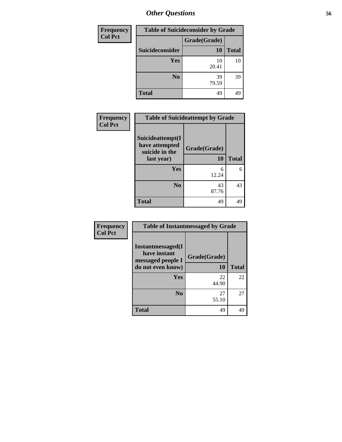| Frequency      | <b>Table of Suicideconsider by Grade</b> |              |              |
|----------------|------------------------------------------|--------------|--------------|
| <b>Col Pct</b> |                                          | Grade(Grade) |              |
|                | Suicideconsider                          | 10           | <b>Total</b> |
|                | <b>Yes</b>                               | 10<br>20.41  | 10           |
|                | N <sub>0</sub>                           | 39<br>79.59  | 39           |
|                | <b>Total</b>                             | 49           | 49           |

| Frequency      | <b>Table of Suicideattempt by Grade</b>              |              |              |
|----------------|------------------------------------------------------|--------------|--------------|
| <b>Col Pct</b> | Suicideattempt(I<br>have attempted<br>suicide in the | Grade(Grade) |              |
|                | last year)                                           | 10           | <b>Total</b> |
|                | Yes                                                  | 6<br>12.24   | 6            |
|                | N <sub>0</sub>                                       | 43<br>87.76  | 43           |
|                | <b>Total</b>                                         | 49           | 49           |

| Frequency      | <b>Table of Instantmessaged by Grade</b>                                            |                    |              |  |
|----------------|-------------------------------------------------------------------------------------|--------------------|--------------|--|
| <b>Col Pct</b> | <b>Instantmessaged</b> (I<br>have instant<br>messaged people I<br>do not even know) | Grade(Grade)<br>10 | <b>Total</b> |  |
|                | Yes                                                                                 | 22<br>44.90        | 22           |  |
|                | N <sub>0</sub>                                                                      | 27<br>55.10        | 27           |  |
|                | <b>Total</b>                                                                        | 49                 | 49           |  |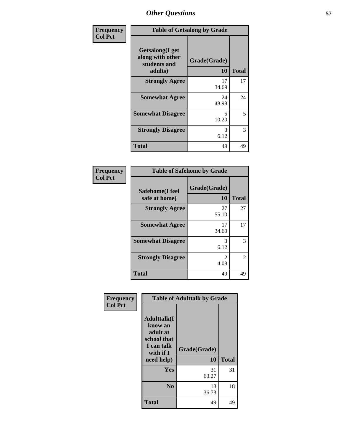| Frequency      | <b>Table of Getsalong by Grade</b>                             |                    |              |  |
|----------------|----------------------------------------------------------------|--------------------|--------------|--|
| <b>Col Pct</b> | Getsalong(I get<br>along with other<br>students and<br>adults) | Grade(Grade)<br>10 | <b>Total</b> |  |
|                | <b>Strongly Agree</b>                                          | 17<br>34.69        | 17           |  |
|                | <b>Somewhat Agree</b>                                          | 24<br>48.98        | 24           |  |
|                | <b>Somewhat Disagree</b>                                       | 5<br>10.20         | 5            |  |
|                | <b>Strongly Disagree</b>                                       | 3<br>6.12          | 3            |  |
|                | Total                                                          | 49                 | 49           |  |

| Frequency      |                                  | <b>Table of Safehome by Grade</b> |              |
|----------------|----------------------------------|-----------------------------------|--------------|
| <b>Col Pct</b> | Safehome(I feel<br>safe at home) | Grade(Grade)<br>10                | <b>Total</b> |
|                | <b>Strongly Agree</b>            | 27<br>55.10                       | 27           |
|                | <b>Somewhat Agree</b>            | 17<br>34.69                       | 17           |
|                | <b>Somewhat Disagree</b>         | 3<br>6.12                         | 3            |
|                | <b>Strongly Disagree</b>         | 4.08                              | 2            |
|                | <b>Total</b>                     | 49                                | 49           |

| Frequency      |                                                                                                   | <b>Table of Adulttalk by Grade</b> |              |  |  |  |  |  |
|----------------|---------------------------------------------------------------------------------------------------|------------------------------------|--------------|--|--|--|--|--|
| <b>Col Pct</b> | <b>Adulttalk(I</b><br>know an<br>adult at<br>school that<br>I can talk<br>with if I<br>need help) | Grade(Grade)<br>10                 | <b>Total</b> |  |  |  |  |  |
|                | <b>Yes</b>                                                                                        | 31<br>63.27                        | 31           |  |  |  |  |  |
|                | N <sub>0</sub>                                                                                    | 18<br>36.73                        | 18           |  |  |  |  |  |
|                | <b>Total</b>                                                                                      | 49                                 | 49           |  |  |  |  |  |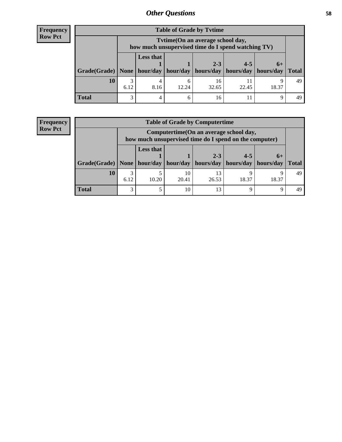## **Frequency Row Pct**

| <b>Table of Grade by Tytime</b> |           |                                                                                                                             |            |             |       |       |    |  |  |
|---------------------------------|-----------|-----------------------------------------------------------------------------------------------------------------------------|------------|-------------|-------|-------|----|--|--|
|                                 |           | Tvtime(On an average school day,<br>how much unsupervised time do I spend watching TV)                                      |            |             |       |       |    |  |  |
| Grade(Grade)   None             |           | <b>Less that</b><br>$2 - 3$<br>$4 - 5$<br>$6+$<br>$hour/day$   hour/day   hours/day   hours/day   hours/day<br><b>Total</b> |            |             |       |       |    |  |  |
| 10                              | 3<br>6.12 | 4<br>8.16                                                                                                                   | 6<br>12.24 | 16<br>32.65 | 22.45 | 18.37 | 49 |  |  |
| <b>Total</b>                    | 3         | $\overline{4}$                                                                                                              | 6          | 16          |       | Q     | 49 |  |  |

## **Frequency Row Pct**

| <b>Table of Grade by Computertime</b> |           |                                                                                                                            |             |             |       |            |    |  |  |
|---------------------------------------|-----------|----------------------------------------------------------------------------------------------------------------------------|-------------|-------------|-------|------------|----|--|--|
|                                       |           | Computertime (On an average school day,<br>how much unsupervised time do I spend on the computer)                          |             |             |       |            |    |  |  |
| Grade(Grade)   None                   |           | <b>Less that</b><br>$2 - 3$<br>$4 - 5$<br>$6+$<br>hour/day   hours/day   hours/day   hours/day<br>hour/day<br><b>Total</b> |             |             |       |            |    |  |  |
| 10                                    | 3<br>6.12 | 10.20                                                                                                                      | 10<br>20.41 | 13<br>26.53 | 18.37 | Ω<br>18.37 | 49 |  |  |
| <b>Total</b>                          | 3         |                                                                                                                            | 10          | 13          |       | $\Omega$   |    |  |  |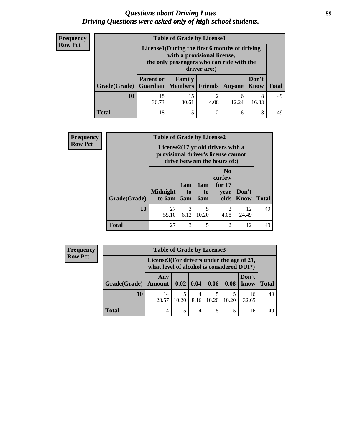## *Questions about Driving Laws* **59** *Driving Questions were asked only of high school students.*

| <b>Frequency</b> |  |
|------------------|--|
| <b>Row Pct</b>   |  |

| <b>Table of Grade by License1</b> |                  |                                                                                                                                           |                |               |                      |              |  |  |  |  |
|-----------------------------------|------------------|-------------------------------------------------------------------------------------------------------------------------------------------|----------------|---------------|----------------------|--------------|--|--|--|--|
|                                   |                  | License1(During the first 6 months of driving<br>with a provisional license,<br>the only passengers who can ride with the<br>driver are:) |                |               |                      |              |  |  |  |  |
| Grade(Grade)                      | <b>Parent or</b> | Family<br><b>Guardian   Members   Friends  </b>                                                                                           |                | <b>Anyone</b> | Don't<br><b>Know</b> | <b>Total</b> |  |  |  |  |
| 10                                | 18<br>36.73      | 15<br>$\overline{c}$<br>8<br>6<br>4.08<br>12.24<br>16.33<br>30.61                                                                         |                |               |                      |              |  |  |  |  |
| <b>Total</b>                      | 18               | 15                                                                                                                                        | $\overline{2}$ | 6             | 8                    | 49           |  |  |  |  |

| Frequency      | <b>Table of Grade by License2</b> |                           |                  |                  |                                                                                                          |                      |              |  |
|----------------|-----------------------------------|---------------------------|------------------|------------------|----------------------------------------------------------------------------------------------------------|----------------------|--------------|--|
| <b>Row Pct</b> |                                   |                           |                  |                  | License2(17 yr old drivers with a<br>provisional driver's license cannot<br>drive between the hours of:) |                      |              |  |
|                | Grade(Grade)                      | <b>Midnight</b><br>to 6am | 1am<br>to<br>5am | 1am<br>to<br>6am | N <sub>0</sub><br>curfew<br>for $17$<br>year<br>olds                                                     | Don't<br><b>Know</b> | <b>Total</b> |  |
|                | 10                                | 27<br>55.10               | 3<br>6.12        | 5<br>10.20       | $\overline{c}$<br>4.08                                                                                   | 12<br>24.49          | 49           |  |
|                | Total                             | 27                        | 3                | 5                | $\overline{2}$                                                                                           | 12                   | 49           |  |

| Frequency      |              | <b>Table of Grade by License3</b>                                                      |       |             |       |       |               |              |  |
|----------------|--------------|----------------------------------------------------------------------------------------|-------|-------------|-------|-------|---------------|--------------|--|
| <b>Row Pct</b> |              | License3(For drivers under the age of 21,<br>what level of alcohol is considered DUI?) |       |             |       |       |               |              |  |
|                | Grade(Grade) | Any<br><b>Amount</b>                                                                   |       | 0.02   0.04 | 0.06  | 0.08  | Don't<br>know | <b>Total</b> |  |
|                | 10           | 14<br>28.57                                                                            | 10.20 | 4<br>8.16   | 10.20 | 10.20 | 16<br>32.65   | 49           |  |
|                | <b>Total</b> | 14                                                                                     |       |             |       |       | 16            | 49           |  |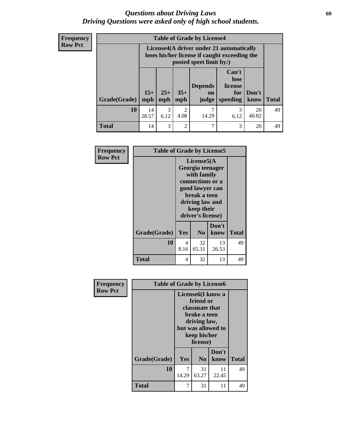## *Questions about Driving Laws* **60** *Driving Questions were asked only of high school students.*

**Frequency Row Pct**

| <b>Table of Grade by License4</b> |              |                                                                                                                                               |                                     |            |           |             |    |  |  |
|-----------------------------------|--------------|-----------------------------------------------------------------------------------------------------------------------------------------------|-------------------------------------|------------|-----------|-------------|----|--|--|
|                                   |              | License4(A driver under 21 automatically<br>loses his/her license if caught exceeding the<br>posted speet limit by:)                          |                                     |            |           |             |    |  |  |
| Grade(Grade)                      | $15+$<br>mph | Can't<br>lose<br><b>Depends</b><br>license<br>$35+$<br>$25+$<br>Don't<br>for<br>on<br><b>Total</b><br>mph<br>judge<br>speeding<br>know<br>mph |                                     |            |           |             |    |  |  |
| 10                                | 14<br>28.57  | 3<br>6.12                                                                                                                                     | $\mathcal{D}_{\mathcal{A}}$<br>4.08 | 7<br>14.29 | 3<br>6.12 | 20<br>40.82 | 49 |  |  |
| <b>Total</b>                      | 14           | 3                                                                                                                                             | $\mathfrak{D}$                      | 7          | 3         | 20          | 49 |  |  |

| Frequency      | <b>Table of Grade by License5</b> |                                                                                                                                                             |                |               |              |
|----------------|-----------------------------------|-------------------------------------------------------------------------------------------------------------------------------------------------------------|----------------|---------------|--------------|
| <b>Row Pct</b> |                                   | License5(A)<br>Georgia teenager<br>with family<br>connections or a<br>good lawyer can<br>break a teen<br>driving law and<br>keep their<br>driver's license) |                |               |              |
|                | Grade(Grade)                      | Yes                                                                                                                                                         | N <sub>0</sub> | Don't<br>know | <b>Total</b> |
|                | 10                                | 4<br>8.16                                                                                                                                                   | 32<br>65.31    | 13<br>26.53   | 49           |
|                | <b>Total</b>                      | 4                                                                                                                                                           | 32             | 13            | 49           |

| Frequency      | <b>Table of Grade by License6</b> |            |                                                                                                              |                    |              |  |  |  |
|----------------|-----------------------------------|------------|--------------------------------------------------------------------------------------------------------------|--------------------|--------------|--|--|--|
| <b>Row Pct</b> |                                   |            | License6(I know a<br>friend or<br>classmate that<br>broke a teen<br>driving law,<br>keep his/her<br>license) | but was allowed to |              |  |  |  |
|                | Grade(Grade)                      | Yes        | N <sub>0</sub>                                                                                               | Don't<br>know      | <b>Total</b> |  |  |  |
|                |                                   |            |                                                                                                              |                    |              |  |  |  |
|                | 10                                | 7<br>14.29 | 31<br>63.27                                                                                                  | 11<br>22.45        | 49           |  |  |  |
|                | <b>Total</b>                      | 7          | 31                                                                                                           | 11                 | 49           |  |  |  |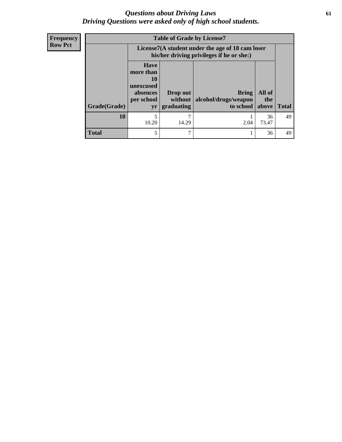## *Questions about Driving Laws* **61** *Driving Questions were asked only of high school students.*

**Frequency Row Pct**

| <b>Table of Grade by License7</b> |                                                                       |                                                                                               |           |             |              |  |  |  |
|-----------------------------------|-----------------------------------------------------------------------|-----------------------------------------------------------------------------------------------|-----------|-------------|--------------|--|--|--|
|                                   |                                                                       | License7(A student under the age of 18 cam loser<br>his/her driving privileges if he or she:) |           |             |              |  |  |  |
|                                   | <b>Have</b><br>more than<br>10<br>unexcused<br>absences<br>per school | All of<br><b>Bring</b><br>Drop out<br>alcohol/drugs/weapon<br>without<br>the                  |           |             |              |  |  |  |
| Grade(Grade)                      | yr                                                                    | graduating                                                                                    | to school | above       | <b>Total</b> |  |  |  |
| 10                                | 10.20                                                                 | 14.29                                                                                         | 2.04      | 36<br>73.47 | 49           |  |  |  |
| <b>Total</b>                      | 5                                                                     |                                                                                               |           | 36          | 49           |  |  |  |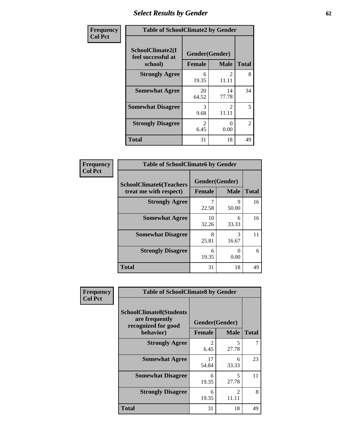# *Select Results by Gender* **62**

| Frequency      |                                                   | <b>Table of SchoolClimate2 by Gender</b> |                                      |                |  |  |  |
|----------------|---------------------------------------------------|------------------------------------------|--------------------------------------|----------------|--|--|--|
| <b>Col Pct</b> | SchoolClimate2(I<br>feel successful at<br>school) | Gender(Gender)<br><b>Female</b>          | <b>Male</b>                          | <b>Total</b>   |  |  |  |
|                | <b>Strongly Agree</b>                             | 6<br>19.35                               | $\mathcal{L}$<br>11.11               | 8              |  |  |  |
|                | <b>Somewhat Agree</b>                             | 20<br>64.52                              | 14<br>77.78                          | 34             |  |  |  |
|                | <b>Somewhat Disagree</b>                          | 3<br>9.68                                | $\mathcal{D}_{\mathcal{L}}$<br>11.11 | 5              |  |  |  |
|                | <b>Strongly Disagree</b>                          | $\mathcal{L}$<br>6.45                    | 0<br>0.00                            | $\overline{2}$ |  |  |  |
|                | <b>Total</b>                                      | 31                                       | 18                                   | 49             |  |  |  |

| <b>Frequency</b> | <b>Table of SchoolClimate6 by Gender</b>                 |               |                               |              |  |
|------------------|----------------------------------------------------------|---------------|-------------------------------|--------------|--|
| <b>Col Pct</b>   | <b>SchoolClimate6(Teachers</b><br>treat me with respect) | <b>Female</b> | Gender(Gender)<br><b>Male</b> | <b>Total</b> |  |
|                  | <b>Strongly Agree</b>                                    |               | Q                             | 16           |  |
|                  |                                                          | 22.58         | 50.00                         |              |  |
|                  | <b>Somewhat Agree</b>                                    | 10<br>32.26   | 6<br>33.33                    | 16           |  |
|                  | <b>Somewhat Disagree</b>                                 | 8<br>25.81    | 3<br>16.67                    | 11           |  |
|                  | <b>Strongly Disagree</b>                                 | 6<br>19.35    | ∩<br>0.00                     | 6            |  |
|                  | <b>Total</b>                                             | 31            | 18                            | 49           |  |

| <b>Frequency</b> | <b>Table of SchoolClimate8 by Gender</b>                                |               |                         |              |  |
|------------------|-------------------------------------------------------------------------|---------------|-------------------------|--------------|--|
| <b>Col Pct</b>   | <b>SchoolClimate8(Students</b><br>are frequently<br>recognized for good |               | Gender(Gender)          |              |  |
|                  | behavior)                                                               | <b>Female</b> | <b>Male</b>             | <b>Total</b> |  |
|                  | <b>Strongly Agree</b>                                                   | 6.45          | 5<br>27.78              | 7            |  |
|                  | <b>Somewhat Agree</b>                                                   | 17<br>54.84   | 6<br>33.33              | 23           |  |
|                  | <b>Somewhat Disagree</b>                                                | 6<br>19.35    | 5<br>27.78              | 11           |  |
|                  | <b>Strongly Disagree</b>                                                | 6<br>19.35    | $\mathfrak{D}$<br>11.11 | 8            |  |
|                  | Total                                                                   | 31            | 18                      | 49           |  |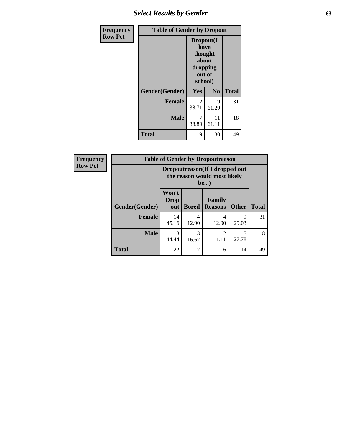# *Select Results by Gender* **63**

| Frequency      | <b>Table of Gender by Dropout</b> |                                                                        |                |              |
|----------------|-----------------------------------|------------------------------------------------------------------------|----------------|--------------|
| <b>Row Pct</b> |                                   | Dropout(I<br>have<br>thought<br>about<br>dropping<br>out of<br>school) |                |              |
|                | Gender(Gender)                    | Yes                                                                    | N <sub>0</sub> | <b>Total</b> |
|                | <b>Female</b>                     | 12<br>38.71                                                            | 19<br>61.29    | 31           |
|                | <b>Male</b>                       | 7<br>38.89                                                             | 11<br>61.11    | 18           |
|                | <b>Total</b>                      | 19                                                                     | 30             | 49           |

| Frequency      | <b>Table of Gender by Dropoutreason</b>                                        |                             |              |                                 |              |              |
|----------------|--------------------------------------------------------------------------------|-----------------------------|--------------|---------------------------------|--------------|--------------|
| <b>Row Pct</b> | Dropoutreason (If I dropped out<br>the reason would most likely<br><b>be</b> ) |                             |              |                                 |              |              |
|                | Gender(Gender)                                                                 | Won't<br><b>Drop</b><br>out | <b>Bored</b> | <b>Family</b><br><b>Reasons</b> | <b>Other</b> | <b>Total</b> |
|                | <b>Female</b>                                                                  | 14<br>45.16                 | 4<br>12.90   | 4<br>12.90                      | 9<br>29.03   | 31           |
|                | <b>Male</b>                                                                    | 8<br>44.44                  | 3<br>16.67   | $\mathfrak{D}$<br>11.11         | 27.78        | 18           |
|                | <b>Total</b>                                                                   | 22                          |              | 6                               | 14           | 49           |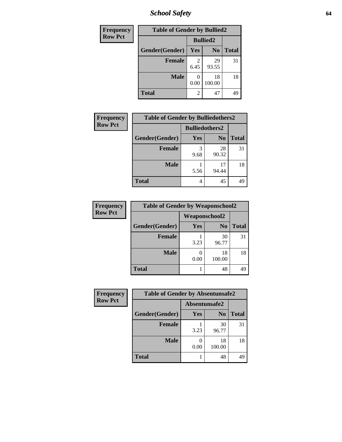*School Safety* **64**

| Frequency      | <b>Table of Gender by Bullied2</b> |                 |                |              |  |
|----------------|------------------------------------|-----------------|----------------|--------------|--|
| <b>Row Pct</b> |                                    | <b>Bullied2</b> |                |              |  |
|                | Gender(Gender)                     | Yes             | N <sub>0</sub> | <b>Total</b> |  |
|                | <b>Female</b>                      | 2<br>6.45       | 29<br>93.55    | 31           |  |
|                | <b>Male</b>                        | 0.00            | 18<br>100.00   | 18           |  |
|                | <b>Total</b>                       | 2               | 47             | 49           |  |

| Frequency      | <b>Table of Gender by Bulliedothers2</b> |                       |                |              |
|----------------|------------------------------------------|-----------------------|----------------|--------------|
| <b>Row Pct</b> |                                          | <b>Bulliedothers2</b> |                |              |
|                | Gender(Gender)                           | <b>Yes</b>            | N <sub>0</sub> | <b>Total</b> |
|                | <b>Female</b>                            | 3<br>9.68             | 28<br>90.32    | 31           |
|                | <b>Male</b>                              | 5.56                  | 17<br>94.44    | 18           |
|                | <b>Total</b>                             | 4                     | 45             | 49           |

| Frequency      | <b>Table of Gender by Weaponschool2</b> |                      |                |              |
|----------------|-----------------------------------------|----------------------|----------------|--------------|
| <b>Row Pct</b> |                                         | <b>Weaponschool2</b> |                |              |
|                | Gender(Gender)                          | Yes                  | N <sub>0</sub> | <b>Total</b> |
|                | <b>Female</b>                           | 3.23                 | 30<br>96.77    | 31           |
|                | <b>Male</b>                             | 0.00                 | 18<br>100.00   | 18           |
|                | <b>Total</b>                            |                      | 48             | 49           |

| Frequency      | <b>Table of Gender by Absentunsafe2</b> |               |                |              |
|----------------|-----------------------------------------|---------------|----------------|--------------|
| <b>Row Pct</b> |                                         | Absentunsafe2 |                |              |
|                | Gender(Gender)                          | Yes           | N <sub>0</sub> | <b>Total</b> |
|                | <b>Female</b>                           | 3.23          | 30<br>96.77    | 31           |
|                | <b>Male</b>                             | 0.00          | 18<br>100.00   | 18           |
|                | <b>Total</b>                            |               | 48             | 49           |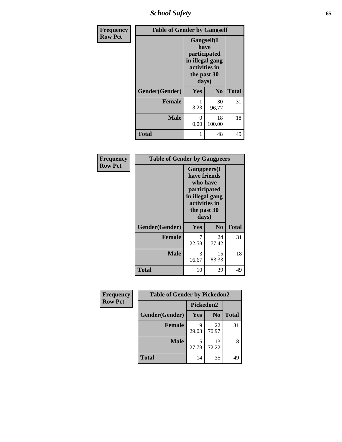*School Safety* **65**

| Frequency      | <b>Table of Gender by Gangself</b> |                                                                                                        |                |              |
|----------------|------------------------------------|--------------------------------------------------------------------------------------------------------|----------------|--------------|
| <b>Row Pct</b> |                                    | <b>Gangself</b> (I<br>have<br>participated<br>in illegal gang<br>activities in<br>the past 30<br>days) |                |              |
|                | Gender(Gender)                     | Yes                                                                                                    | N <sub>0</sub> | <b>Total</b> |
|                | <b>Female</b>                      | 3.23                                                                                                   | 30<br>96.77    | 31           |
|                | <b>Male</b>                        | 0<br>0.00                                                                                              | 18<br>100.00   | 18           |
|                | <b>Total</b>                       |                                                                                                        | 48             | 49           |

| Frequency      | <b>Table of Gender by Gangpeers</b> |                                                                                                          |                 |              |
|----------------|-------------------------------------|----------------------------------------------------------------------------------------------------------|-----------------|--------------|
| <b>Row Pct</b> |                                     | <b>Gangpeers</b> (I<br>have friends<br>who have<br>participated<br>activities in<br>the past 30<br>days) | in illegal gang |              |
|                | Gender(Gender)                      | <b>Yes</b>                                                                                               | N <sub>0</sub>  | <b>Total</b> |
|                | <b>Female</b>                       | 7<br>22.58                                                                                               | 24<br>77.42     | 31           |
|                | <b>Male</b>                         | 3<br>16.67                                                                                               | 15<br>83.33     | 18           |
|                | <b>Total</b>                        | 10                                                                                                       | 39              | 49           |

| Frequency      | <b>Table of Gender by Pickedon2</b> |            |                |              |
|----------------|-------------------------------------|------------|----------------|--------------|
| <b>Row Pct</b> |                                     | Pickedon2  |                |              |
|                | Gender(Gender)                      | <b>Yes</b> | N <sub>0</sub> | <b>Total</b> |
|                | <b>Female</b>                       | q<br>29.03 | 22<br>70.97    | 31           |
|                | <b>Male</b>                         | 5<br>27.78 | 13<br>72.22    | 18           |
|                | <b>Total</b>                        | 14         | 35             | 49           |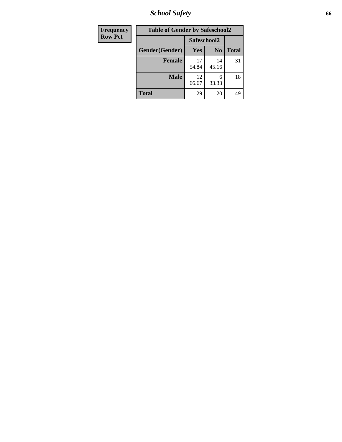*School Safety* **66**

| Frequency      | <b>Table of Gender by Safeschool2</b> |             |                |              |
|----------------|---------------------------------------|-------------|----------------|--------------|
| <b>Row Pct</b> |                                       | Safeschool2 |                |              |
|                | Gender(Gender)                        | <b>Yes</b>  | N <sub>0</sub> | <b>Total</b> |
|                | <b>Female</b>                         | 17<br>54.84 | 14<br>45.16    | 31           |
|                | <b>Male</b>                           | 12<br>66.67 | 6<br>33.33     | 18           |
|                | Total                                 | 29          | 20             | 49           |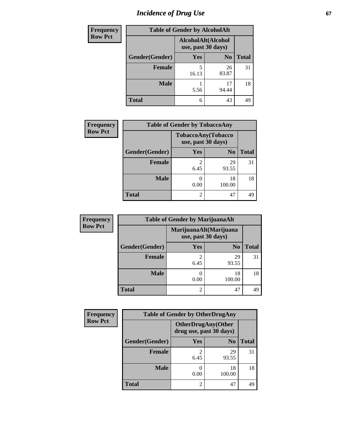# *Incidence of Drug Use* 67

| <b>Frequency</b> | <b>Table of Gender by AlcoholAlt</b> |                                          |                |              |  |
|------------------|--------------------------------------|------------------------------------------|----------------|--------------|--|
| <b>Row Pct</b>   |                                      | AlcoholAlt(Alcohol<br>use, past 30 days) |                |              |  |
|                  | Gender(Gender)                       | <b>Yes</b>                               | N <sub>0</sub> | <b>Total</b> |  |
|                  | Female                               | 5<br>16.13                               | 26<br>83.87    | 31           |  |
|                  | <b>Male</b>                          | 5.56                                     | 17<br>94.44    | 18           |  |
|                  | <b>Total</b>                         | 6                                        | 43             | 49           |  |

| Frequency      | <b>Table of Gender by TobaccoAny</b> |                        |                    |              |  |
|----------------|--------------------------------------|------------------------|--------------------|--------------|--|
| <b>Row Pct</b> |                                      | use, past 30 days)     | TobaccoAny(Tobacco |              |  |
|                | Gender(Gender)                       | Yes                    | N <sub>0</sub>     | <b>Total</b> |  |
|                | Female                               | $\mathfrak{D}$<br>6.45 | 29<br>93.55        | 31           |  |
|                | <b>Male</b>                          | 0.00                   | 18<br>100.00       | 18           |  |
|                | <b>Total</b>                         | $\overline{2}$         | 47                 | 49           |  |

| <b>Frequency</b> | <b>Table of Gender by MarijuanaAlt</b> |                        |                        |              |  |
|------------------|----------------------------------------|------------------------|------------------------|--------------|--|
| <b>Row Pct</b>   |                                        | use, past 30 days)     | MarijuanaAlt(Marijuana |              |  |
|                  | Gender(Gender)                         | Yes                    | N <sub>0</sub>         | <b>Total</b> |  |
|                  | Female                                 | $\overline{2}$<br>6.45 | 29<br>93.55            | 31           |  |
|                  | <b>Male</b>                            | 0.00                   | 18<br>100.00           | 18           |  |
|                  | <b>Total</b>                           | $\overline{2}$         | 47                     | 49           |  |

| <b>Frequency</b> | <b>Table of Gender by OtherDrugAny</b> |                                                      |                |              |
|------------------|----------------------------------------|------------------------------------------------------|----------------|--------------|
| <b>Row Pct</b>   |                                        | <b>OtherDrugAny(Other</b><br>drug use, past 30 days) |                |              |
|                  | Gender(Gender)                         | <b>Yes</b>                                           | N <sub>0</sub> | <b>Total</b> |
|                  | <b>Female</b>                          | 6.45                                                 | 29<br>93.55    | 31           |
|                  | <b>Male</b>                            | 0.00                                                 | 18<br>100.00   | 18           |
|                  | <b>Total</b>                           | $\overline{2}$                                       | 47             | 49           |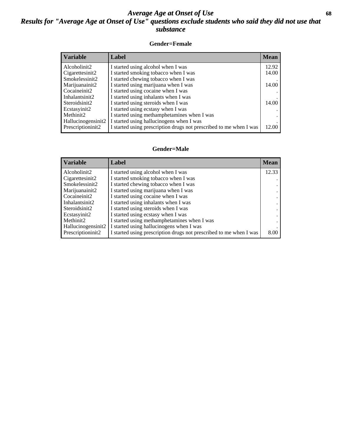## *Average Age at Onset of Use* **68** *Results for "Average Age at Onset of Use" questions exclude students who said they did not use that substance*

## **Gender=Female**

| Variable           | <b>Label</b>                                                       | <b>Mean</b> |
|--------------------|--------------------------------------------------------------------|-------------|
| Alcoholinit2       | I started using alcohol when I was                                 | 12.92       |
| Cigarettesinit2    | I started smoking tobacco when I was                               | 14.00       |
| Smokelessinit2     | I started chewing tobacco when I was                               |             |
| Marijuanainit2     | I started using marijuana when I was                               | 14.00       |
| Cocaineinit2       | I started using cocaine when I was                                 |             |
| Inhalantsinit2     | I started using inhalants when I was                               |             |
| Steroidsinit2      | I started using steroids when I was                                | 14.00       |
| Ecstasyinit2       | I started using ecstasy when I was                                 |             |
| Methinit2          | I started using methamphetamines when I was                        |             |
| Hallucinogensinit2 | I started using hallucinogens when I was                           |             |
| Prescription in t2 | I started using prescription drugs not prescribed to me when I was | 12.00       |

### **Gender=Male**

| <b>Variable</b>    | Label                                                              | <b>Mean</b> |
|--------------------|--------------------------------------------------------------------|-------------|
| Alcoholinit2       | I started using alcohol when I was                                 | 12.33       |
| Cigarettesinit2    | I started smoking tobacco when I was                               |             |
| Smokelessinit2     | I started chewing tobacco when I was                               |             |
| Marijuanainit2     | I started using marijuana when I was                               |             |
| Cocaineinit2       | I started using cocaine when I was                                 |             |
| Inhalantsinit2     | I started using inhalants when I was                               |             |
| Steroidsinit2      | I started using steroids when I was                                |             |
| Ecstasyinit2       | I started using ecstasy when I was                                 |             |
| Methinit2          | I started using methamphetamines when I was                        |             |
| Hallucinogensinit2 | I started using hallucinogens when I was                           |             |
| Prescriptioninit2  | I started using prescription drugs not prescribed to me when I was | 8.00        |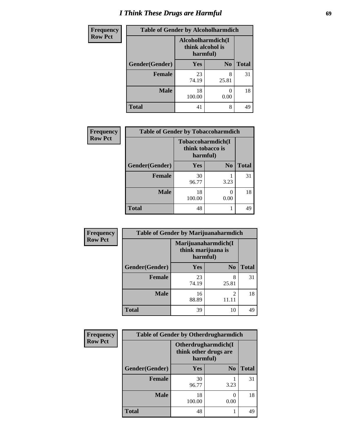# *I Think These Drugs are Harmful* **69**

| <b>Frequency</b> | <b>Table of Gender by Alcoholharmdich</b> |                                                   |                |              |
|------------------|-------------------------------------------|---------------------------------------------------|----------------|--------------|
| <b>Row Pct</b>   |                                           | Alcoholharmdich(I<br>think alcohol is<br>harmful) |                |              |
|                  | Gender(Gender)                            | <b>Yes</b>                                        | N <sub>0</sub> | <b>Total</b> |
|                  | <b>Female</b>                             | 23<br>74.19                                       | 8<br>25.81     | 31           |
|                  | <b>Male</b>                               | 18<br>100.00                                      | 0.00           | 18           |
|                  | <b>Total</b>                              | 41                                                | 8              | 49           |

| Frequency      | <b>Table of Gender by Tobaccoharmdich</b> |                  |                               |              |
|----------------|-------------------------------------------|------------------|-------------------------------|--------------|
| <b>Row Pct</b> |                                           | think tobacco is | Tobaccoharmdich(I<br>harmful) |              |
|                | Gender(Gender)                            | Yes              | N <sub>0</sub>                | <b>Total</b> |
|                | <b>Female</b>                             | 30<br>96.77      | 3.23                          | 31           |
|                | <b>Male</b>                               | 18<br>100.00     | ∩<br>0.00                     | 18           |
|                | <b>Total</b>                              | 48               |                               | 49           |

| Frequency      | <b>Table of Gender by Marijuanaharmdich</b> |                                |                     |              |
|----------------|---------------------------------------------|--------------------------------|---------------------|--------------|
| <b>Row Pct</b> |                                             | think marijuana is<br>harmful) | Marijuanaharmdich(I |              |
|                | Gender(Gender)                              | <b>Yes</b>                     | N <sub>0</sub>      | <b>Total</b> |
|                | <b>Female</b>                               | 23<br>74.19                    | 8<br>25.81          | 31           |
|                | <b>Male</b>                                 | 16<br>88.89                    | $\mathfrak{D}$      | 18           |
|                | <b>Total</b>                                | 39                             | 10                  | 49           |

| Frequency      | <b>Table of Gender by Otherdrugharmdich</b> |                                   |                     |              |
|----------------|---------------------------------------------|-----------------------------------|---------------------|--------------|
| <b>Row Pct</b> |                                             | think other drugs are<br>harmful) | Otherdrugharmdich(I |              |
|                | Gender(Gender)                              | <b>Yes</b>                        | N <sub>0</sub>      | <b>Total</b> |
|                | <b>Female</b>                               | 30<br>96.77                       | 3.23                | 31           |
|                | <b>Male</b>                                 | 18<br>100.00                      | 0<br>0.00           | 18           |
|                | <b>Total</b>                                | 48                                |                     | 49           |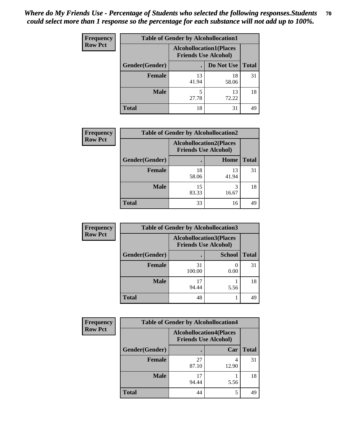| <b>Frequency</b> | <b>Table of Gender by Alcohollocation1</b>                    |             |             |              |
|------------------|---------------------------------------------------------------|-------------|-------------|--------------|
| <b>Row Pct</b>   | <b>Alcohollocation1(Places</b><br><b>Friends Use Alcohol)</b> |             |             |              |
|                  | Gender(Gender)                                                |             | Do Not Use  | <b>Total</b> |
|                  | <b>Female</b>                                                 | 13<br>41.94 | 18<br>58.06 | 31           |
|                  | <b>Male</b>                                                   | 5<br>27.78  | 13<br>72.22 | 18           |
|                  | <b>Total</b>                                                  | 18          | 31          | 49           |

| <b>Frequency</b> | <b>Table of Gender by Alcohollocation2</b> |                                                               |             |              |
|------------------|--------------------------------------------|---------------------------------------------------------------|-------------|--------------|
| <b>Row Pct</b>   |                                            | <b>Alcohollocation2(Places</b><br><b>Friends Use Alcohol)</b> |             |              |
|                  | Gender(Gender)                             |                                                               | Home        | <b>Total</b> |
|                  | <b>Female</b>                              | 18<br>58.06                                                   | 13<br>41.94 | 31           |
|                  | <b>Male</b>                                | 15<br>83.33                                                   | 16.67       | 18           |
|                  | <b>Total</b>                               | 33                                                            | 16          | 49           |

| Frequency      | <b>Table of Gender by Alcohollocation3</b> |                                                               |               |              |
|----------------|--------------------------------------------|---------------------------------------------------------------|---------------|--------------|
| <b>Row Pct</b> |                                            | <b>Alcohollocation3(Places</b><br><b>Friends Use Alcohol)</b> |               |              |
|                | Gender(Gender)                             |                                                               | <b>School</b> | <b>Total</b> |
|                | <b>Female</b>                              | 31<br>100.00                                                  | 0.00          | 31           |
|                | <b>Male</b>                                | 94.44                                                         | 5.56          | 18           |
|                | <b>Total</b>                               | 48                                                            |               | 49           |

| <b>Frequency</b> | <b>Table of Gender by Alcohollocation4</b> |                                                               |       |              |
|------------------|--------------------------------------------|---------------------------------------------------------------|-------|--------------|
| <b>Row Pct</b>   |                                            | <b>Alcohollocation4(Places</b><br><b>Friends Use Alcohol)</b> |       |              |
|                  | Gender(Gender)                             |                                                               | Car   | <b>Total</b> |
|                  | <b>Female</b>                              | 27<br>87.10                                                   | 12.90 | 31           |
|                  | <b>Male</b>                                | 17<br>94.44                                                   | 5.56  | 18           |
|                  | <b>Total</b>                               | 44                                                            | 5     | 49           |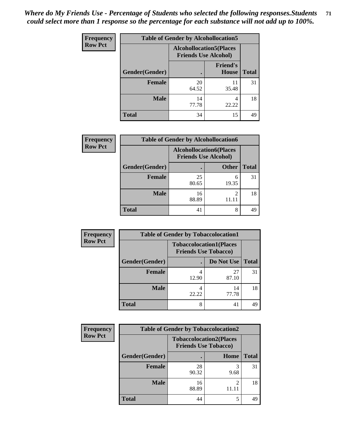| <b>Frequency</b> | <b>Table of Gender by Alcohollocation5</b>                     |             |                                 |              |
|------------------|----------------------------------------------------------------|-------------|---------------------------------|--------------|
| <b>Row Pct</b>   | <b>Alcohollocation5</b> (Places<br><b>Friends Use Alcohol)</b> |             |                                 |              |
|                  | Gender(Gender)                                                 |             | <b>Friend's</b><br><b>House</b> | <b>Total</b> |
|                  | <b>Female</b>                                                  | 20<br>64.52 | 11<br>35.48                     | 31           |
|                  | <b>Male</b>                                                    | 14<br>77.78 | 4<br>22.22                      | 18           |
|                  | <b>Total</b>                                                   | 34          | 15                              | 49           |

| <b>Frequency</b> | <b>Table of Gender by Alcohollocation6</b> |                                                               |              |              |  |
|------------------|--------------------------------------------|---------------------------------------------------------------|--------------|--------------|--|
| <b>Row Pct</b>   |                                            | <b>Alcohollocation6(Places</b><br><b>Friends Use Alcohol)</b> |              |              |  |
|                  | Gender(Gender)                             |                                                               | <b>Other</b> | <b>Total</b> |  |
|                  | <b>Female</b>                              | 25<br>80.65                                                   | 6<br>19.35   | 31           |  |
|                  | <b>Male</b>                                | 16<br>88.89                                                   |              | 18           |  |
|                  | <b>Total</b>                               | 41                                                            | 8            | 49           |  |

| Frequency      | <b>Table of Gender by Tobaccolocation1</b> |                                                               |             |              |  |
|----------------|--------------------------------------------|---------------------------------------------------------------|-------------|--------------|--|
| <b>Row Pct</b> |                                            | <b>Tobaccolocation1(Places</b><br><b>Friends Use Tobacco)</b> |             |              |  |
|                | Gender(Gender)                             |                                                               | Do Not Use  | <b>Total</b> |  |
|                | Female                                     | 12.90                                                         | 27<br>87.10 | 31           |  |
|                | <b>Male</b>                                | 22.22                                                         | 14<br>77.78 | 18           |  |
|                | <b>Total</b>                               |                                                               | 41          | 49           |  |

| <b>Frequency</b> | <b>Table of Gender by Tobaccolocation2</b> |                                                               |      |              |
|------------------|--------------------------------------------|---------------------------------------------------------------|------|--------------|
| <b>Row Pct</b>   |                                            | <b>Tobaccolocation2(Places</b><br><b>Friends Use Tobacco)</b> |      |              |
|                  | Gender(Gender)                             |                                                               | Home | <b>Total</b> |
|                  | Female                                     | 28<br>90.32                                                   | 9.68 | 31           |
|                  | <b>Male</b>                                | 16<br>88.89                                                   | 2    | 18           |
|                  | <b>Total</b>                               | 44                                                            |      | 49           |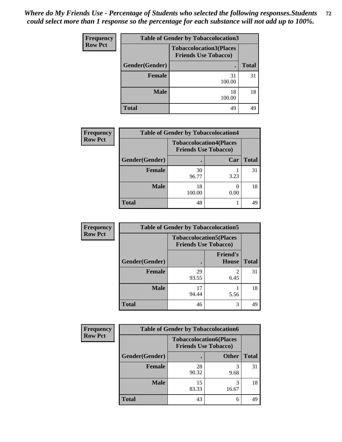| <b>Frequency</b> | <b>Table of Gender by Tobaccolocation3</b> |                                                               |              |  |  |
|------------------|--------------------------------------------|---------------------------------------------------------------|--------------|--|--|
| <b>Row Pct</b>   |                                            | <b>Tobaccolocation3(Places</b><br><b>Friends Use Tobacco)</b> |              |  |  |
|                  | Gender(Gender)                             | $\bullet$                                                     | <b>Total</b> |  |  |
|                  | <b>Female</b>                              | 31<br>100.00                                                  | 31           |  |  |
|                  | <b>Male</b>                                | 18<br>100.00                                                  | 18           |  |  |
|                  | <b>Total</b>                               | 49                                                            | 49           |  |  |

| <b>Frequency</b> | <b>Table of Gender by Tobaccolocation4</b> |              |                                                               |              |
|------------------|--------------------------------------------|--------------|---------------------------------------------------------------|--------------|
| <b>Row Pct</b>   |                                            |              | <b>Tobaccolocation4(Places</b><br><b>Friends Use Tobacco)</b> |              |
|                  | Gender(Gender)                             |              | Car                                                           | <b>Total</b> |
|                  | Female                                     | 30<br>96.77  | 3.23                                                          | 31           |
|                  | <b>Male</b>                                | 18<br>100.00 | 0.00                                                          | 18           |
|                  | <b>Total</b>                               | 48           |                                                               | 49           |

| <b>Frequency</b> | <b>Table of Gender by Tobaccolocation5</b> |                             |                                 |              |  |
|------------------|--------------------------------------------|-----------------------------|---------------------------------|--------------|--|
| <b>Row Pct</b>   |                                            | <b>Friends Use Tobacco)</b> | <b>Tobaccolocation5(Places</b>  |              |  |
|                  | Gender(Gender)                             |                             | <b>Friend's</b><br><b>House</b> | <b>Total</b> |  |
|                  | <b>Female</b>                              | 29<br>93.55                 | 6.45                            | 31           |  |
|                  | <b>Male</b>                                | 17<br>94.44                 | 5.56                            | 18           |  |
|                  | <b>Total</b>                               | 46                          | 3                               | 49           |  |

| <b>Frequency</b> | <b>Table of Gender by Tobaccolocation6</b> |                                                               |              |              |
|------------------|--------------------------------------------|---------------------------------------------------------------|--------------|--------------|
| <b>Row Pct</b>   |                                            | <b>Tobaccolocation6(Places</b><br><b>Friends Use Tobacco)</b> |              |              |
|                  | Gender(Gender)                             |                                                               | <b>Other</b> | <b>Total</b> |
|                  | Female                                     | 28<br>90.32                                                   | 9.68         | 31           |
|                  | <b>Male</b>                                | 15<br>83.33                                                   | 16.67        | 18           |
|                  | <b>Total</b>                               | 43                                                            | 6            | 49           |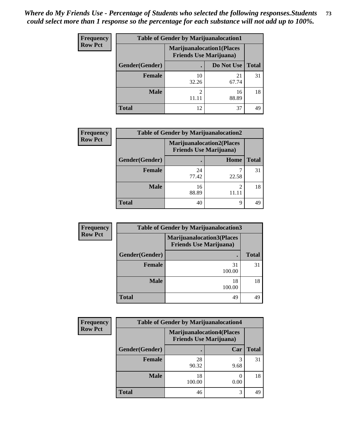| <b>Frequency</b> | <b>Table of Gender by Marijuanalocation1</b> |                                                                    |             |              |
|------------------|----------------------------------------------|--------------------------------------------------------------------|-------------|--------------|
| <b>Row Pct</b>   |                                              | <b>Marijuanalocation1(Places</b><br><b>Friends Use Marijuana</b> ) |             |              |
|                  | <b>Gender</b> (Gender)                       |                                                                    | Do Not Use  | <b>Total</b> |
|                  | <b>Female</b>                                | 10<br>32.26                                                        | 21<br>67.74 | 31           |
|                  | <b>Male</b>                                  | ◠                                                                  | 16<br>88.89 | 18           |
|                  | <b>Total</b>                                 | 12                                                                 | 37          | 49           |

| <b>Frequency</b> | <b>Table of Gender by Marijuanalocation2</b> |                                                                    |                |              |
|------------------|----------------------------------------------|--------------------------------------------------------------------|----------------|--------------|
| <b>Row Pct</b>   |                                              | <b>Marijuanalocation2(Places</b><br><b>Friends Use Marijuana</b> ) |                |              |
|                  | Gender(Gender)                               |                                                                    | Home           | <b>Total</b> |
|                  | <b>Female</b>                                | 24<br>77.42                                                        | 22.58          | 31           |
|                  | <b>Male</b>                                  | 16<br>88.89                                                        | $\mathfrak{D}$ | 18           |
|                  | <b>Total</b>                                 | 40                                                                 | 9              |              |

| <b>Frequency</b> | <b>Table of Gender by Marijuanalocation3</b> |                                                                    |              |  |
|------------------|----------------------------------------------|--------------------------------------------------------------------|--------------|--|
| <b>Row Pct</b>   |                                              | <b>Marijuanalocation3(Places</b><br><b>Friends Use Marijuana</b> ) |              |  |
|                  | Gender(Gender)                               | ٠                                                                  | <b>Total</b> |  |
|                  | <b>Female</b>                                | 31<br>100.00                                                       | 31           |  |
|                  | Male                                         | 18<br>100.00                                                       | 18           |  |
|                  | <b>Total</b>                                 | 49                                                                 | 49           |  |

| <b>Frequency</b> | <b>Table of Gender by Marijuanalocation4</b> |                                |                                  |              |
|------------------|----------------------------------------------|--------------------------------|----------------------------------|--------------|
| <b>Row Pct</b>   |                                              | <b>Friends Use Marijuana</b> ) | <b>Marijuanalocation4(Places</b> |              |
|                  | Gender(Gender)                               |                                | Car                              | <b>Total</b> |
|                  | <b>Female</b>                                | 28<br>90.32                    | 9.68                             | 31           |
|                  | <b>Male</b>                                  | 18<br>100.00                   | 0.00                             | 18           |
|                  | <b>Total</b>                                 | 46                             | 3                                | 49           |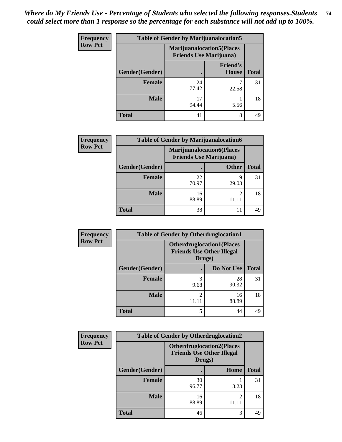| <b>Frequency</b> | <b>Table of Gender by Marijuanalocation5</b> |                                                                    |                                 |              |
|------------------|----------------------------------------------|--------------------------------------------------------------------|---------------------------------|--------------|
| <b>Row Pct</b>   |                                              | <b>Marijuanalocation5(Places</b><br><b>Friends Use Marijuana</b> ) |                                 |              |
|                  | Gender(Gender)                               |                                                                    | <b>Friend's</b><br><b>House</b> | <b>Total</b> |
|                  | <b>Female</b>                                | 24<br>77.42                                                        | 22.58                           | 31           |
|                  | <b>Male</b>                                  | 17<br>94.44                                                        | 5.56                            | 18           |
|                  | <b>Total</b>                                 | 41                                                                 | 8                               | 49           |

| <b>Frequency</b> | <b>Table of Gender by Marijuanalocation6</b> |                                |                                  |              |
|------------------|----------------------------------------------|--------------------------------|----------------------------------|--------------|
| <b>Row Pct</b>   |                                              | <b>Friends Use Marijuana</b> ) | <b>Marijuanalocation6(Places</b> |              |
|                  | Gender(Gender)                               |                                | <b>Other</b>                     | <b>Total</b> |
|                  | <b>Female</b>                                | 22<br>70.97                    | 9<br>29.03                       | 31           |
|                  | <b>Male</b>                                  | 16<br>88.89                    | 2                                | 18           |
|                  | <b>Total</b>                                 | 38                             | 11                               | 49           |

| Frequency      | <b>Table of Gender by Otherdruglocation1</b> |                         |                                                                                |              |
|----------------|----------------------------------------------|-------------------------|--------------------------------------------------------------------------------|--------------|
| <b>Row Pct</b> |                                              |                         | <b>Otherdruglocation1(Places</b><br><b>Friends Use Other Illegal</b><br>Drugs) |              |
|                | Gender(Gender)                               |                         | Do Not Use                                                                     | <b>Total</b> |
|                | <b>Female</b>                                | 3<br>9.68               | 28<br>90.32                                                                    | 31           |
|                | <b>Male</b>                                  | $\mathfrak{D}$<br>11.11 | 16<br>88.89                                                                    | 18           |
|                | <b>Total</b>                                 | 5                       | 44                                                                             | 49           |

| Frequency      | <b>Table of Gender by Otherdruglocation2</b> |                                                                                |      |              |
|----------------|----------------------------------------------|--------------------------------------------------------------------------------|------|--------------|
| <b>Row Pct</b> |                                              | <b>Otherdruglocation2(Places</b><br><b>Friends Use Other Illegal</b><br>Drugs) |      |              |
|                | Gender(Gender)                               |                                                                                | Home | <b>Total</b> |
|                | <b>Female</b>                                | 30<br>96.77                                                                    | 3.23 | 31           |
|                | <b>Male</b>                                  | 16<br>88.89                                                                    | っ    | 18           |
|                | <b>Total</b>                                 | 46                                                                             | 3    | 49           |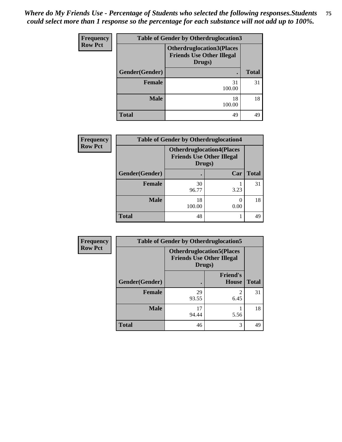| <b>Frequency</b> | <b>Table of Gender by Otherdruglocation3</b> |                                                                                |              |  |
|------------------|----------------------------------------------|--------------------------------------------------------------------------------|--------------|--|
| <b>Row Pct</b>   |                                              | <b>Otherdruglocation3(Places</b><br><b>Friends Use Other Illegal</b><br>Drugs) |              |  |
|                  | Gender(Gender)<br>٠                          |                                                                                | <b>Total</b> |  |
|                  | Female                                       | 31<br>100.00                                                                   | 31           |  |
|                  | <b>Male</b>                                  | 18<br>100.00                                                                   | 18           |  |
|                  | <b>Total</b>                                 | 49                                                                             | 49           |  |

| <b>Frequency</b> | <b>Table of Gender by Otherdruglocation4</b> |                                            |                                   |              |
|------------------|----------------------------------------------|--------------------------------------------|-----------------------------------|--------------|
| <b>Row Pct</b>   |                                              | <b>Friends Use Other Illegal</b><br>Drugs) | <b>Otherdruglocation4(Places)</b> |              |
|                  | Gender(Gender)                               |                                            | Car                               | <b>Total</b> |
|                  | <b>Female</b>                                | 30<br>96.77                                | 3.23                              | 31           |
|                  | <b>Male</b>                                  | 18<br>100.00                               | 0.00                              | 18           |
|                  | <b>Total</b>                                 | 48                                         |                                   | 49           |

| Frequency      | <b>Table of Gender by Otherdruglocation5</b> |             |                                                                      |              |
|----------------|----------------------------------------------|-------------|----------------------------------------------------------------------|--------------|
| <b>Row Pct</b> |                                              | Drugs)      | <b>Otherdruglocation5(Places</b><br><b>Friends Use Other Illegal</b> |              |
|                | Gender(Gender)                               |             | <b>Friend's</b><br><b>House</b>                                      | <b>Total</b> |
|                | <b>Female</b>                                | 29<br>93.55 | 2<br>6.45                                                            | 31           |
|                | <b>Male</b>                                  | 17<br>94.44 | 5.56                                                                 | 18           |
|                | <b>Total</b>                                 | 46          | 3                                                                    | 49           |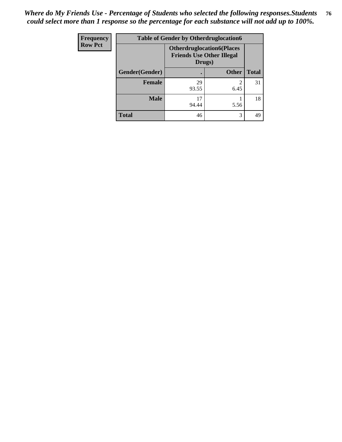| Frequency      | <b>Table of Gender by Otherdruglocation6</b> |                                                                                |              |              |
|----------------|----------------------------------------------|--------------------------------------------------------------------------------|--------------|--------------|
| <b>Row Pct</b> |                                              | <b>Otherdruglocation6(Places</b><br><b>Friends Use Other Illegal</b><br>Drugs) |              |              |
|                | Gender(Gender)                               |                                                                                | <b>Other</b> | <b>Total</b> |
|                | Female                                       | 29<br>93.55                                                                    | 6.45         | 31           |
|                | <b>Male</b>                                  | 17<br>94.44                                                                    | 5.56         | 18           |
|                | <b>Total</b>                                 | 46                                                                             | 3            | 49           |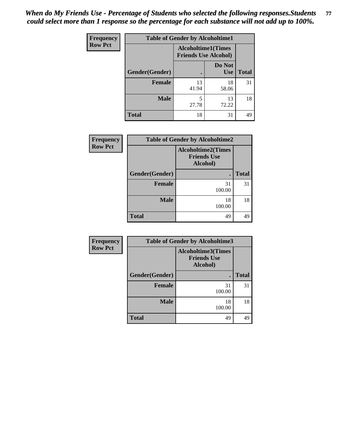| <b>Frequency</b> | <b>Table of Gender by Alcoholtime1</b> |                                                          |                      |              |
|------------------|----------------------------------------|----------------------------------------------------------|----------------------|--------------|
| <b>Row Pct</b>   |                                        | <b>Alcoholtime1(Times</b><br><b>Friends Use Alcohol)</b> |                      |              |
|                  | Gender(Gender)                         |                                                          | Do Not<br><b>Use</b> | <b>Total</b> |
|                  | <b>Female</b>                          | 13<br>41.94                                              | 18<br>58.06          | 31           |
|                  | <b>Male</b>                            | 5<br>27.78                                               | 13<br>72.22          | 18           |
|                  | <b>Total</b>                           | 18                                                       | 31                   | 49           |

| <b>Frequency</b> | <b>Table of Gender by Alcoholtime2</b> |              |              |
|------------------|----------------------------------------|--------------|--------------|
| <b>Row Pct</b>   |                                        |              |              |
|                  | Gender(Gender)                         | ٠            | <b>Total</b> |
|                  | <b>Female</b>                          | 31<br>100.00 | 31           |
|                  | <b>Male</b>                            | 18<br>100.00 | 18           |
|                  | <b>Total</b>                           | 49           | 49           |

| Frequency      | <b>Table of Gender by Alcoholtime3</b> |              |              |  |
|----------------|----------------------------------------|--------------|--------------|--|
| <b>Row Pct</b> |                                        |              |              |  |
|                | Gender(Gender)                         |              | <b>Total</b> |  |
|                | <b>Female</b>                          | 31<br>100.00 | 31           |  |
|                | <b>Male</b>                            | 18<br>100.00 | 18           |  |
|                | <b>Total</b>                           | 49           | 49           |  |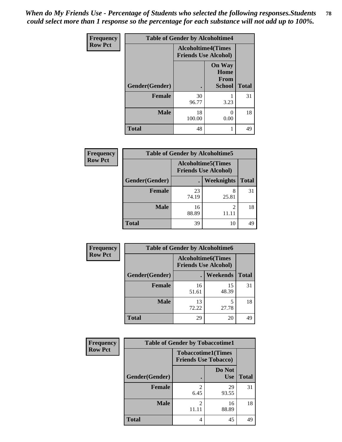*When do My Friends Use - Percentage of Students who selected the following responses.Students could select more than 1 response so the percentage for each substance will not add up to 100%.* **78**

| <b>Frequency</b> |                | <b>Table of Gender by Alcoholtime4</b>                   |                                                |              |
|------------------|----------------|----------------------------------------------------------|------------------------------------------------|--------------|
| <b>Row Pct</b>   |                | <b>Alcoholtime4(Times</b><br><b>Friends Use Alcohol)</b> |                                                |              |
|                  | Gender(Gender) | $\bullet$                                                | <b>On Way</b><br>Home<br>From<br><b>School</b> | <b>Total</b> |
|                  | <b>Female</b>  | 30<br>96.77                                              | 3.23                                           | 31           |
|                  | <b>Male</b>    | 18<br>100.00                                             | 0<br>0.00                                      | 18           |
|                  | <b>Total</b>   | 48                                                       | 1                                              | 49           |

| <b>Frequency</b> | <b>Table of Gender by Alcoholtime5</b> |                                                           |                   |              |
|------------------|----------------------------------------|-----------------------------------------------------------|-------------------|--------------|
| <b>Row Pct</b>   |                                        | <b>Alcoholtime5</b> (Times<br><b>Friends Use Alcohol)</b> |                   |              |
|                  | Gender(Gender)                         |                                                           | <b>Weeknights</b> | <b>Total</b> |
|                  | <b>Female</b>                          | 23<br>74.19                                               | 8<br>25.81        | 31           |
|                  | <b>Male</b>                            | 16<br>88.89                                               | 2<br>11.11        | 18           |
|                  | <b>Total</b>                           | 39                                                        | 10                | 49           |

| <b>Frequency</b> | <b>Table of Gender by Alcoholtime6</b>                   |             |             |              |  |
|------------------|----------------------------------------------------------|-------------|-------------|--------------|--|
| <b>Row Pct</b>   | <b>Alcoholtime6(Times</b><br><b>Friends Use Alcohol)</b> |             |             |              |  |
|                  | Gender(Gender)                                           |             | Weekends    | <b>Total</b> |  |
|                  | Female                                                   | 16<br>51.61 | 15<br>48.39 | 31           |  |
|                  | <b>Male</b>                                              | 13<br>72.22 | 5<br>27.78  | 18           |  |
|                  | <b>Total</b>                                             | 29          | 20          | 49           |  |

| Frequency      | <b>Table of Gender by Tobaccotime1</b> |                                                          |                      |              |
|----------------|----------------------------------------|----------------------------------------------------------|----------------------|--------------|
| <b>Row Pct</b> |                                        | <b>Tobaccotime1(Times</b><br><b>Friends Use Tobacco)</b> |                      |              |
|                | Gender(Gender)                         |                                                          | Do Not<br><b>Use</b> | <b>Total</b> |
|                | Female                                 | 6.45                                                     | 29<br>93.55          | 31           |
|                | <b>Male</b>                            | $\mathfrak{D}$                                           | 16<br>88.89          | 18           |
|                | <b>Total</b>                           | 4                                                        | 45                   | 49           |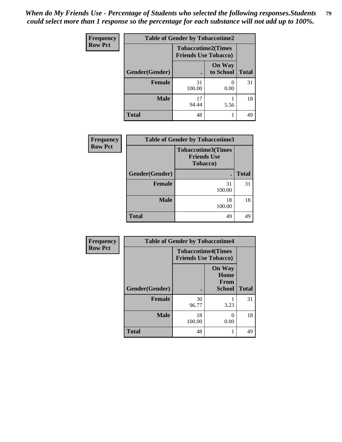*When do My Friends Use - Percentage of Students who selected the following responses.Students could select more than 1 response so the percentage for each substance will not add up to 100%.* **79**

| <b>Frequency</b> | <b>Table of Gender by Tobaccotime2</b> |                                                          |                            |              |
|------------------|----------------------------------------|----------------------------------------------------------|----------------------------|--------------|
| <b>Row Pct</b>   |                                        | <b>Tobaccotime2(Times</b><br><b>Friends Use Tobacco)</b> |                            |              |
|                  | Gender(Gender)                         |                                                          | <b>On Way</b><br>to School | <b>Total</b> |
|                  | Female                                 | 31<br>100.00                                             | 0.00                       | 31           |
|                  | <b>Male</b>                            | 17<br>94.44                                              | 5.56                       | 18           |
|                  | <b>Total</b>                           | 48                                                       |                            | 49           |

| Frequency                                        | <b>Table of Gender by Tobaccotime3</b> |                           |              |  |
|--------------------------------------------------|----------------------------------------|---------------------------|--------------|--|
| <b>Row Pct</b><br><b>Friends Use</b><br>Tobacco) |                                        | <b>Tobaccotime3(Times</b> |              |  |
|                                                  | Gender(Gender)                         |                           | <b>Total</b> |  |
|                                                  | <b>Female</b>                          | 31<br>100.00              | 31           |  |
|                                                  | <b>Male</b>                            | 18<br>100.00              | 18           |  |
|                                                  | <b>Total</b>                           | 49                        | 49           |  |

| Frequency      | <b>Table of Gender by Tobaccotime4</b> |                                                          |                                                |              |
|----------------|----------------------------------------|----------------------------------------------------------|------------------------------------------------|--------------|
| <b>Row Pct</b> |                                        | <b>Tobaccotime4(Times</b><br><b>Friends Use Tobacco)</b> |                                                |              |
|                | Gender(Gender)                         |                                                          | <b>On Way</b><br>Home<br>From<br><b>School</b> | <b>Total</b> |
|                | <b>Female</b>                          | 30<br>96.77                                              | 3.23                                           | 31           |
|                | <b>Male</b>                            | 18<br>100.00                                             | 0<br>0.00                                      | 18           |
|                | <b>Total</b>                           | 48                                                       | 1                                              | 49           |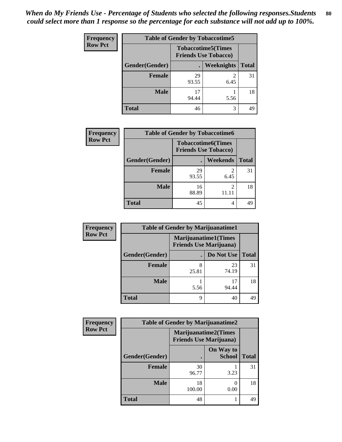| <b>Frequency</b> | <b>Table of Gender by Tobaccotime5</b> |                                                           |            |              |
|------------------|----------------------------------------|-----------------------------------------------------------|------------|--------------|
| <b>Row Pct</b>   |                                        | <b>Tobaccotime5</b> (Times<br><b>Friends Use Tobacco)</b> |            |              |
|                  | Gender(Gender)                         |                                                           | Weeknights | <b>Total</b> |
|                  | Female                                 | 29<br>93.55                                               | 2<br>6.45  | 31           |
|                  | <b>Male</b>                            | 94.44                                                     | 5.56       | 18           |
|                  | Total                                  | 46                                                        | 3          | 49           |

| Frequency      | <b>Table of Gender by Tobaccotime6</b>                   |             |                 |              |
|----------------|----------------------------------------------------------|-------------|-----------------|--------------|
| <b>Row Pct</b> | <b>Tobaccotime6(Times</b><br><b>Friends Use Tobacco)</b> |             |                 |              |
|                | Gender(Gender)                                           |             | <b>Weekends</b> | <b>Total</b> |
|                | Female                                                   | 29<br>93.55 | 2<br>6.45       | 31           |
|                | <b>Male</b>                                              | 16<br>88.89 | 2               | 18           |
|                | <b>Total</b>                                             | 45          | 4               | 49           |

| Frequency      | <b>Table of Gender by Marijuanatime1</b> |                                |                             |              |  |
|----------------|------------------------------------------|--------------------------------|-----------------------------|--------------|--|
| <b>Row Pct</b> |                                          | <b>Friends Use Marijuana</b> ) | <b>Marijuanatime1(Times</b> |              |  |
|                | Gender(Gender)                           |                                | Do Not Use                  | <b>Total</b> |  |
|                | <b>Female</b>                            | 25.81                          | 23<br>74.19                 | 31           |  |
|                | <b>Male</b>                              | 5.56                           | 17<br>94.44                 | 18           |  |
|                | <b>Total</b>                             | 9                              | 40                          | 49           |  |

| <b>Frequency</b> | <b>Table of Gender by Marijuanatime2</b> |                                |                             |              |
|------------------|------------------------------------------|--------------------------------|-----------------------------|--------------|
| <b>Row Pct</b>   |                                          | <b>Friends Use Marijuana</b> ) | <b>Marijuanatime2(Times</b> |              |
|                  | Gender(Gender)                           |                                | On Way to<br><b>School</b>  | <b>Total</b> |
|                  | <b>Female</b>                            | 30<br>96.77                    | 3.23                        | 31           |
|                  | <b>Male</b>                              | 18<br>100.00                   | $\mathcal{L}$<br>0.00       | 18           |
|                  | <b>Total</b>                             | 48                             |                             | 49           |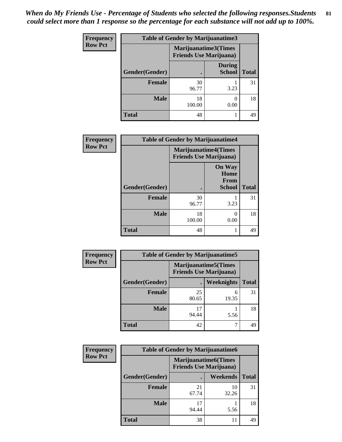| <b>Frequency</b> | <b>Table of Gender by Marijuanatime3</b> |                                                        |                                |              |
|------------------|------------------------------------------|--------------------------------------------------------|--------------------------------|--------------|
| <b>Row Pct</b>   |                                          | Marijuanatime3(Times<br><b>Friends Use Marijuana</b> ) |                                |              |
|                  | Gender(Gender)                           |                                                        | <b>During</b><br><b>School</b> | <b>Total</b> |
|                  | <b>Female</b>                            | 30<br>96.77                                            | 3.23                           | 31           |
|                  | <b>Male</b>                              | 18<br>100.00                                           | ∩<br>0.00                      | 18           |
|                  | <b>Total</b>                             | 48                                                     |                                | 49           |

| Frequency      | <b>Table of Gender by Marijuanatime4</b> |                                |                                                       |              |
|----------------|------------------------------------------|--------------------------------|-------------------------------------------------------|--------------|
| <b>Row Pct</b> |                                          | <b>Friends Use Marijuana</b> ) | <b>Marijuanatime4</b> (Times                          |              |
|                | Gender(Gender)                           |                                | <b>On Way</b><br>Home<br><b>From</b><br><b>School</b> | <b>Total</b> |
|                | <b>Female</b>                            | 30<br>96.77                    | 3.23                                                  | 31           |
|                | <b>Male</b>                              | 18<br>100.00                   | 0.00                                                  | 18           |
|                | <b>Total</b>                             | 48                             |                                                       | 49           |

| <b>Frequency</b> | <b>Table of Gender by Marijuanatime5</b> |             |                                                                |              |
|------------------|------------------------------------------|-------------|----------------------------------------------------------------|--------------|
| <b>Row Pct</b>   |                                          |             | <b>Marijuanatime5</b> (Times<br><b>Friends Use Marijuana</b> ) |              |
|                  | Gender(Gender)                           |             | Weeknights                                                     | <b>Total</b> |
|                  | <b>Female</b>                            | 25<br>80.65 | 6<br>19.35                                                     | 31           |
|                  | <b>Male</b>                              | 17<br>94.44 | 5.56                                                           | 18           |
|                  | <b>Total</b>                             | 42          | ┑                                                              | 49           |

| Frequency      | <b>Table of Gender by Marijuanatime6</b> |                                |                             |              |  |
|----------------|------------------------------------------|--------------------------------|-----------------------------|--------------|--|
| <b>Row Pct</b> |                                          | <b>Friends Use Marijuana</b> ) | <b>Marijuanatime6(Times</b> |              |  |
|                | Gender(Gender)                           |                                | <b>Weekends</b>             | <b>Total</b> |  |
|                | <b>Female</b>                            | 21<br>67.74                    | 10<br>32.26                 | 31           |  |
|                | <b>Male</b>                              | 94.44                          | 5.56                        | 18           |  |
|                | <b>Total</b>                             | 38                             | 11                          | 49           |  |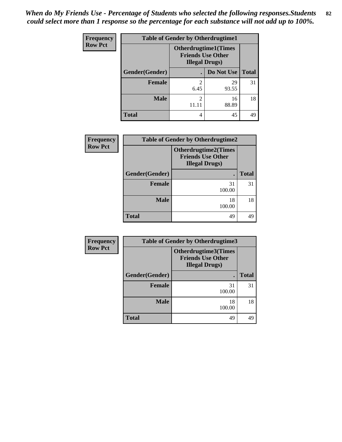| <b>Frequency</b> |                | <b>Table of Gender by Otherdrugtime1</b> |                                                          |    |
|------------------|----------------|------------------------------------------|----------------------------------------------------------|----|
| <b>Row Pct</b>   |                | <b>Illegal Drugs)</b>                    | <b>Otherdrugtime1</b> (Times<br><b>Friends Use Other</b> |    |
|                  | Gender(Gender) |                                          | Do Not Use   Total                                       |    |
|                  | <b>Female</b>  | 2<br>6.45                                | 29<br>93.55                                              | 31 |
|                  | <b>Male</b>    | $\overline{2}$<br>11.11                  | 16<br>88.89                                              | 18 |
|                  | <b>Total</b>   | 4                                        | 45                                                       | 49 |

| <b>Frequency</b> | <b>Table of Gender by Otherdrugtime2</b> |                                                                                  |              |  |
|------------------|------------------------------------------|----------------------------------------------------------------------------------|--------------|--|
| <b>Row Pct</b>   |                                          | <b>Otherdrugtime2(Times</b><br><b>Friends Use Other</b><br><b>Illegal Drugs)</b> |              |  |
|                  | Gender(Gender)                           |                                                                                  | <b>Total</b> |  |
|                  | <b>Female</b>                            | 31<br>100.00                                                                     | 31           |  |
|                  | <b>Male</b>                              | 18<br>100.00                                                                     | 18           |  |
|                  | <b>Total</b>                             | 49                                                                               | 49           |  |

| <b>Frequency</b> | Table of Gender by Otherdrugtime3 |                                                                            |              |  |  |
|------------------|-----------------------------------|----------------------------------------------------------------------------|--------------|--|--|
| <b>Row Pct</b>   |                                   | Otherdrugtime3(Times<br><b>Friends Use Other</b><br><b>Illegal Drugs</b> ) |              |  |  |
|                  | Gender(Gender)                    |                                                                            | <b>Total</b> |  |  |
|                  | <b>Female</b>                     | 31<br>100.00                                                               | 31           |  |  |
|                  | <b>Male</b>                       | 18<br>100.00                                                               | 18           |  |  |
|                  | <b>Total</b>                      | 49                                                                         | 49           |  |  |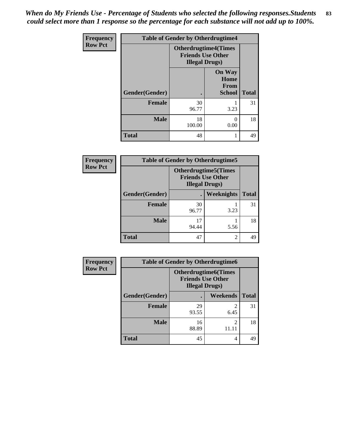*When do My Friends Use - Percentage of Students who selected the following responses.Students could select more than 1 response so the percentage for each substance will not add up to 100%.* **83**

| <b>Frequency</b> |                | <b>Table of Gender by Otherdrugtime4</b>                                          |                                                |              |
|------------------|----------------|-----------------------------------------------------------------------------------|------------------------------------------------|--------------|
| <b>Row Pct</b>   |                | <b>Otherdrugtime4(Times</b><br><b>Friends Use Other</b><br><b>Illegal Drugs</b> ) |                                                |              |
|                  | Gender(Gender) |                                                                                   | <b>On Way</b><br>Home<br>From<br><b>School</b> | <b>Total</b> |
|                  | <b>Female</b>  | 30<br>96.77                                                                       | 3.23                                           | 31           |
|                  | <b>Male</b>    | 18<br>100.00                                                                      | 0.00                                           | 18           |
|                  | <b>Total</b>   | 48                                                                                |                                                | 49           |

| <b>Frequency</b> | <b>Table of Gender by Otherdrugtime5</b> |             |                                                                                    |              |
|------------------|------------------------------------------|-------------|------------------------------------------------------------------------------------|--------------|
| <b>Row Pct</b>   |                                          |             | <b>Otherdrugtime5</b> (Times<br><b>Friends Use Other</b><br><b>Illegal Drugs</b> ) |              |
|                  | Gender(Gender)                           |             | Weeknights                                                                         | <b>Total</b> |
|                  | <b>Female</b>                            | 30<br>96.77 | 3.23                                                                               | 31           |
|                  | <b>Male</b>                              | 17<br>94.44 | 5.56                                                                               | 18           |
|                  | <b>Total</b>                             | 47          | 2                                                                                  | 49           |

| <b>Frequency</b> |                | <b>Table of Gender by Otherdrugtime6</b>                                          |                        |              |  |
|------------------|----------------|-----------------------------------------------------------------------------------|------------------------|--------------|--|
| <b>Row Pct</b>   |                | <b>Otherdrugtime6(Times</b><br><b>Friends Use Other</b><br><b>Illegal Drugs</b> ) |                        |              |  |
|                  | Gender(Gender) |                                                                                   | Weekends               | <b>Total</b> |  |
|                  | <b>Female</b>  | 29<br>93.55                                                                       | $\mathfrak{D}$<br>6.45 | 31           |  |
|                  | <b>Male</b>    | 16<br>88.89                                                                       | 2                      | 18           |  |
|                  | <b>Total</b>   | 45                                                                                | 4                      | 49           |  |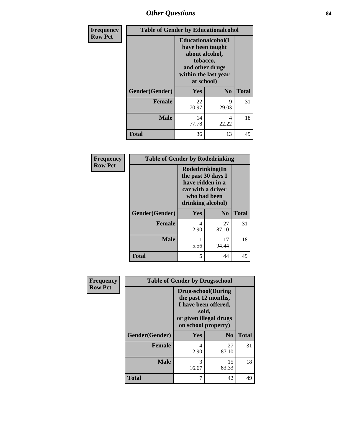# *Other Questions* **84**

| <b>Frequency</b> | <b>Table of Gender by Educationalcohol</b> |                                                                                                                                       |                |              |
|------------------|--------------------------------------------|---------------------------------------------------------------------------------------------------------------------------------------|----------------|--------------|
| <b>Row Pct</b>   |                                            | <b>Educationalcohol</b> (I<br>have been taught<br>about alcohol,<br>tobacco,<br>and other drugs<br>within the last year<br>at school) |                |              |
|                  | Gender(Gender)                             | Yes                                                                                                                                   | N <sub>0</sub> | <b>Total</b> |
|                  | <b>Female</b>                              | 22<br>70.97                                                                                                                           | 9<br>29.03     | 31           |
|                  | <b>Male</b>                                | 14<br>77.78                                                                                                                           | 4<br>22.22     | 18           |
|                  | <b>Total</b>                               | 36                                                                                                                                    | 13             | 49           |

| Frequency      | <b>Table of Gender by Rodedrinking</b> |                                                                                                                     |                        |              |
|----------------|----------------------------------------|---------------------------------------------------------------------------------------------------------------------|------------------------|--------------|
| <b>Row Pct</b> |                                        | Rodedrinking(In<br>the past 30 days I<br>have ridden in a<br>car with a driver<br>who had been<br>drinking alcohol) |                        |              |
|                | Gender(Gender)                         | Yes                                                                                                                 | $\mathbf{N}\mathbf{0}$ | <b>Total</b> |
|                | <b>Female</b>                          | 4<br>12.90                                                                                                          | 27<br>87.10            | 31           |
|                | <b>Male</b>                            | 5.56                                                                                                                | 17<br>94.44            | 18           |
|                | <b>Total</b>                           | 5                                                                                                                   | 44                     | 49           |

| Frequency      | <b>Table of Gender by Drugsschool</b> |                                                                                                                                     |                |              |
|----------------|---------------------------------------|-------------------------------------------------------------------------------------------------------------------------------------|----------------|--------------|
| <b>Row Pct</b> |                                       | <b>Drugsschool</b> (During<br>the past 12 months,<br>I have been offered,<br>sold,<br>or given illegal drugs<br>on school property) |                |              |
|                | Gender(Gender)                        | <b>Yes</b>                                                                                                                          | N <sub>0</sub> | <b>Total</b> |
|                | <b>Female</b>                         | 4<br>12.90                                                                                                                          | 27<br>87.10    | 31           |
|                | <b>Male</b>                           | 3<br>16.67                                                                                                                          | 15<br>83.33    | 18           |
|                | <b>Total</b>                          | 7                                                                                                                                   | 42             | 49           |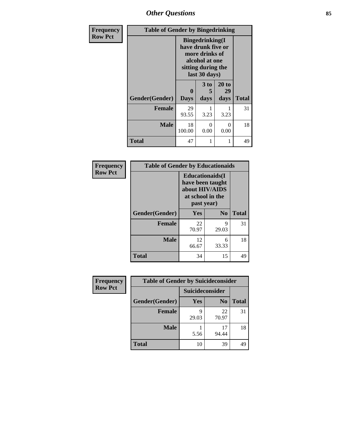*Other Questions* **85**

| <b>Frequency</b> | <b>Table of Gender by Bingedrinking</b> |                                                                                                                          |                   |                     |              |
|------------------|-----------------------------------------|--------------------------------------------------------------------------------------------------------------------------|-------------------|---------------------|--------------|
| <b>Row Pct</b>   |                                         | <b>Bingedrinking</b> (I<br>have drunk five or<br>more drinks of<br>alcohol at one<br>sitting during the<br>last 30 days) |                   |                     |              |
|                  | Gender(Gender)                          | $\bf{0}$<br><b>Days</b>                                                                                                  | 3 to<br>5<br>days | 20 to<br>29<br>days | <b>Total</b> |
|                  | <b>Female</b>                           | 29<br>93.55                                                                                                              | 3.23              | 3.23                | 31           |
|                  | <b>Male</b>                             | 18<br>100.00                                                                                                             | 0<br>0.00         | 0<br>0.00           | 18           |
|                  | <b>Total</b>                            | 47                                                                                                                       |                   | 1                   | 49           |

| Frequency      | <b>Table of Gender by Educationaids</b> |                                                                                                 |            |              |
|----------------|-----------------------------------------|-------------------------------------------------------------------------------------------------|------------|--------------|
| <b>Row Pct</b> |                                         | <b>Educationaids</b> (I<br>have been taught<br>about HIV/AIDS<br>at school in the<br>past year) |            |              |
|                | Gender(Gender)                          | <b>Yes</b>                                                                                      | $\bf N_0$  | <b>Total</b> |
|                | <b>Female</b>                           | 22<br>70.97                                                                                     | 9<br>29.03 | 31           |
|                | <b>Male</b>                             | 12<br>66.67                                                                                     | 6<br>33.33 | 18           |
|                | <b>Total</b>                            | 34                                                                                              | 15         | 49           |

| <b>Frequency</b> | <b>Table of Gender by Suicideconsider</b> |                 |                |              |
|------------------|-------------------------------------------|-----------------|----------------|--------------|
| <b>Row Pct</b>   |                                           | Suicideconsider |                |              |
|                  | Gender(Gender)                            | Yes             | N <sub>0</sub> | <b>Total</b> |
|                  | <b>Female</b>                             | 29.03           | 22<br>70.97    | 31           |
|                  | <b>Male</b>                               | 5.56            | 17<br>94.44    | 18           |
|                  | <b>Total</b>                              | 10              | 39             | 49           |